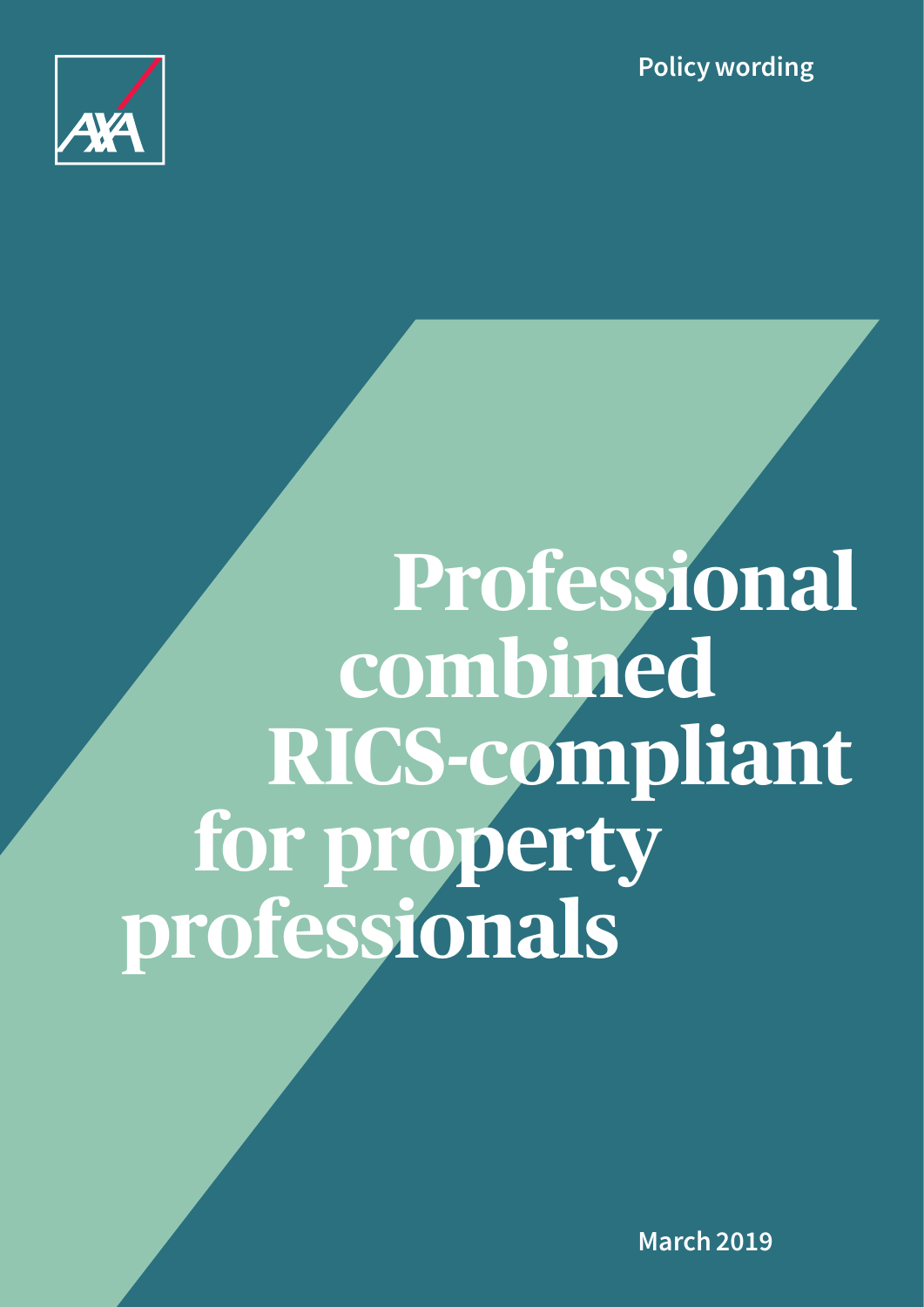**Policy wording**



# **Professional combined RICS-compliant for property professionals**

**March 2019**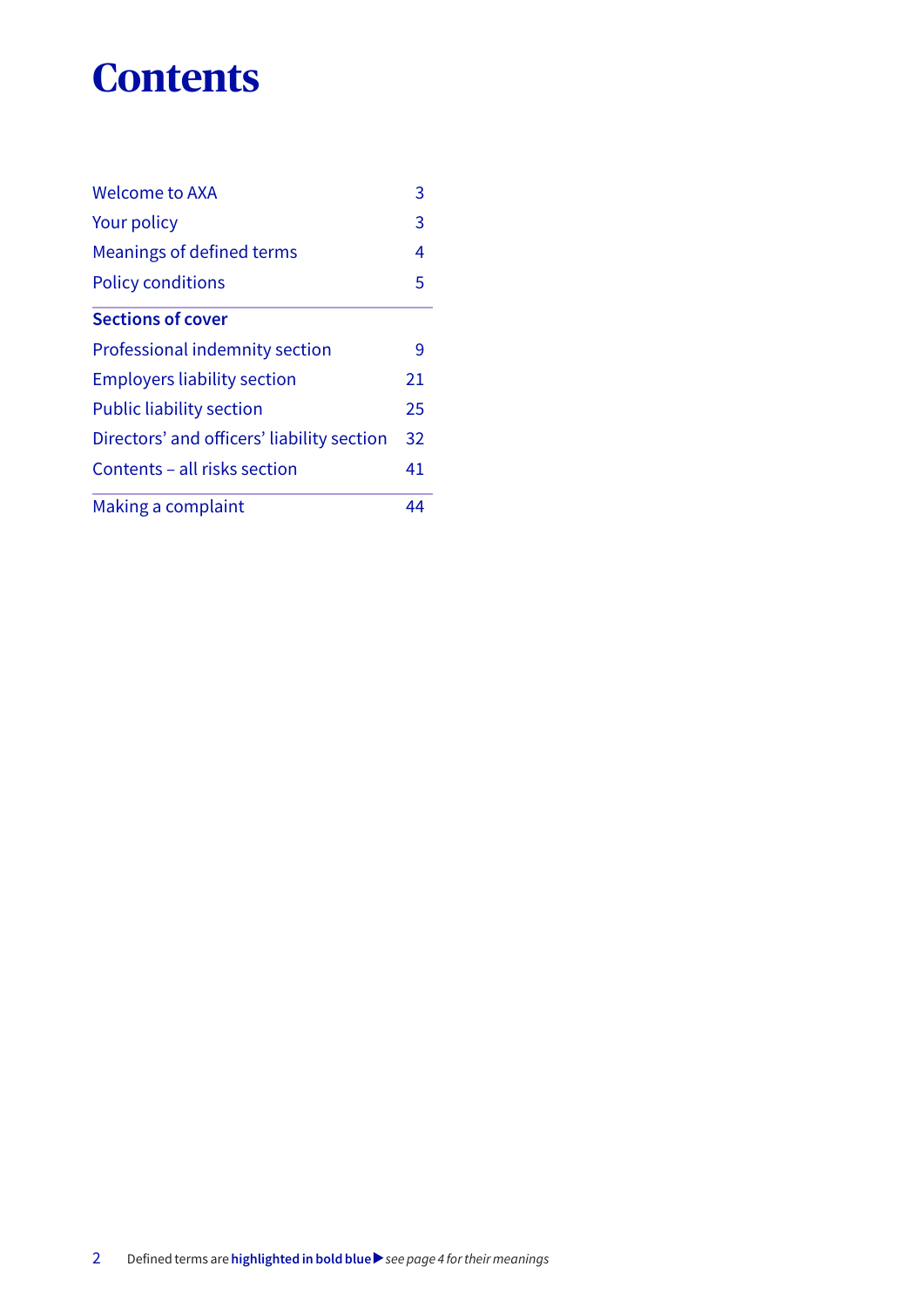# **Contents**

| <b>Welcome to AXA</b>                      | 3  |
|--------------------------------------------|----|
| Your policy                                | 3  |
| Meanings of defined terms                  | 4  |
| <b>Policy conditions</b>                   | 5  |
| <b>Sections of cover</b>                   |    |
| Professional indemnity section             | 9  |
| <b>Employers liability section</b>         | 21 |
| <b>Public liability section</b>            | 25 |
| Directors' and officers' liability section | 32 |
| Contents - all risks section               | 41 |
| Making a complaint                         | 44 |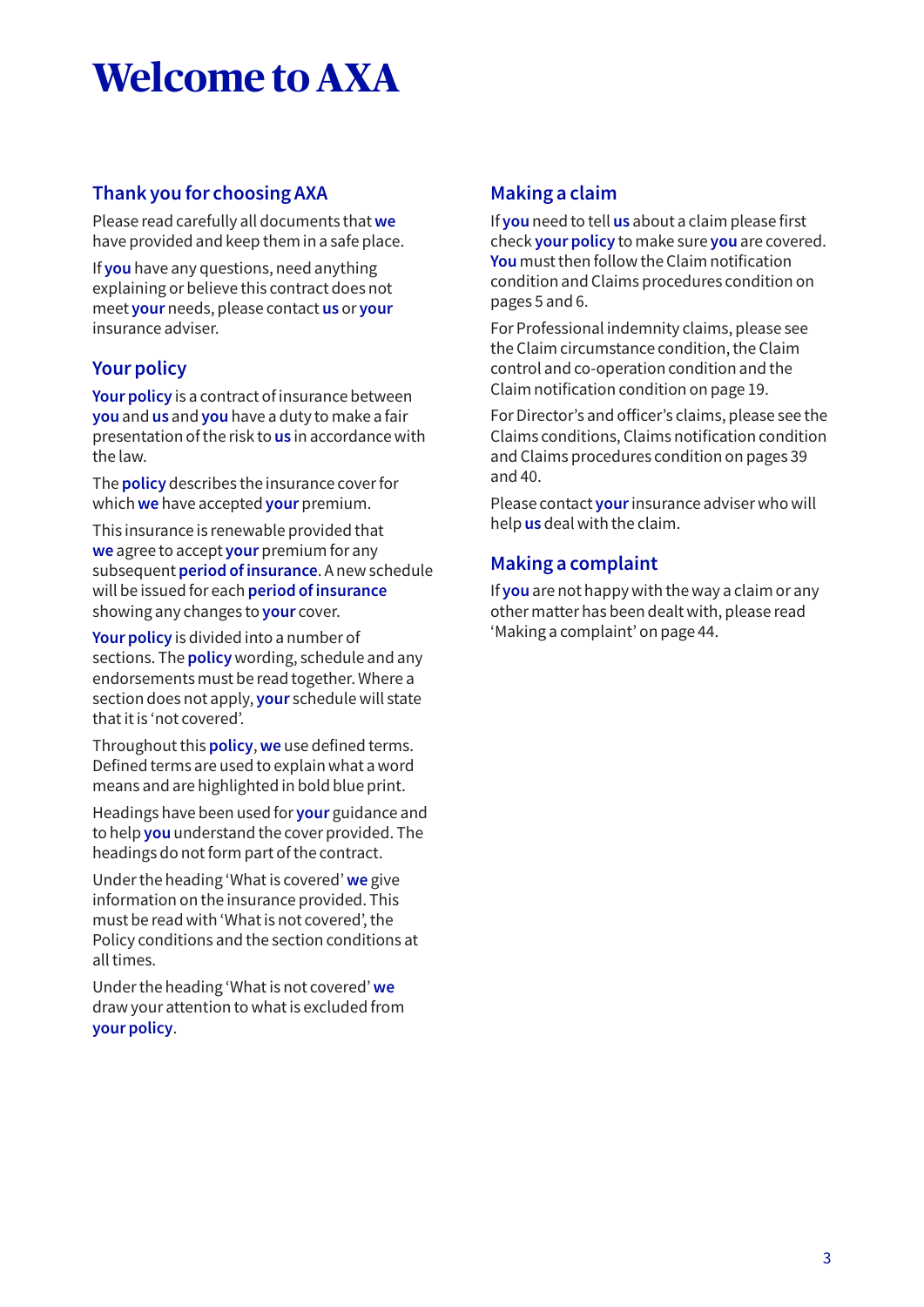# **Welcome to AXA**

# **Thank you for choosing AXA**

Please read carefully all documents that **we** have provided and keep them in a safe place.

If **you** have any questions, need anything explaining or believe this contract does not meet **your** needs, please contact **us** or **your** insurance adviser.

# **Your policy**

**Your policy** is a contract of insurance between **you** and **us** and **you** have a duty to make a fair presentation of the risk to **us** in accordance with the law.

The **policy** describes the insurance cover for which **we** have accepted **your** premium.

This insurance is renewable provided that **we** agree to accept **your** premium for any subsequent **period of insurance**. A new schedule will be issued for each **period of insurance** showing any changes to **your** cover.

**Your policy** is divided into a number of sections. The **policy** wording, schedule and any endorsements must be read together. Where a section does not apply, **your** schedule will state that it is 'not covered'.

Throughout this **policy**, **we** use defined terms. Defined terms are used to explain what a word means and are highlighted in bold blue print.

Headings have been used for **your** guidance and to help **you** understand the cover provided. The headings do not form part of the contract.

Under the heading 'What is covered' **we** give information on the insurance provided. This must be read with 'What is not covered', the Policy conditions and the section conditions at all times.

Under the heading 'What is not covered' **we** draw your attention to what is excluded from **your policy**.

# **Making a claim**

If **you** need to tell **us** about a claim please first check **your policy** to make sure **you** are covered. **You** must then follow the Claim notification condition and Claims procedures condition on pages 5 and 6.

For Professional indemnity claims, please see the Claim circumstance condition, the Claim control and co-operation condition and the Claim notification condition on page 19.

For Director's and officer's claims, please see the Claims conditions, Claims notification condition and Claims procedures condition on pages 39 and 40.

Please contact **your** insurance adviser who will help **us** deal with the claim.

# **Making a complaint**

If **you** are not happy with the way a claim or any other matter has been dealt with, please read 'Making a complaint' on page 44.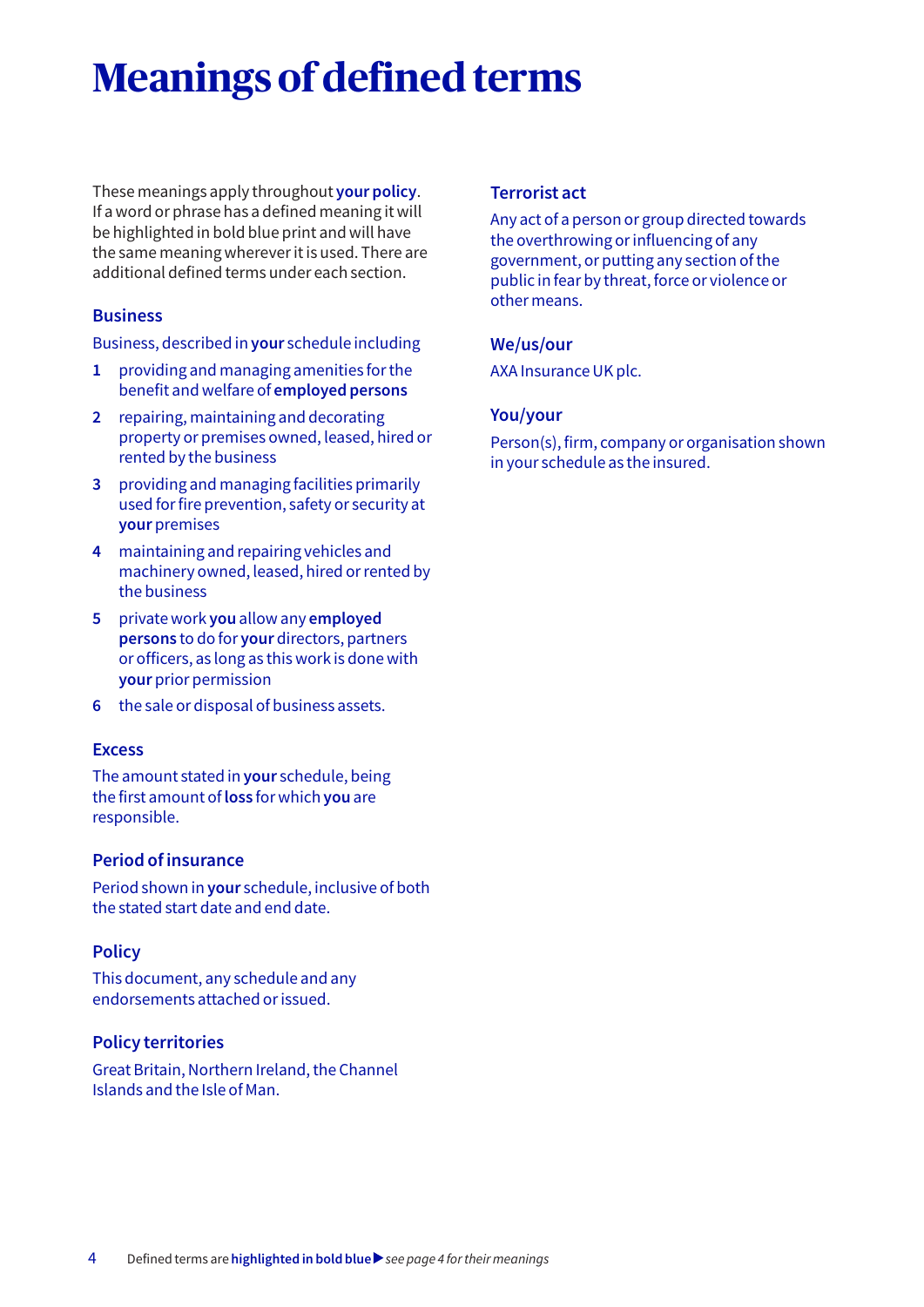# **Meanings of defined terms**

These meanings apply throughout **your policy**. If a word or phrase has a defined meaning it will be highlighted in bold blue print and will have the same meaning wherever it is used. There are additional defined terms under each section.

# **Business**

Business, described in **your** schedule including

- **1** providing and managing amenities for the benefit and welfare of **employed persons**
- **2** repairing, maintaining and decorating property or premises owned, leased, hired or rented by the business
- **3** providing and managing facilities primarily used for fire prevention, safety or security at **your** premises
- **4** maintaining and repairing vehicles and machinery owned, leased, hired or rented by the business
- **5** private work **you** allow any **employed persons** to do for **your** directors, partners or officers, as long as this work is done with **your** prior permission
- **6** the sale or disposal of business assets.

#### **Excess**

The amount stated in **your** schedule, being the first amount of **loss** for which **you** are responsible.

#### **Period of insurance**

Period shown in **your** schedule, inclusive of both the stated start date and end date.

# **Policy**

This document, any schedule and any endorsements attached or issued.

#### **Policy territories**

Great Britain, Northern Ireland, the Channel Islands and the Isle of Man.

#### **Terrorist act**

Any act of a person or group directed towards the overthrowing or influencing of any government, or putting any section of the public in fear by threat, force or violence or other means.

#### **We/us/our**

AXA Insurance UK plc.

#### **You/your**

Person(s), firm, company or organisation shown in your schedule as the insured.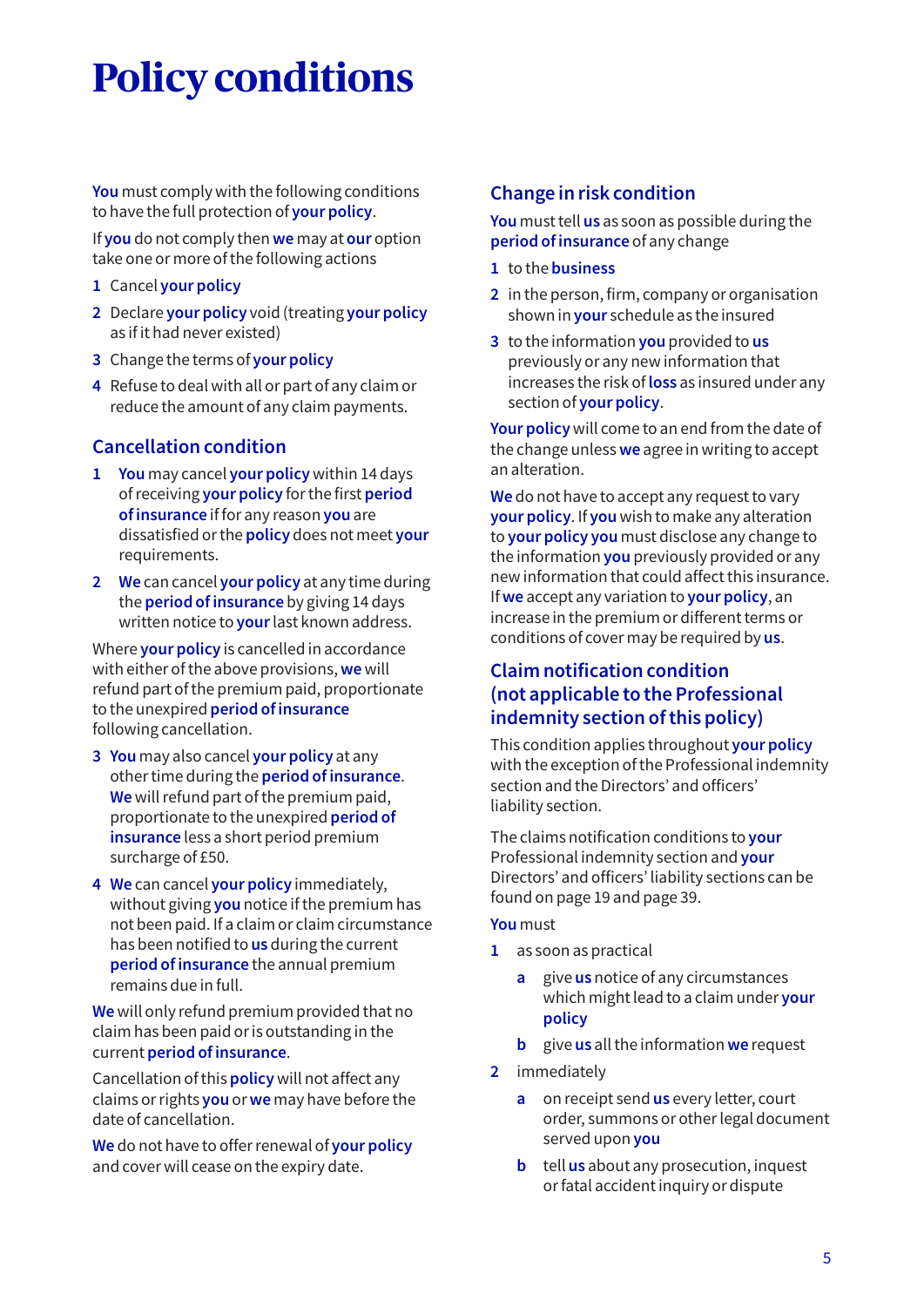# **Policy conditions**

**You** must comply with the following conditions to have the full protection of **your policy**.

If **you** do not comply then **we** may at **our** option take one or more of the following actions

- **1** Cancel **your policy**
- **2** Declare **your policy** void (treating **your policy** as if it had never existed)
- **3** Change the terms of **your policy**
- **4** Refuse to deal with all or part of any claim or reduce the amount of any claim payments.

# **Cancellation condition**

- **1 You** may cancel **your policy** within 14 days of receiving **your policy** for the first **period of insurance** if for any reason **you** are dissatisfied or the **policy** does not meet **your** requirements.
- **2 We** can cancel **your policy** at any time during the **period of insurance** by giving 14 days written notice to **your** last known address.

Where **your policy** is cancelled in accordance with either of the above provisions, **we** will refund part of the premium paid, proportionate to the unexpired **period of insurance** following cancellation.

- **3 You** may also cancel **your policy** at any other time during the **period of insurance**. **We** will refund part of the premium paid, proportionate to the unexpired **period of insurance** less a short period premium surcharge of £50.
- **4 We** can cancel **your policy** immediately, without giving **you** notice if the premium has not been paid. If a claim or claim circumstance has been notified to **us** during the current **period of insurance** the annual premium remains due in full.

**We** will only refund premium provided that no claim has been paid or is outstanding in the current **period of insurance**.

Cancellation of this **policy** will not affect any claims or rights **you** or **we** may have before the date of cancellation.

**We** do not have to offer renewal of **your policy** and cover will cease on the expiry date.

# **Change in risk condition**

**You** must tell **us** as soon as possible during the **period of insurance** of any change

- **1** to the **business**
- **2** in the person, firm, company or organisation shown in **your** schedule as the insured
- **3** to the information **you** provided to **us** previously or any new information that increases the risk of **loss** as insured under any section of **your policy**.

**Your policy** will come to an end from the date of the change unless **we** agree in writing to accept an alteration.

**We** do not have to accept any request to vary **your policy**. If **you** wish to make any alteration to **your policy you** must disclose any change to the information **you** previously provided or any new information that could affect this insurance. If **we** accept any variation to **your policy**, an increase in the premium or different terms or conditions of cover may be required by **us**.

# **Claim notification condition (not applicable to the Professional indemnity section of this policy)**

This condition applies throughout **your policy**  with the exception of the Professional indemnity section and the Directors' and officers' liability section.

The claims notification conditions to **your**  Professional indemnity section and **your**  Directors' and officers' liability sections can be found on page 19 and page 39.

#### **You** must

- **1** as soon as practical
	- **a** give **us** notice of any circumstances which might lead to a claim under **your policy**
	- **b** give **us** all the information **we** request
- **2** immediately
	- **a** on receipt send **us** every letter, court order, summons or other legal document served upon **you**
	- **b** tell **us** about any prosecution, inquest or fatal accident inquiry or dispute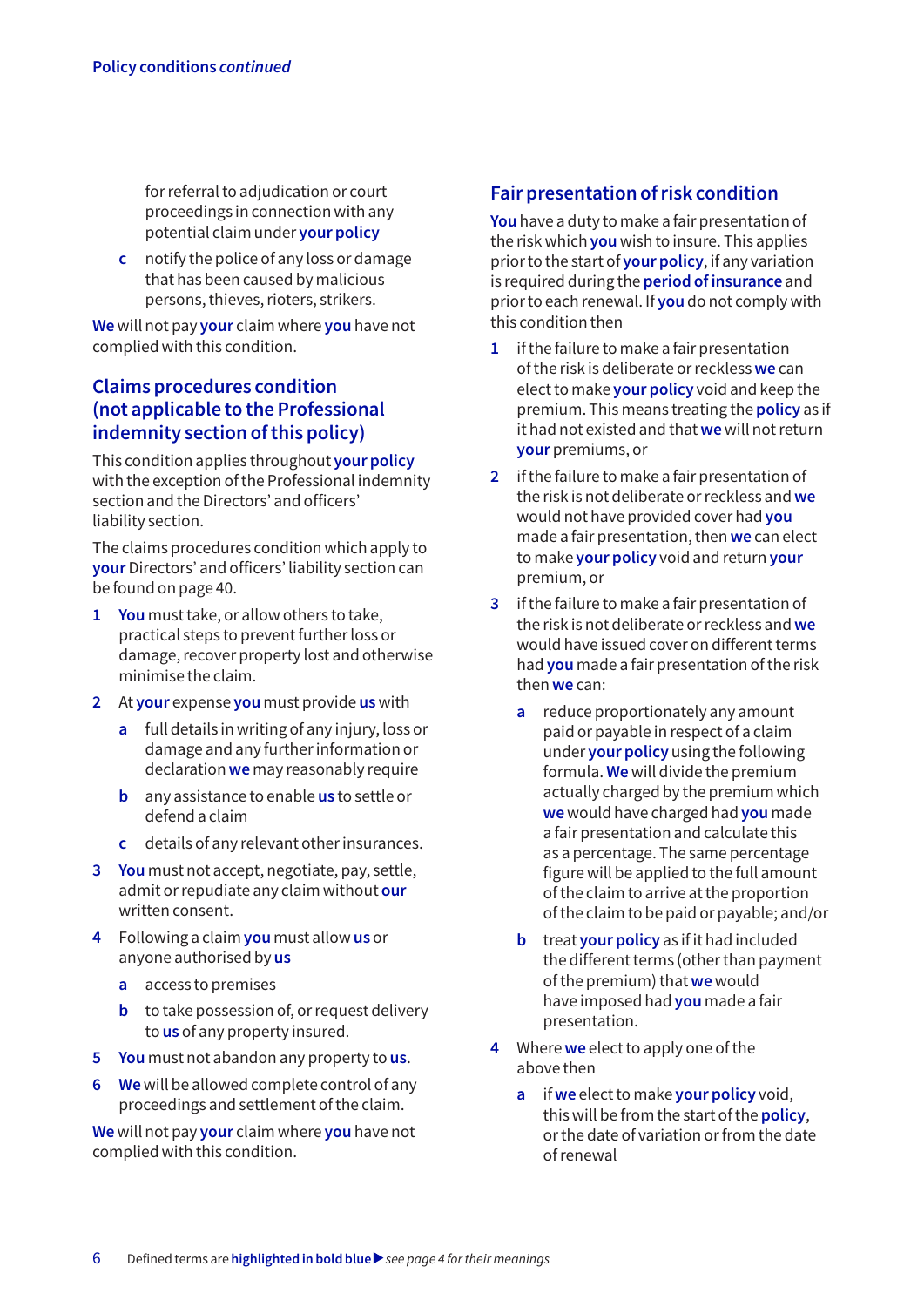for referral to adjudication or court proceedings in connection with any potential claim under **your policy**

**c** notify the police of any loss or damage that has been caused by malicious persons, thieves, rioters, strikers.

**We** will not pay **your** claim where **you** have not complied with this condition.

# **Claims procedures condition (not applicable to the Professional indemnity section of this policy)**

This condition applies throughout **your policy** with the exception of the Professional indemnity section and the Directors' and officers' liability section.

The claims procedures condition which apply to **your** Directors' and officers' liability section can be found on page 40.

- **1 You** must take, or allow others to take, practical steps to prevent further loss or damage, recover property lost and otherwise minimise the claim.
- **2** At **your** expense **you** must provide **us** with
	- **a** full details in writing of any injury, loss or damage and any further information or declaration **we** may reasonably require
	- **b** any assistance to enable **us** to settle or defend a claim
	- **c** details of any relevant other insurances.
- **3 You** must not accept, negotiate, pay, settle, admit or repudiate any claim without **our** written consent.
- **4** Following a claim **you** must allow **us** or anyone authorised by **us**
	- **a** access to premises
	- **b** to take possession of, or request delivery to **us** of any property insured.
- **5 You** must not abandon any property to **us**.
- **6 We** will be allowed complete control of any proceedings and settlement of the claim.

**We** will not pay **your** claim where **you** have not complied with this condition.

# **Fair presentation of risk condition**

**You** have a duty to make a fair presentation of the risk which **you** wish to insure. This applies prior to the start of **your policy**, if any variation is required during the **period of insurance** and prior to each renewal. If **you** do not comply with this condition then

- **1** if the failure to make a fair presentation of the risk is deliberate or reckless **we** can elect to make **your policy** void and keep the premium. This means treating the **policy** as if it had not existed and that **we** will not return **your** premiums, or
- **2** if the failure to make a fair presentation of the risk is not deliberate or reckless and **we** would not have provided cover had **you** made a fair presentation, then **we** can elect to make **your policy** void and return **your** premium, or
- **3** if the failure to make a fair presentation of the risk is not deliberate or reckless and **we** would have issued cover on different terms had **you** made a fair presentation of the risk then **we** can:
	- **a** reduce proportionately any amount paid or payable in respect of a claim under **your policy** using the following formula. **We** will divide the premium actually charged by the premium which **we** would have charged had **you** made a fair presentation and calculate this as a percentage. The same percentage figure will be applied to the full amount of the claim to arrive at the proportion of the claim to be paid or payable; and/or
	- **b** treat **your policy** as if it had included the different terms (other than payment of the premium) that **we** would have imposed had **you** made a fair presentation.
- **4** Where **we** elect to apply one of the above then
	- **a** if **we** elect to make **your policy** void, this will be from the start of the **policy**, or the date of variation or from the date ofrenewal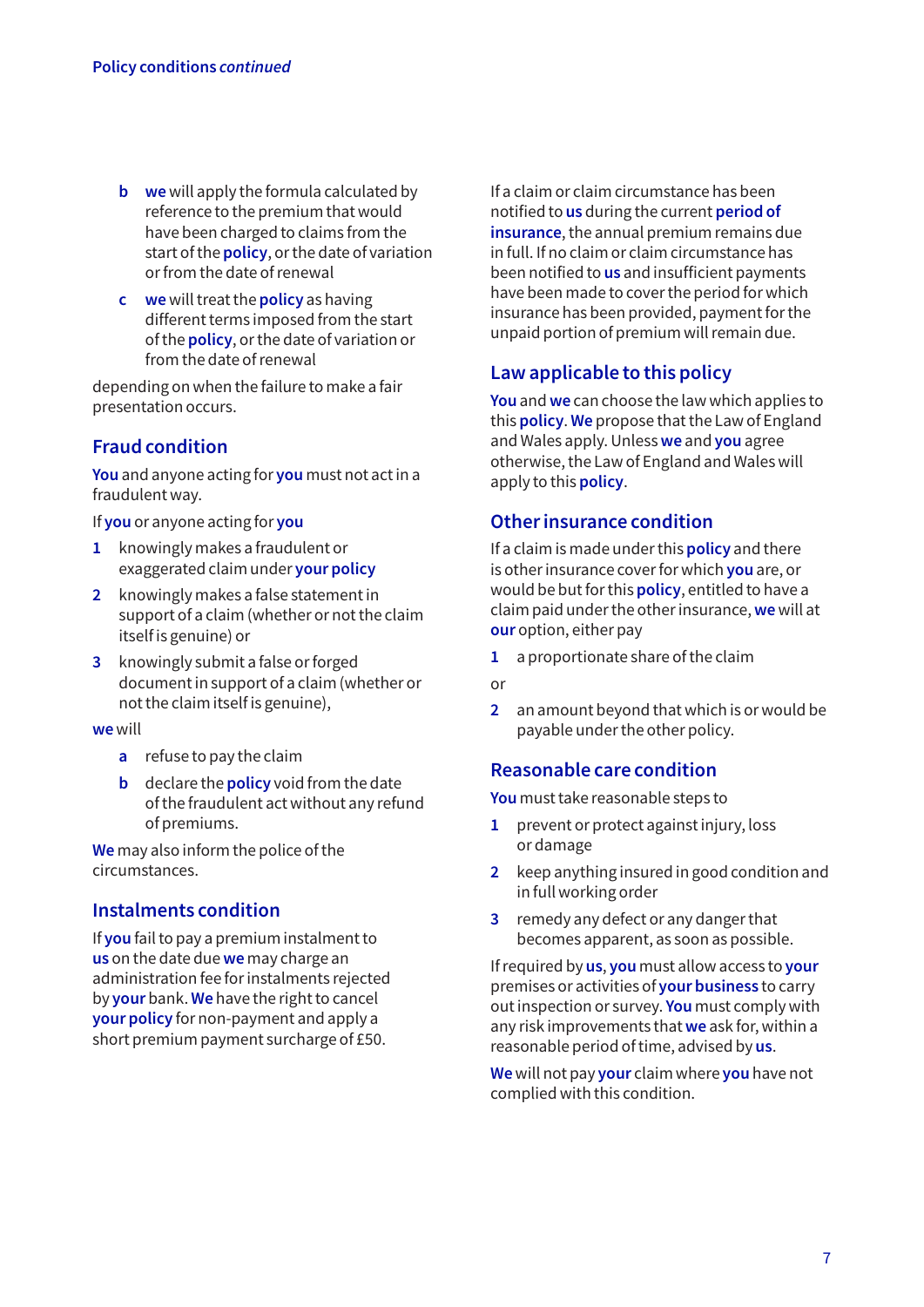- **b we** will apply the formula calculated by reference to the premium that would have been charged to claims from the start of the **policy**, or the date of variation or from the date of renewal
- **c we** will treat the **policy** as having different terms imposed from the start of the **policy**, or the date of variation or from the date of renewal

depending on when the failure to make a fair presentation occurs.

# **Fraud condition**

**You** and anyone acting for **you** must not act in a fraudulent way.

If **you** or anyone acting for **you**

- **1** knowingly makes a fraudulent or exaggerated claim under **your policy**
- **2** knowingly makes a false statement in support of a claim (whether or not the claim itself is genuine) or
- **3** knowingly submit a false or forged document in support of a claim (whether or not the claim itself is genuine),

**we** will

- **a** refuse to pay the claim
- **b** declare the **policy** void from the date of the fraudulent act without any refund of premiums.

**We** may also inform the police of the circumstances.

# **Instalments condition**

If **you** fail to pay a premium instalment to **us** on the date due **we** may charge an administration fee for instalments rejected by **your** bank. **We** have the right to cancel **your policy** for non-payment and apply a short premium payment surcharge of £50.

If a claim or claim circumstance has been notified to **us** during the current **period of insurance**, the annual premium remains due in full. If no claim or claim circumstance has been notified to **us** and insufficient payments have been made to cover the period for which insurance has been provided, payment for the unpaid portion of premium will remain due.

# **Law applicable to this policy**

**You** and **we** can choose the law which applies to this **policy**. **We** propose that the Law of England and Wales apply. Unless **we** and **you** agree otherwise, the Law of England and Wales will apply to this **policy**.

# **Other insurance condition**

If a claim is made under this **policy** and there is other insurance cover for which **you** are, or would be but for this **policy**, entitled to have a claim paid under the other insurance, **we** will at **our** option, either pay

- **1** a proportionate share of the claim
- or
- **2** an amount beyond that which is or would be payable under the other policy.

# **Reasonable care condition**

**You** must take reasonable steps to

- **1** prevent or protect against injury, loss or damage
- **2** keep anything insured in good condition and in full working order
- **3** remedy any defect or any danger that becomes apparent, as soon as possible.

If required by **us**, **you** must allow access to **your** premises or activities of **your business** to carry out inspection or survey. **You** must comply with any risk improvements that **we** ask for, within a reasonable period of time, advised by **us**.

**We** will not pay **your** claim where **you** have not complied with this condition.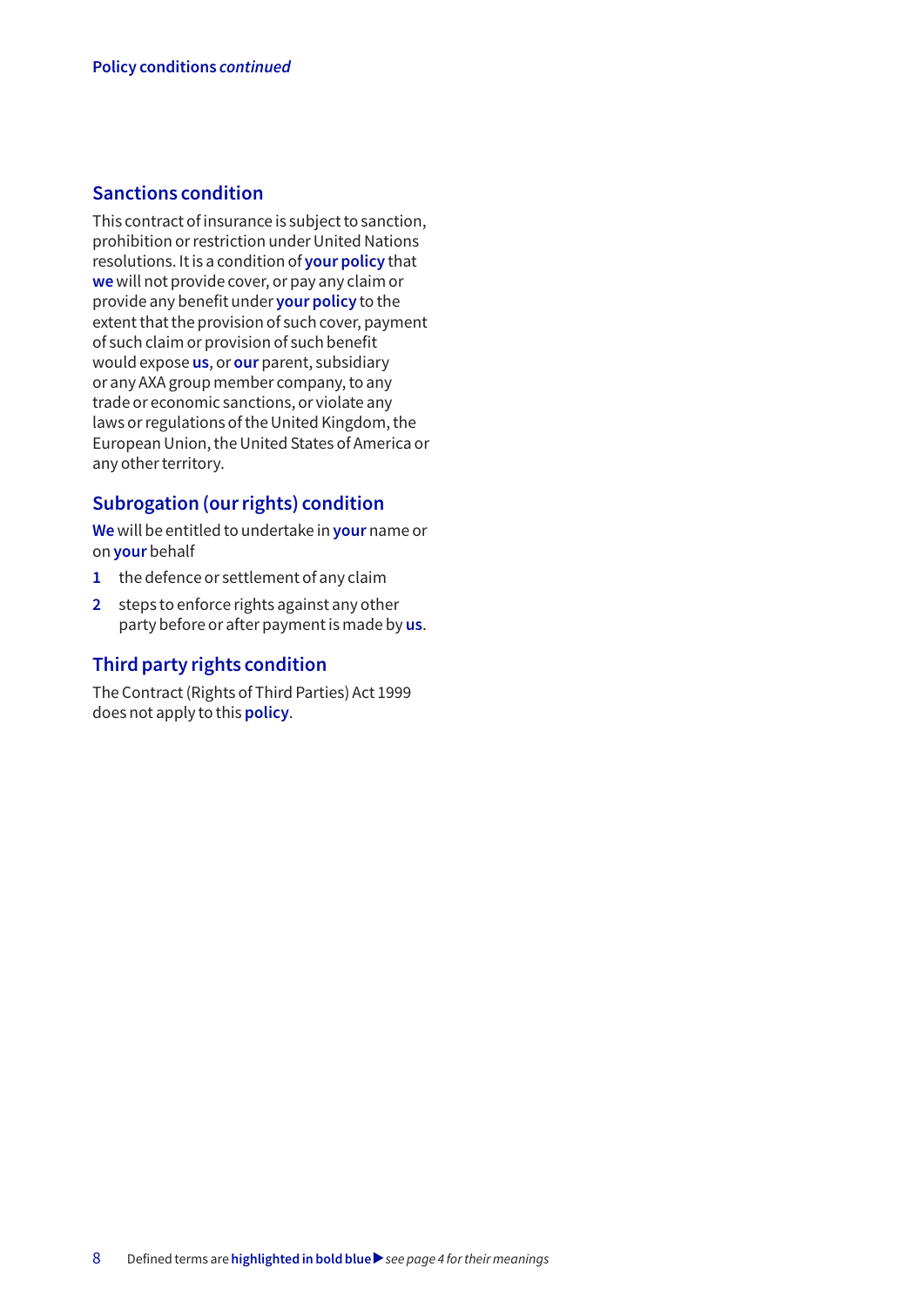# **Sanctions condition**

This contract of insurance is subject to sanction, prohibition or restriction under United Nations resolutions. It is a condition of **your policy** that **we** will not provide cover, or pay any claim or provide any benefit under **your policy** to the extent that the provision of such cover, payment of such claim or provision of such benefit would expose **us**, or **our** parent, subsidiary or any AXA group member company, to any trade or economic sanctions, or violate any laws or regulations of the United Kingdom, the European Union, the United States of America or any other territory.

# **Subrogation (our rights) condition**

**We** will be entitled to undertake in **your** name or on **your** behalf

- **1** the defence or settlement of any claim
- **2** steps to enforce rights against any other party before or after payment is made by **us**.

# **Third party rights condition**

The Contract (Rights of Third Parties) Act 1999 does not apply to this **policy**.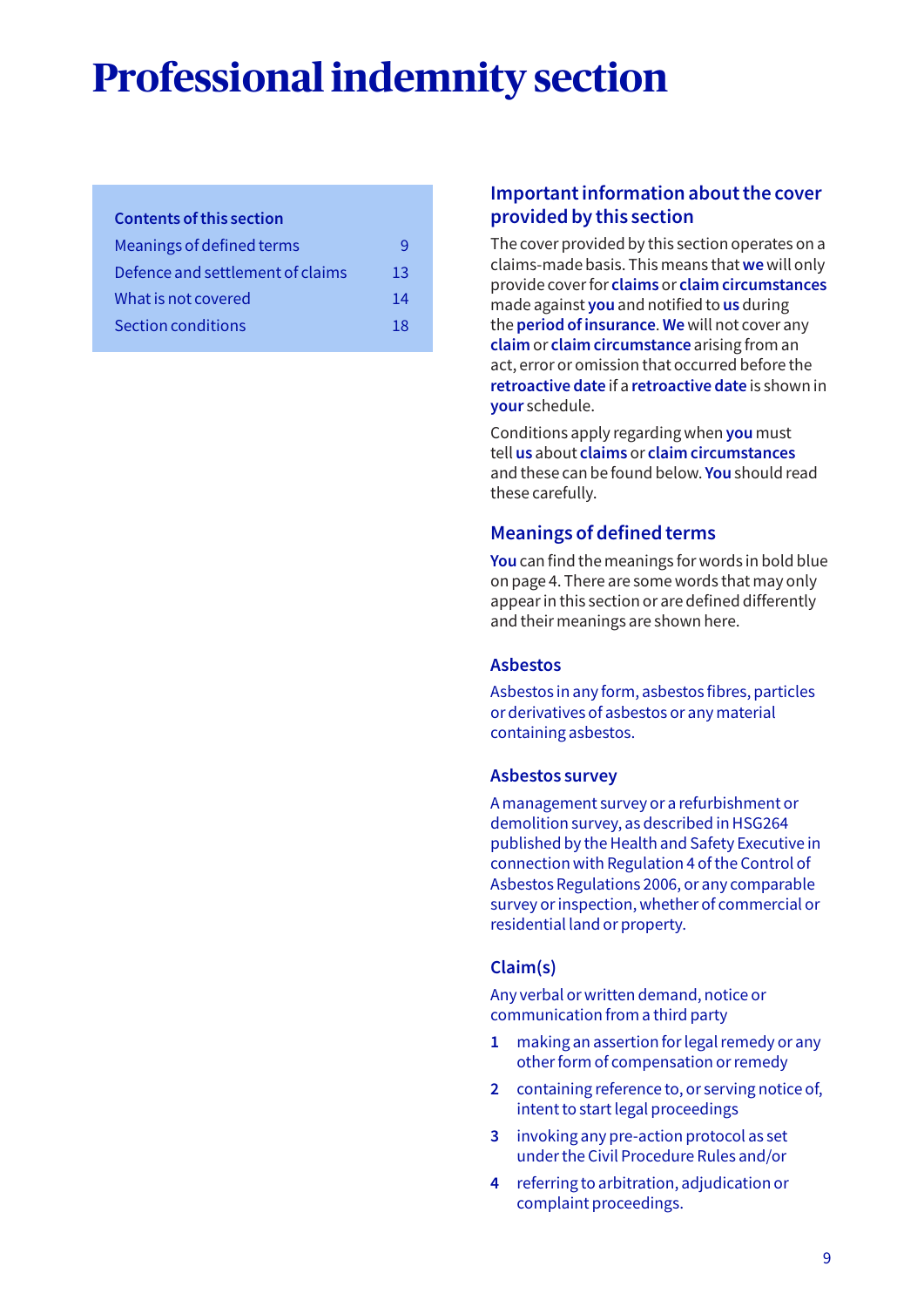# **Professional indemnity section**

#### **Contents of this section**

| Meanings of defined terms        |    |
|----------------------------------|----|
| Defence and settlement of claims | 13 |
| What is not covered              | 14 |
| Section conditions               | 18 |

# **Important information about the cover provided by this section**

The cover provided by this section operates on a claims-made basis. This means that **we** will only provide cover for **claims** or **claim circumstances** made against **you** and notified to **us** during the **period of insurance**. **We** will not cover any **claim** or **claim circumstance** arising from an act, error or omission that occurred before the **retroactive date** if a **retroactive date** is shown in **your** schedule.

Conditions apply regarding when **you** must tell **us** about **claims** or **claim circumstances** and these can be found below. **You** should read these carefully.

# **Meanings of defined terms**

**You** can find the meanings for words in bold blue on page 4. There are some words that may only appear in this section or are defined differently and their meanings are shown here.

#### **Asbestos**

Asbestos in any form, asbestos fibres, particles or derivatives of asbestos or any material containing asbestos.

#### **Asbestos survey**

A management survey or a refurbishment or demolition survey, as described in HSG264 published by the Health and Safety Executive in connection with Regulation 4 of the Control of Asbestos Regulations 2006, or any comparable survey or inspection, whether of commercial or residential land or property.

# **Claim(s)**

Any verbal or written demand, notice or communication from a third party

- **1** making an assertion for legal remedy or any other form of compensation or remedy
- **2** containing reference to, or serving notice of, intent to start legal proceedings
- **3** invoking any pre-action protocol as set under the Civil Procedure Rules and/or
- **4** referring to arbitration, adjudication or complaint proceedings.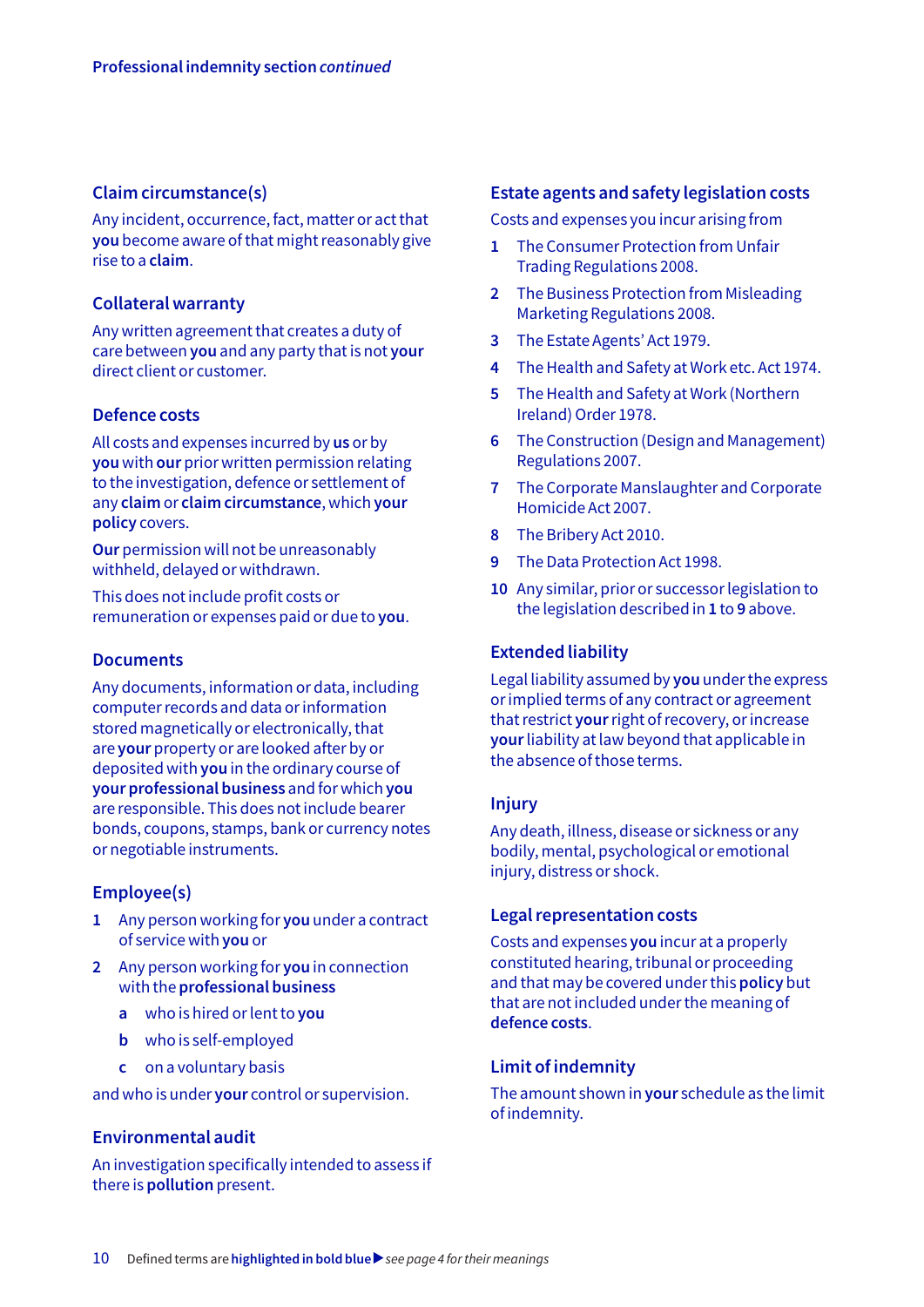#### **Claim circumstance(s)**

Any incident, occurrence, fact, matter or act that **you** become aware of that might reasonably give rise to a **claim**.

#### **Collateral warranty**

Any written agreement that creates a duty of care between **you** and any party that is not **your** direct client or customer.

#### **Defence costs**

All costs and expenses incurred by **us** or by **you** with **our** prior written permission relating to the investigation, defence or settlement of any **claim** or **claim circumstance**, which **your policy** covers.

**Our** permission will not be unreasonably withheld, delayed or withdrawn.

This does not include profit costs or remuneration or expenses paid or due to **you**.

#### **Documents**

Any documents, information or data, including computer records and data or information stored magnetically or electronically, that are **your** property or are looked after by or deposited with **you** in the ordinary course of **your professional business** and for which **you** are responsible. This does not include bearer bonds, coupons, stamps, bank or currency notes or negotiable instruments.

#### **Employee(s)**

- **1** Any person working for **you** under a contract of service with **you** or
- **2** Any person working for **you** in connection with the **professional business**
	- **a** who is hired or lent to **you**
	- **b** who is self-employed
	- **c** on a voluntary basis

and who is under **your** control or supervision.

#### **Environmental audit**

An investigation specifically intended to assess if there is **pollution** present.

#### **Estate agents and safety legislation costs**

Costs and expenses you incur arising from

- **1** The Consumer Protection from Unfair Trading Regulations 2008.
- **2** The Business Protection from Misleading Marketing Regulations 2008.
- **3** The Estate Agents' Act 1979.
- **4** The Health and Safety at Work etc. Act 1974.
- **5** The Health and Safety at Work (Northern Ireland) Order 1978.
- **6** The Construction (Design and Management) Regulations 2007.
- **7** The Corporate Manslaughter and Corporate Homicide Act 2007.
- **8** The Bribery Act 2010.
- **9** The Data Protection Act 1998.
- **10** Any similar, prior or successor legislation to the legislation described in **1** to **9** above.

#### **Extended liability**

Legal liability assumed by **you** under the express or implied terms of any contract or agreement that restrict **your** right of recovery, or increase **your** liability at law beyond that applicable in the absence of those terms.

#### **Injury**

Any death, illness, disease or sickness or any bodily, mental, psychological or emotional injury, distress or shock.

#### **Legal representation costs**

Costs and expenses **you** incur at a properly constituted hearing, tribunal or proceeding and that may be covered under this **policy** but that are not included under the meaning of **defence costs**.

#### **Limit of indemnity**

The amount shown in **your** schedule as the limit of indemnity.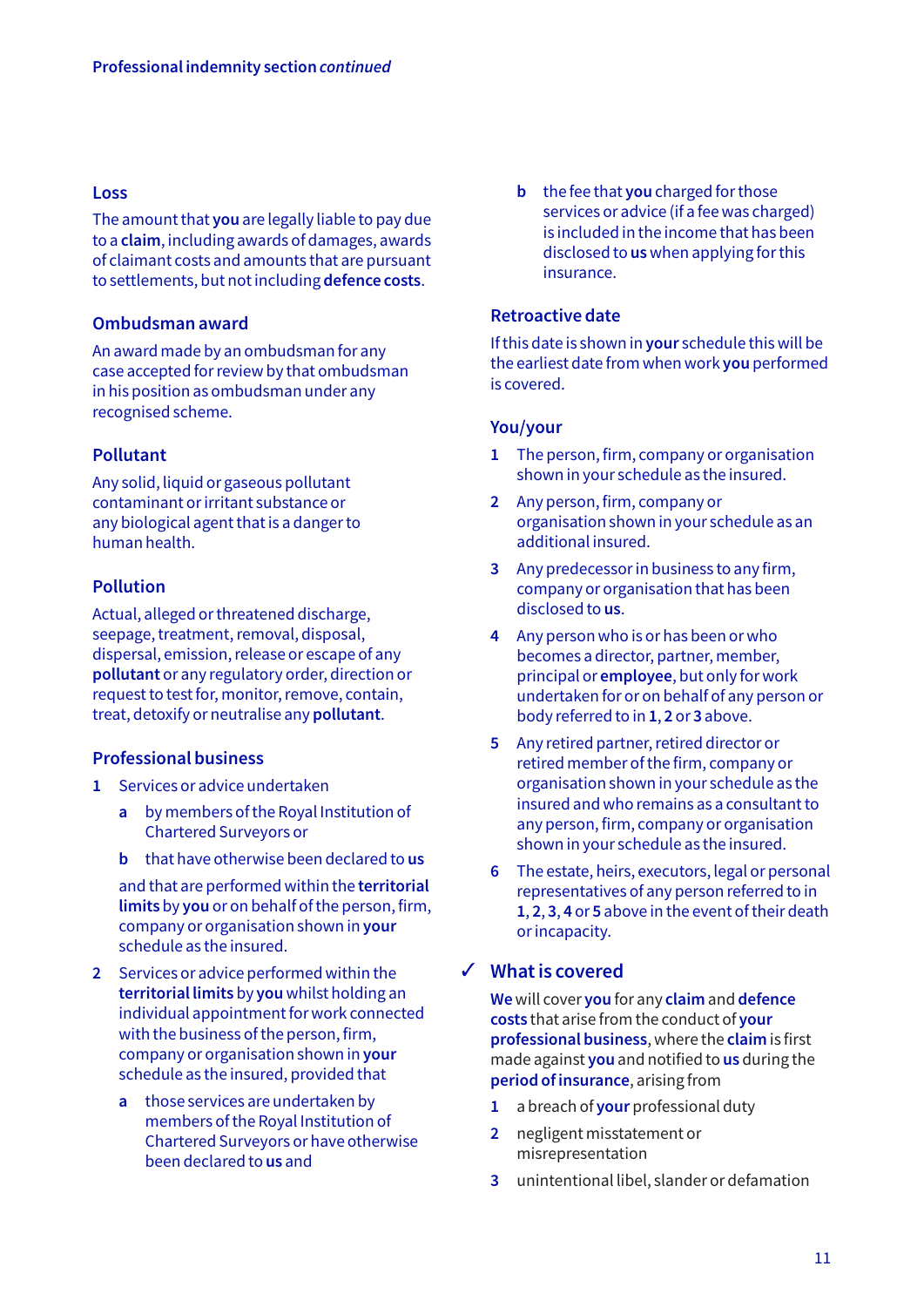#### **Loss**

The amount that **you** are legally liable to pay due to a **claim**, including awards of damages, awards of claimant costs and amounts that are pursuant to settlements, but not including **defence costs**.

#### **Ombudsman award**

An award made by an ombudsman for any case accepted for review by that ombudsman in his position as ombudsman under any recognised scheme.

#### **Pollutant**

Any solid, liquid or gaseous pollutant contaminant or irritant substance or any biological agent that is a danger to human health.

#### **Pollution**

Actual, alleged or threatened discharge, seepage, treatment, removal, disposal, dispersal, emission, release or escape of any **pollutant** or any regulatory order, direction or request to test for, monitor, remove, contain, treat, detoxify or neutralise any **pollutant**.

#### **Professional business**

- **1** Services or advice undertaken
	- **a** by members of the Royal Institution of Chartered Surveyors or
	- **b** that have otherwise been declared to **us**

and that are performed within the **territorial limits** by **you** or on behalf of the person, firm, company or organisation shown in **your** schedule as the insured.

- **2** Services or advice performed within the **territorial limits** by **you** whilst holding an individual appointment for work connected with the business of the person, firm, company or organisation shown in **your** schedule as the insured, provided that
	- **a** those services are undertaken by members of the Royal Institution of Chartered Surveyors or have otherwise been declared to **us** and

**b** the fee that **you** charged for those services or advice (if a fee was charged) is included in the income that has been disclosed to **us** when applying for this insurance.

#### **Retroactive date**

If this date is shown in **your** schedule this will be the earliest date from when work **you** performed is covered.

#### **You/your**

- **1** The person, firm, company or organisation shown in your schedule as the insured.
- **2** Any person, firm, company or organisation shown in your schedule as an additional insured.
- **3** Any predecessor in business to any firm, company or organisation that has been disclosed to **us**.
- **4** Any person who is or has been or who becomes a director, partner, member, principal or **employee**, but only for work undertaken for or on behalf of any person or body referred to in **1**, **2** or **3** above.
- **5** Any retired partner, retired director or retired member of the firm, company or organisation shown in your schedule as the insured and who remains as a consultant to any person, firm, company or organisation shown in your schedule as the insured.
- **6** The estate, heirs, executors, legal or personal representatives of any person referred to in **1**, **2**, **3**, **4** or **5** above in the event of their death or incapacity.

# **What is covered** 3

**We** will cover **you** for any **claim** and **defence costs** that arise from the conduct of **your professional business**, where the **claim** is first made against **you** and notified to **us** during the **period of insurance**, arising from

- **1** a breach of **your** professional duty
- **2** negligent misstatement or misrepresentation
- **3** unintentional libel, slander or defamation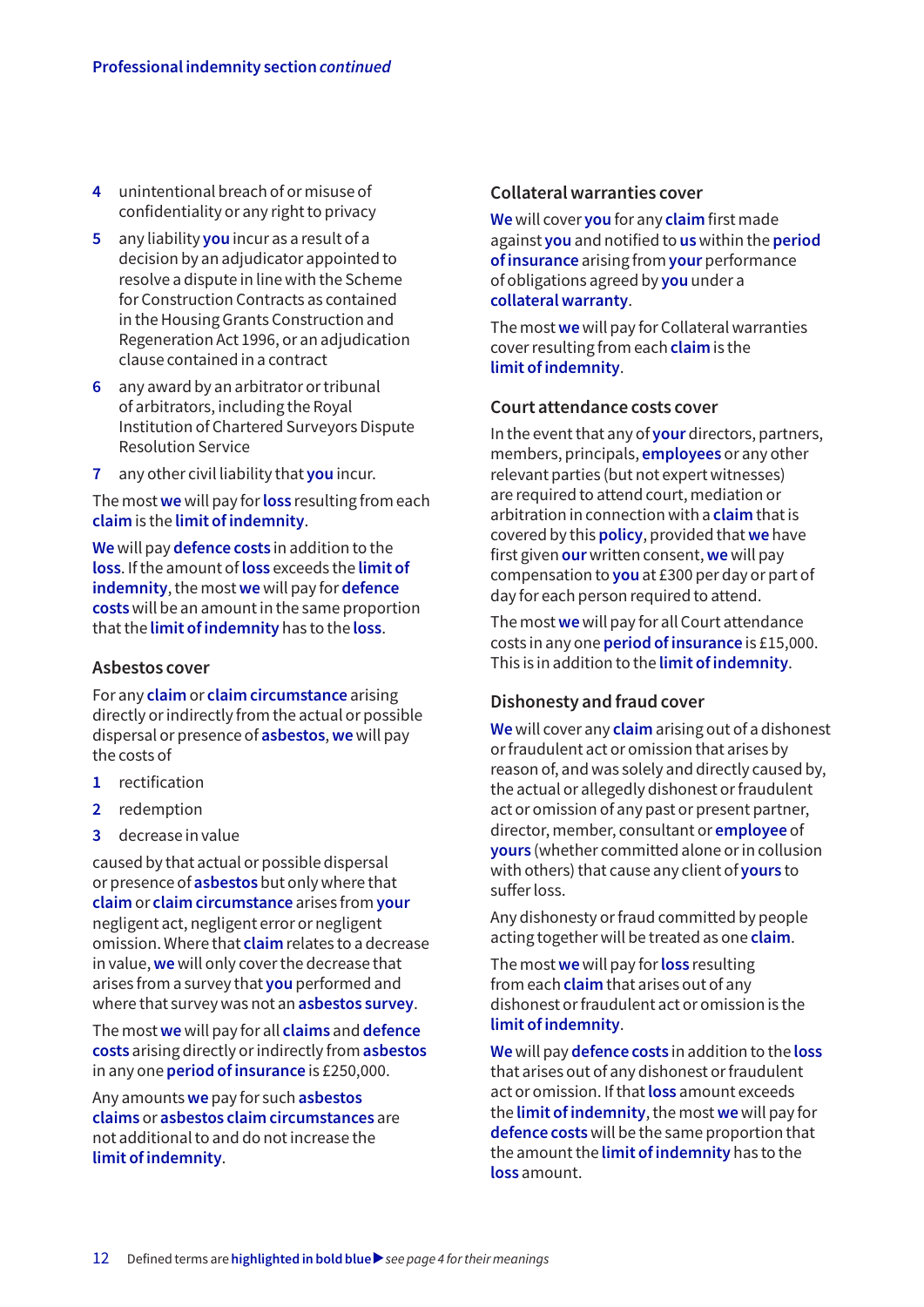- **4** unintentional breach of or misuse of confidentiality or any right to privacy
- **5** any liability **you** incur as a result of a decision by an adjudicator appointed to resolve a dispute in line with the Scheme for Construction Contracts as contained in the Housing Grants Construction and Regeneration Act 1996, or an adjudication clause contained in a contract
- **6** any award by an arbitrator or tribunal of arbitrators, including the Royal Institution of Chartered Surveyors Dispute Resolution Service
- **7** any other civil liability that **you** incur.

The most **we** will pay for **loss** resulting from each **claim** is the **limit of indemnity**.

**We** will pay **defence costs** in addition to the **loss**. If the amount of **loss** exceeds the **limit of indemnity**, the most **we** will pay for **defence costs** will be an amount in the same proportion that the **limit of indemnity** has to the **loss**.

#### **Asbestos cover**

For any **claim** or **claim circumstance** arising directly or indirectly from the actual or possible dispersal or presence of **asbestos**, **we** will pay the costs of

- **1** rectification
- **2** redemption
- **3** decrease in value

caused by that actual or possible dispersal or presence of **asbestos** but only where that **claim** or **claim circumstance** arises from **your** negligent act, negligent error or negligent omission. Where that **claim** relates to a decrease in value, **we** will only cover the decrease that arises from a survey that **you** performed and where that survey was not an **asbestos survey**.

The most **we** will pay for all **claims** and **defence costs** arising directly or indirectly from **asbestos** in any one **period of insurance** is £250,000.

Any amounts **we** pay for such **asbestos claims** or **asbestos claim circumstances** are not additional to and do not increase the **limit of indemnity**.

#### **Collateral warranties cover**

**We** will cover **you** for any **claim** first made against **you** and notified to **us** within the **period of insurance** arising from **your** performance of obligations agreed by **you** under a **collateral warranty**.

The most **we** will pay for Collateral warranties cover resulting from each **claim** is the **limit of indemnity**.

#### **Court attendance costs cover**

In the event that any of **your** directors, partners, members, principals, **employees** or any other relevant parties (but not expert witnesses) are required to attend court, mediation or arbitration in connection with a **claim** that is covered by this **policy**, provided that **we** have first given **our** written consent, **we** will pay compensation to **you** at £300 per day or part of day for each person required to attend.

The most **we** will pay for all Court attendance costs in any one **period of insurance** is £15,000. This is in addition to the **limit of indemnity**.

#### **Dishonesty and fraud cover**

**We** will cover any **claim** arising out of a dishonest or fraudulent act or omission that arises by reason of, and was solely and directly caused by, the actual or allegedly dishonest or fraudulent act or omission of any past or present partner, director, member, consultant or **employee** of **yours** (whether committed alone or in collusion with others) that cause any client of **yours** to suffer loss.

Any dishonesty or fraud committed by people acting together will be treated as one **claim**.

The most **we** will pay for **loss** resulting from each **claim** that arises out of any dishonest or fraudulent act or omission is the **limit of indemnity**.

**We** will pay **defence costs** in addition to the **loss** that arises out of any dishonest or fraudulent act or omission. If that **loss** amount exceeds the **limit of indemnity**, the most **we** will pay for **defence costs** will be the same proportion that the amount the **limit of indemnity** has to the **loss** amount.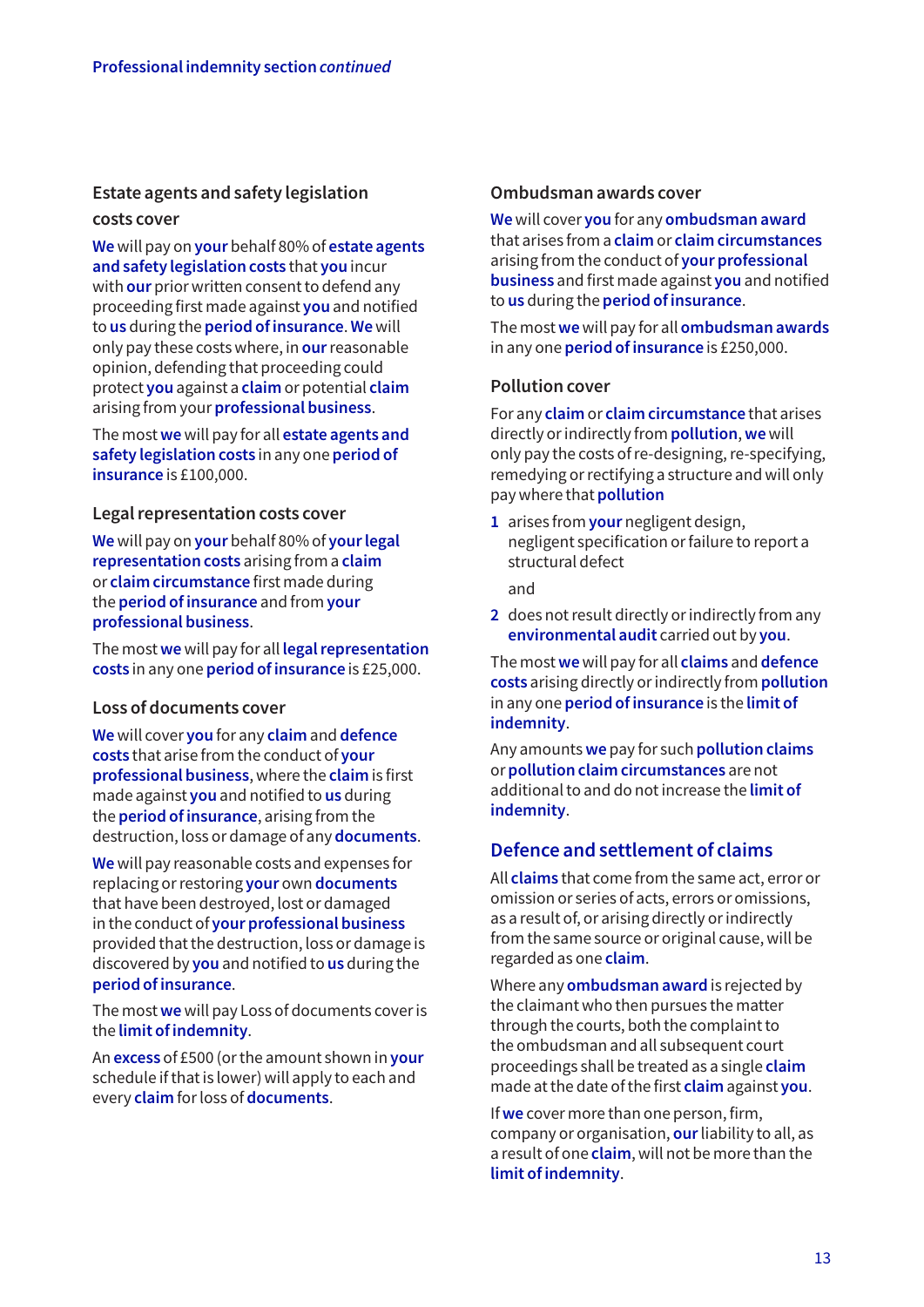# **Estate agents and safety legislation costs cover**

**We** will pay on **your** behalf 80% of **estate agents and safety legislation costs** that **you** incur with **our** prior written consent to defend any proceeding first made against **you** and notified to **us** during the **period of insurance**. **We** will only pay these costs where, in **our** reasonable opinion, defending that proceeding could protect **you** against a **claim** or potential **claim** arising from your **professional business**.

The most **we** will pay for all **estate agents and safety legislation costs** in any one **period of insurance** is £100,000.

#### **Legal representation costs cover**

**We** will pay on **your** behalf 80% of **your legal representation costs** arising from a **claim** or **claim circumstance** first made during the **period of insurance** and from **your professional business**.

The most **we** will pay for all **legal representation costs** in any one **period of insurance** is £25,000.

#### **Loss of documents cover**

**We** will cover **you** for any **claim** and **defence costs** that arise from the conduct of **your professional business**, where the **claim** is first made against **you** and notified to **us** during the **period of insurance**, arising from the destruction, loss or damage of any **documents**.

**We** will pay reasonable costs and expenses for replacing or restoring **your** own **documents** that have been destroyed, lost or damaged in the conduct of **your professional business** provided that the destruction, loss or damage is discovered by **you** and notified to **us** during the **period of insurance**.

The most **we** will pay Loss of documents cover is the **limit of indemnity**.

An **excess** of £500 (or the amount shown in **your** schedule if that is lower) will apply to each and every **claim** for loss of **documents**.

#### **Ombudsman awards cover**

**We** will cover **you** for any **ombudsman award** that arises from a **claim** or **claim circumstances** arising from the conduct of **your professional business** and first made against **you** and notified to **us** during the **period of insurance**.

The most **we** will pay for all **ombudsman awards** in any one **period of insurance** is £250,000.

#### **Pollution cover**

For any **claim** or **claim circumstance** that arises directly or indirectly from **pollution**, **we** will only pay the costs of re-designing, re-specifying, remedying or rectifying a structure and will only pay where that **pollution**

**1** arises from **your** negligent design, negligent specification or failure to report a structural defect

and

**2** does not result directly or indirectly from any **environmental audit** carried out by **you**.

The most **we** will pay for all **claims** and **defence costs** arising directly or indirectly from **pollution** in any one **period of insurance** is the **limit of indemnity**.

Any amounts **we** pay for such **pollution claims** or **pollution claim circumstances** are not additional to and do not increase the **limit of indemnity**.

# **Defence and settlement of claims**

All **claims** that come from the same act, error or omission or series of acts, errors or omissions, as a result of, or arising directly or indirectly from the same source or original cause, will be regarded as one **claim**.

Where any **ombudsman award** is rejected by the claimant who then pursues the matter through the courts, both the complaint to the ombudsman and all subsequent court proceedings shall be treated as a single **claim** made at the date of the first **claim** against **you**.

If **we** cover more than one person, firm, company or organisation, **our** liability to all, as a result of one **claim**, will not be more than the **limit of indemnity**.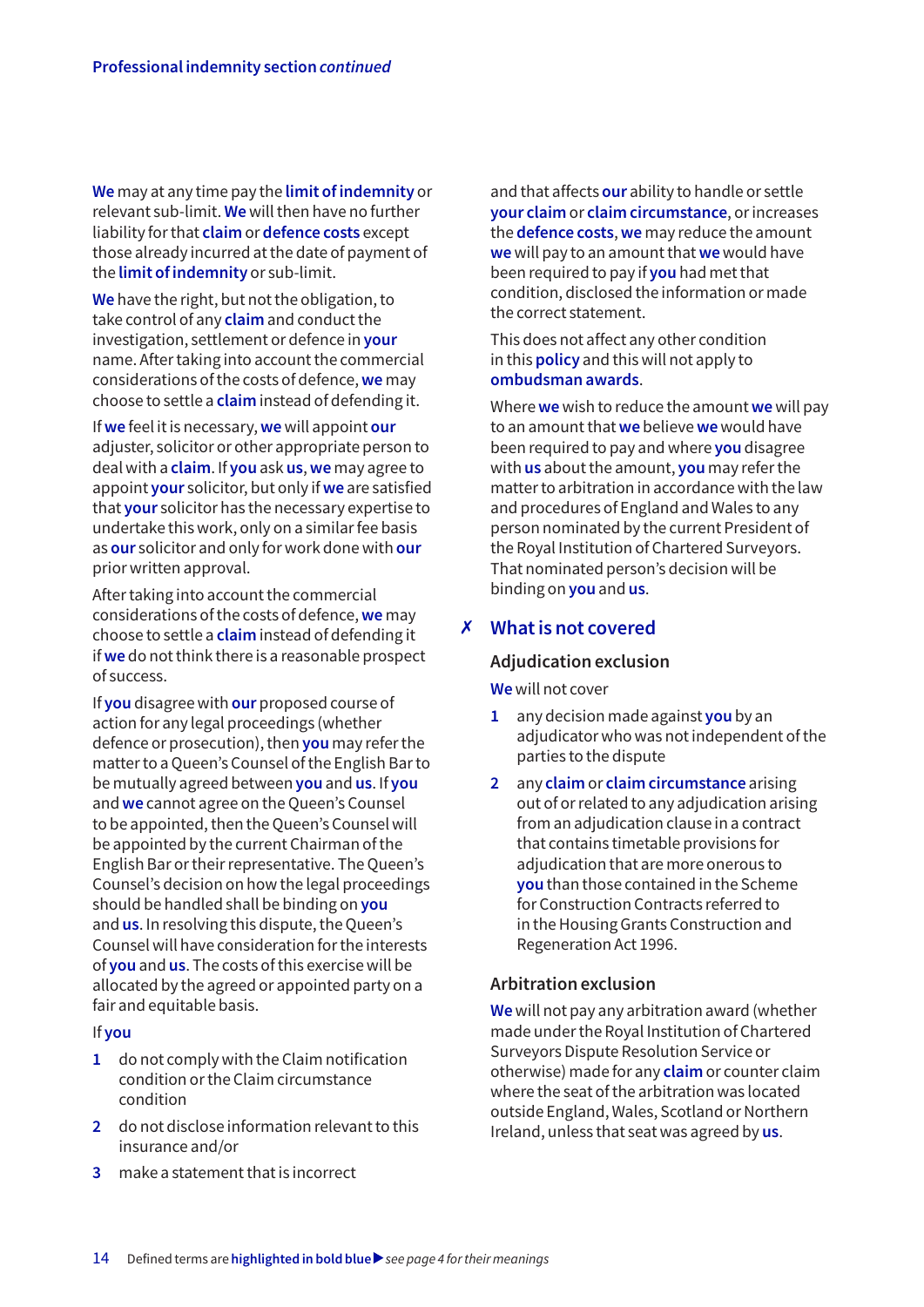**We** may at any time pay the **limit of indemnity** or relevant sub-limit. **We** will then have no further liability for that **claim** or **defence costs** except those already incurred at the date of payment of the **limit of indemnity** or sub-limit.

**We** have the right, but not the obligation, to take control of any **claim** and conduct the investigation, settlement or defence in **your** name. After taking into account the commercial considerations of the costs of defence, **we** may choose to settle a **claim** instead of defending it.

If **we** feel it is necessary, **we** will appoint **our** adjuster, solicitor or other appropriate person to deal with a **claim**. If **you** ask **us**, **we** may agree to appoint **your** solicitor, but only if **we** are satisfied that **your** solicitor has the necessary expertise to undertake this work, only on a similar fee basis as **our** solicitor and only for work done with **our** prior written approval.

After taking into account the commercial considerations of the costs of defence, **we** may choose to settle a **claim** instead of defending it if **we** do not think there is a reasonable prospect of success.

If **you** disagree with **our** proposed course of action for any legal proceedings (whether defence or prosecution), then **you** may refer the matter to a Queen's Counsel of the English Bar to be mutually agreed between **you** and **us**. If **you** and **we** cannot agree on the Queen's Counsel to be appointed, then the Queen's Counsel will be appointed by the current Chairman of the English Bar or their representative. The Queen's Counsel's decision on how the legal proceedings should be handled shall be binding on **you** and **us**. In resolving this dispute, the Queen's Counsel will have consideration for the interests of **you** and **us**. The costs of this exercise will be allocated by the agreed or appointed party on a fair and equitable basis.

#### If **you**

- **1** do not comply with the Claim notification condition or the Claim circumstance condition
- **2** do not disclose information relevant to this insurance and/or
- **3** make a statement that is incorrect

and that affects **our** ability to handle or settle **your claim** or **claim circumstance**, or increases the **defence costs**, **we** may reduce the amount **we** will pay to an amount that **we** would have been required to pay if **you** had met that condition, disclosed the information or made the correct statement.

This does not affect any other condition in this **policy** and this will not apply to **ombudsman awards**.

Where **we** wish to reduce the amount **we** will pay to an amount that **we** believe **we** would have been required to pay and where **you** disagree with **us** about the amount, **you** may refer the matter to arbitration in accordance with the law and procedures of England and Wales to any person nominated by the current President of the Royal Institution of Chartered Surveyors. That nominated person's decision will be binding on **you** and **us**.

# **What is not covered** 7

#### **Adjudication exclusion**

**We** will not cover

- **1** any decision made against **you** by an adjudicator who was not independent of the parties to the dispute
- **2** any **claim** or **claim circumstance** arising out of or related to any adjudication arising from an adjudication clause in a contract that contains timetable provisions for adjudication that are more onerous to **you** than those contained in the Scheme for Construction Contracts referred to in the Housing Grants Construction and Regeneration Act 1996.

#### **Arbitration exclusion**

**We** will not pay any arbitration award (whether made under the Royal Institution of Chartered Surveyors Dispute Resolution Service or otherwise) made for any **claim** or counter claim where the seat of the arbitration was located outside England, Wales, Scotland or Northern Ireland, unless that seat was agreed by **us**.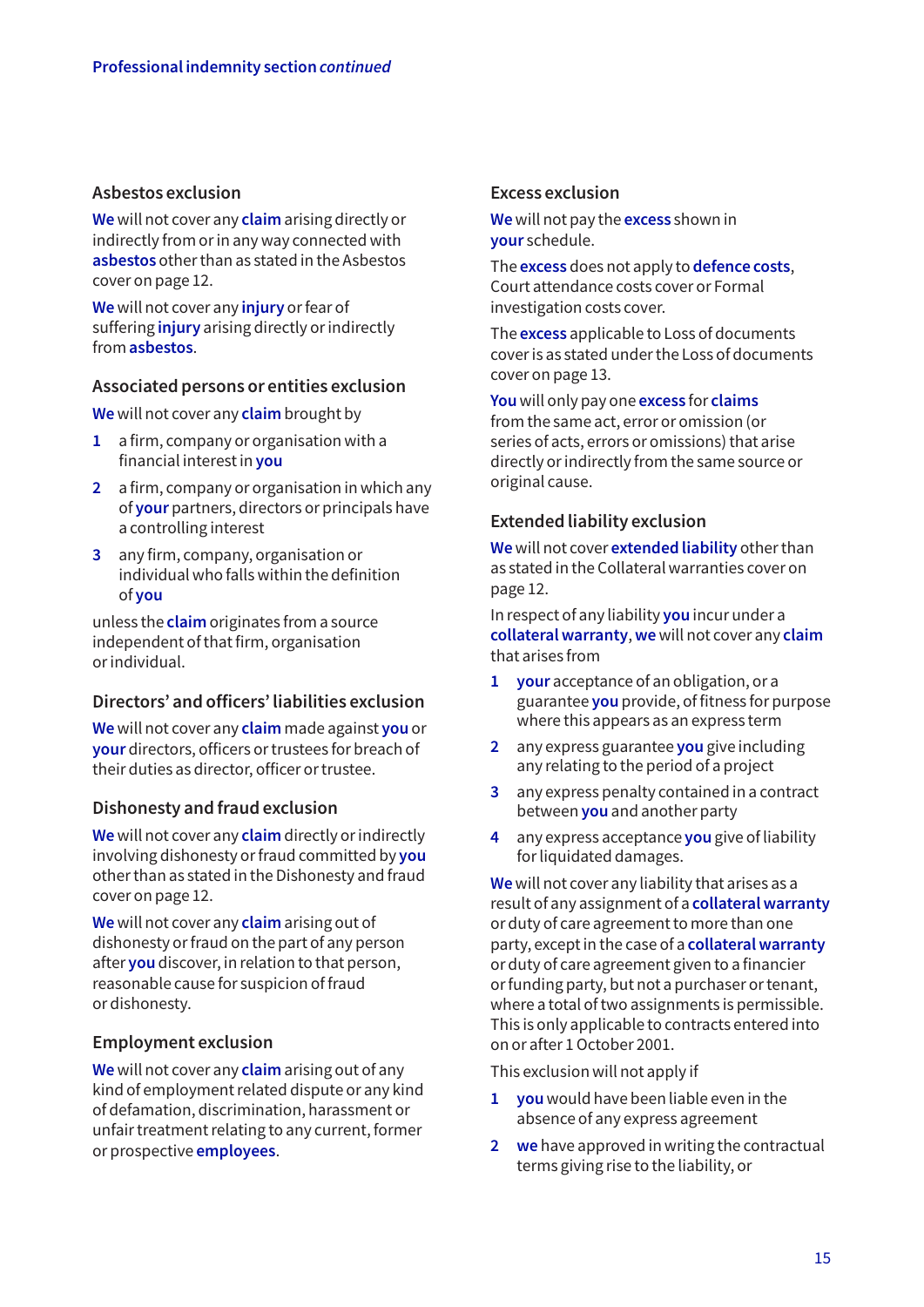#### **Asbestos exclusion**

**We** will not cover any **claim** arising directly or indirectly from or in any way connected with **asbestos** other than as stated in the Asbestos cover on page 12.

**We** will not cover any **injury** or fear of suffering **injury** arising directly or indirectly from **asbestos**.

#### **Associated persons or entities exclusion**

**We** will not cover any **claim** brought by

- **1** a firm, company or organisation with a financial interest in **you**
- **2** a firm, company or organisation in which any of **your** partners, directors or principals have a controlling interest
- **3** any firm, company, organisation or individual who falls within the definition of **you**

unless the **claim** originates from a source independent of that firm, organisation or individual.

#### **Directors' and officers' liabilities exclusion**

**We** will not cover any **claim** made against **you** or **your** directors, officers or trustees for breach of their duties as director, officer or trustee.

#### **Dishonesty and fraud exclusion**

**We** will not cover any **claim** directly or indirectly involving dishonesty or fraud committed by **you** other than as stated in the Dishonesty and fraud cover on page 12.

**We** will not cover any **claim** arising out of dishonesty or fraud on the part of any person after **you** discover, in relation to that person, reasonable cause for suspicion of fraud or dishonesty.

#### **Employment exclusion**

**We** will not cover any **claim** arising out of any kind of employment related dispute or any kind of defamation, discrimination, harassment or unfair treatment relating to any current, former or prospective **employees**.

#### **Excess exclusion**

**We** will not pay the **excess** shown in **your** schedule.

The **excess** does not apply to **defence costs**, Court attendance costs cover or Formal investigation costs cover.

The **excess** applicable to Loss of documents cover is as stated under the Loss of documents cover on page 13.

**You** will only pay one **excess** for **claims** from the same act, error or omission (or series of acts, errors or omissions) that arise directly or indirectly from the same source or original cause.

#### **Extended liability exclusion**

**We** will not cover **extended liability** other than as stated in the Collateral warranties cover on page 12.

In respect of any liability **you** incur under a **collateral warranty**, **we** will not cover any **claim** that arises from

- **1 your** acceptance of an obligation, or a guarantee **you** provide, of fitness for purpose where this appears as an express term
- **2** any express guarantee **you** give including any relating to the period of a project
- **3** any express penalty contained in a contract between **you** and another party
- **4** any express acceptance **you** give of liability for liquidated damages.

**We** will not cover any liability that arises as a result of any assignment of a **collateral warranty** or duty of care agreement to more than one party, except in the case of a **collateral warranty** or duty of care agreement given to a financier or funding party, but not a purchaser or tenant, where a total of two assignments is permissible. This is only applicable to contracts entered into on or after 1 October 2001.

This exclusion will not apply if

- **1 you** would have been liable even in the absence of any express agreement
- **2 we** have approved in writing the contractual terms giving rise to the liability, or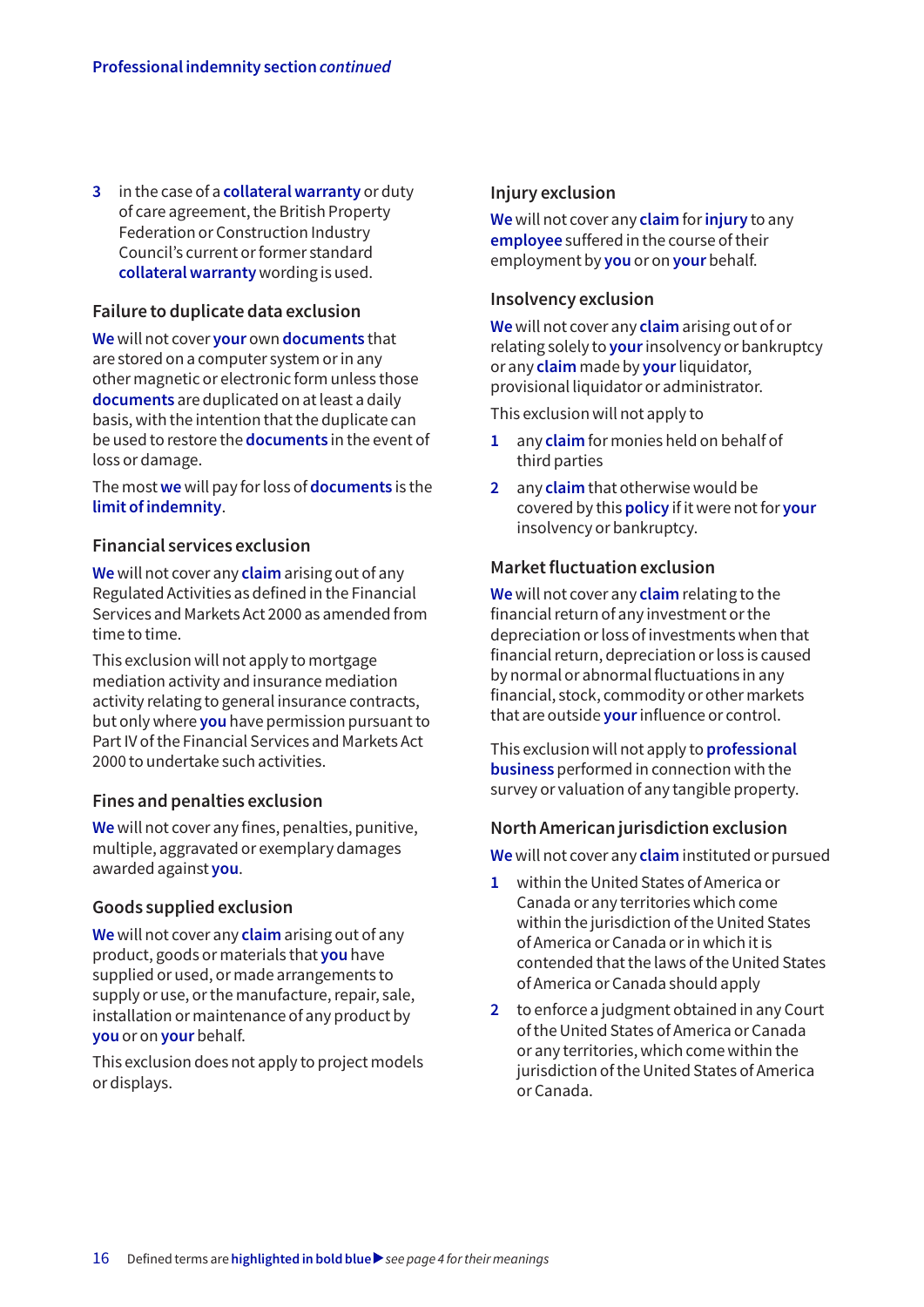**3** in the case of a **collateral warranty** or duty of care agreement, the British Property Federation or Construction Industry Council's current or former standard **collateral warranty** wording is used.

#### **Failure to duplicate data exclusion**

**We** will not cover **your** own **documents** that are stored on a computer system or in any other magnetic or electronic form unless those **documents** are duplicated on at least a daily basis, with the intention that the duplicate can be used to restore the **documents** in the event of loss or damage.

The most **we** will pay for loss of **documents** is the **limit of indemnity**.

#### **Financial services exclusion**

**We** will not cover any **claim** arising out of any Regulated Activities as defined in the Financial Services and Markets Act 2000 as amended from time to time.

This exclusion will not apply to mortgage mediation activity and insurance mediation activity relating to general insurance contracts, but only where **you** have permission pursuant to Part IV of the Financial Services and Markets Act 2000 to undertake such activities.

#### **Fines and penalties exclusion**

**We** will not cover any fines, penalties, punitive, multiple, aggravated or exemplary damages awarded against **you**.

#### **Goods supplied exclusion**

**We** will not cover any **claim** arising out of any product, goods or materials that **you** have supplied or used, or made arrangements to supply or use, or the manufacture, repair, sale, installation or maintenance of any product by **you** or on **your** behalf.

This exclusion does not apply to project models or displays.

#### **Injury exclusion**

**We** will not cover any **claim** for **injury** to any **employee** suffered in the course of their employment by **you** or on **your** behalf.

#### **Insolvency exclusion**

**We** will not cover any **claim** arising out of or relating solely to **your** insolvency or bankruptcy or any **claim** made by **your** liquidator, provisional liquidator or administrator.

This exclusion will not apply to

- **1** any **claim** for monies held on behalf of third parties
- **2** any **claim** that otherwise would be covered by this **policy** if it were not for **your** insolvency or bankruptcy.

#### **Market fluctuation exclusion**

**We** will not cover any **claim** relating to the financial return of any investment or the depreciation or loss of investments when that financial return, depreciation or loss is caused by normal or abnormal fluctuations in any financial, stock, commodity or other markets that are outside **your** influence or control.

This exclusion will not apply to **professional business** performed in connection with the survey or valuation of any tangible property.

#### **North American jurisdiction exclusion**

**We** will not cover any **claim** instituted or pursued

- **1** within the United States of America or Canada or any territories which come within the jurisdiction of the United States of America or Canada or in which it is contended that the laws of the United States of America or Canada should apply
- **2** to enforce a judgment obtained in any Court of the United States of America or Canada or any territories, which come within the jurisdiction of the United States of America or Canada.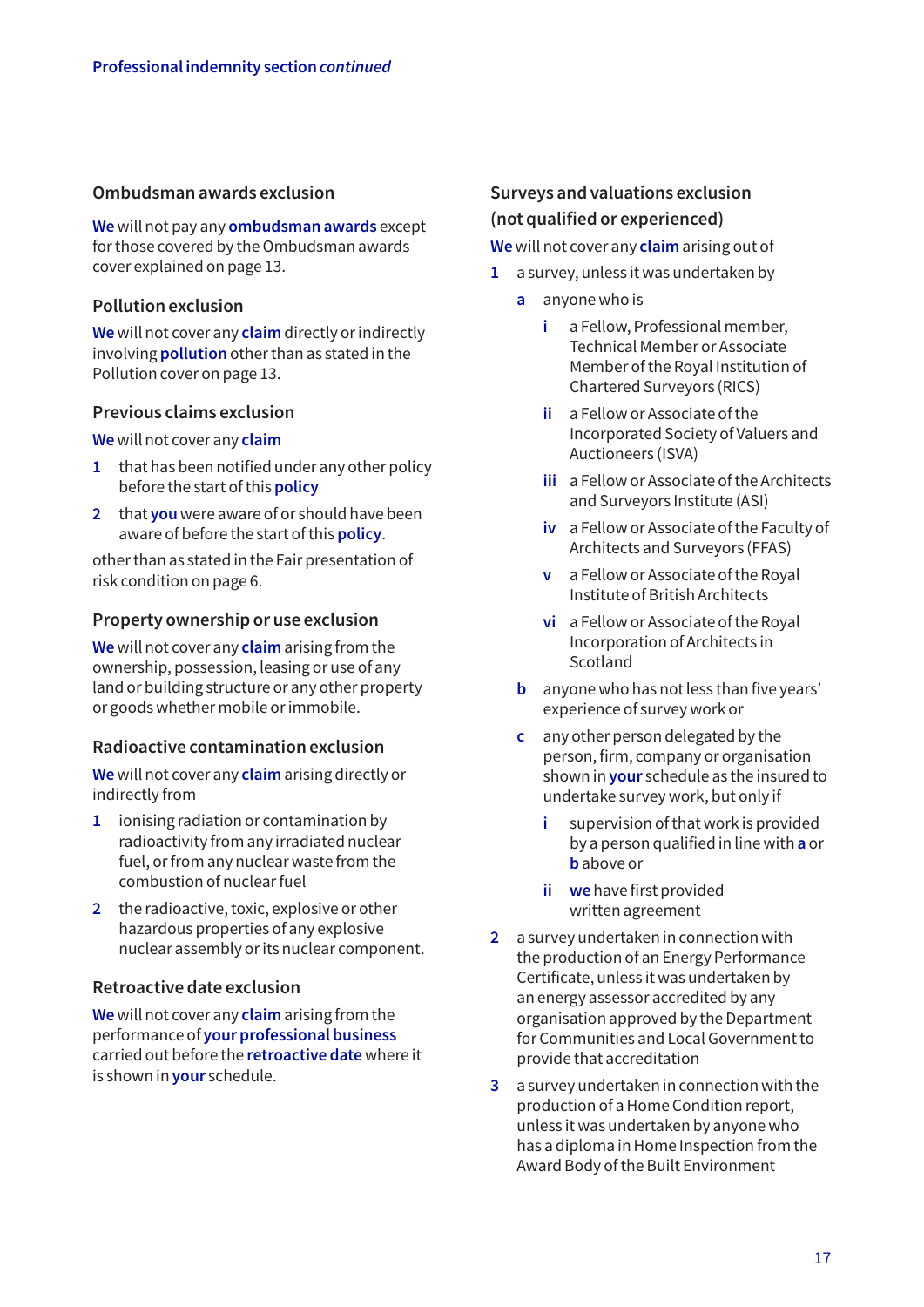#### **Ombudsman awards exclusion**

**We** will not pay any **ombudsman awards** except for those covered by the Ombudsman awards cover explained on page 13.

#### **Pollution exclusion**

**We** will not cover any **claim** directly or indirectly involving **pollution** other than as stated in the Pollution cover on page 13.

#### **Previous claims exclusion**

**We** will not cover any **claim**

- **1** that has been notified under any other policy before the start of this **policy**
- **2** that **you** were aware of or should have been aware of before the start of this **policy**.

other than as stated in the Fair presentation of risk condition on page 6.

#### **Property ownership or use exclusion**

**We** will not cover any **claim** arising from the ownership, possession, leasing or use of any land or building structure or any other property or goods whether mobile or immobile.

# **Radioactive contamination exclusion**

**We** will not cover any **claim** arising directly or indirectly from

- **1** ionising radiation or contamination by radioactivity from any irradiated nuclear fuel, or from any nuclear waste from the combustion of nuclear fuel
- **2** the radioactive, toxic, explosive or other hazardous properties of any explosive nuclear assembly or its nuclear component.

#### **Retroactive date exclusion**

**We** will not cover any **claim** arising from the performance of **your professional business** carried out before the **retroactive date** where it is shown in **your** schedule.

# **Surveys and valuations exclusion (not qualified or experienced)**

**We** will not cover any **claim** arising out of

- **1** a survey, unless it was undertaken by
	- **a** anyone who is
		- **i** a Fellow, Professional member, Technical Member or Associate Member of the Royal Institution of Chartered Surveyors (RICS)
		- **ii** a Fellow or Associate of the Incorporated Society of Valuers and Auctioneers (ISVA)
		- **iii** a Fellow or Associate of the Architects and Surveyors Institute (ASI)
		- **iv** a Fellow or Associate of the Faculty of Architects and Surveyors (FFAS)
		- **v** a Fellow or Associate of the Royal Institute of British Architects
		- **vi** a Fellow or Associate of the Royal Incorporation of Architects in **Scotland**
	- **b** anyone who has not less than five years' experience of survey work or
	- **c** any other person delegated by the person, firm, company or organisation shown in **your** schedule as the insured to undertake survey work, but only if
		- **i** supervision of that work is provided by a person qualified in line with **a** or **b** above or
		- **ii we** have first provided written agreement
- **2** a survey undertaken in connection with the production of an Energy Performance Certificate, unless it was undertaken by an energy assessor accredited by any organisation approved by the Department for Communities and Local Government to provide that accreditation
- **3** a survey undertaken in connection with the production of a Home Condition report, unless it was undertaken by anyone who has a diploma in Home Inspection from the Award Body of the Built Environment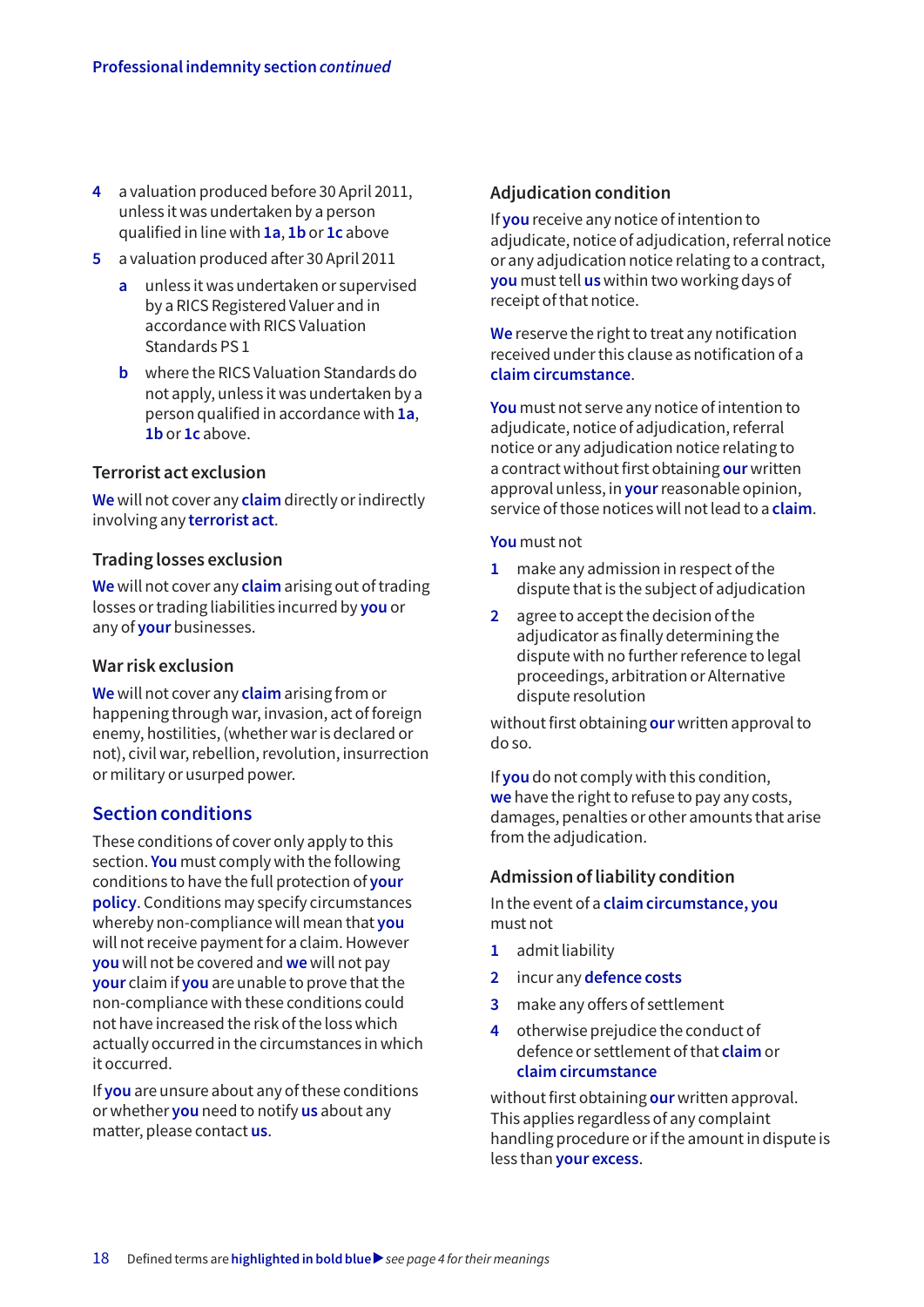- **4** a valuation produced before 30 April 2011, unless it was undertaken by a person qualified in line with **1a**, **1b** or **1c** above
- **5** a valuation produced after 30 April 2011
	- **a** unless it was undertaken or supervised by a RICS Registered Valuer and in accordance with RICS Valuation Standards PS 1
	- **b** where the RICS Valuation Standards do not apply, unless it was undertaken by a person qualified in accordance with **1a**, **1b** or **1c** above.

#### **Terrorist act exclusion**

**We** will not cover any **claim** directly or indirectly involving any **terrorist act**.

#### **Trading losses exclusion**

**We** will not cover any **claim** arising out of trading losses or trading liabilities incurred by **you** or any of **your** businesses.

#### **War risk exclusion**

**We** will not cover any **claim** arising from or happening through war, invasion, act of foreign enemy, hostilities, (whether war is declared or not), civil war, rebellion, revolution, insurrection or military or usurped power.

# **Section conditions**

These conditions of cover only apply to this section. **You** must comply with the following conditions to have the full protection of **your policy**. Conditions may specify circumstances whereby non-compliance will mean that **you**  will not receive payment for a claim. However **you** will not be covered and **we** will not pay **your** claim if **you** are unable to prove that the non-compliance with these conditions could not have increased the risk of the loss which actually occurred in the circumstances in which it occurred.

If **you** are unsure about any of these conditions or whether **you** need to notify **us** about any matter, please contact **us**.

#### **Adjudication condition**

If **you** receive any notice of intention to adjudicate, notice of adjudication, referral notice or any adjudication notice relating to a contract, **you** must tell **us** within two working days of receipt of that notice.

**We** reserve the right to treat any notification received under this clause as notification of a **claim circumstance**.

**You** must not serve any notice of intention to adjudicate, notice of adjudication, referral notice or any adjudication notice relating to a contract without first obtaining **our** written approval unless, in **your** reasonable opinion, service of those notices will not lead to a **claim**.

#### **You** must not

- **1** make any admission in respect of the dispute that is the subject of adjudication
- **2** agree to accept the decision of the adjudicator as finally determining the dispute with no further reference to legal proceedings, arbitration or Alternative dispute resolution

without first obtaining **our** written approval to do so.

If **you** do not comply with this condition, **we** have the right to refuse to pay any costs, damages, penalties or other amounts that arise from the adjudication.

#### **Admission of liability condition**

In the event of a **claim circumstance, you** must not

- **1** admit liability
- **2** incur any **defence costs**
- **3** make any offers of settlement
- **4** otherwise prejudice the conduct of defence or settlement of that **claim** or **claim circumstance**

without first obtaining **our** written approval. This applies regardless of any complaint handling procedure or if the amount in dispute is less than **your excess**.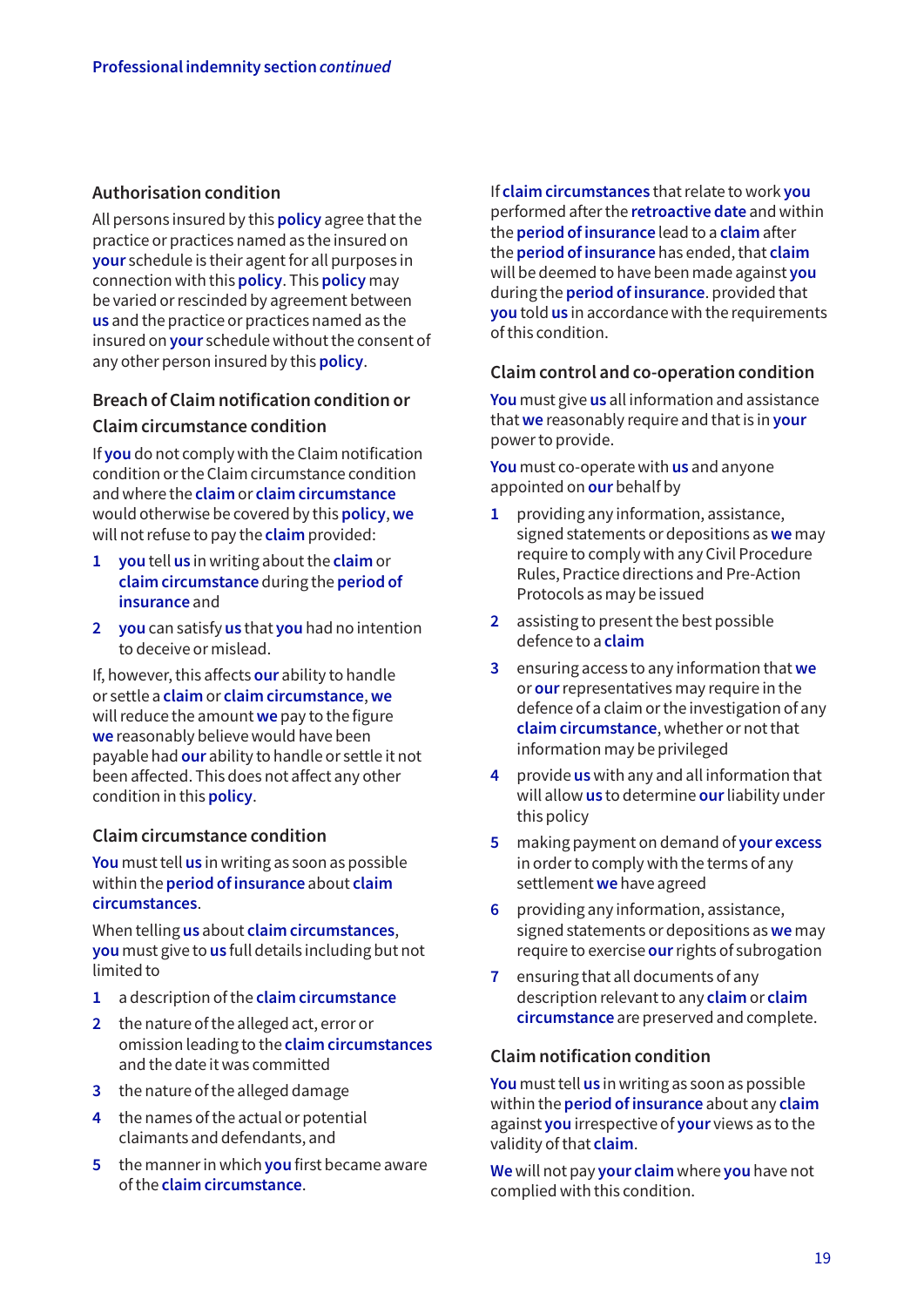# **Authorisation condition**

All persons insured by this **policy** agree that the practice or practices named as the insured on **your** schedule is their agent for all purposes in connection with this **policy**. This **policy** may be varied or rescinded by agreement between **us** and the practice or practices named as the insured on **your** schedule without the consent of any other person insured by this **policy**.

# **Breach of Claim notification condition or**

# **Claim circumstance condition**

If **you** do not comply with the Claim notification condition or the Claim circumstance condition and where the **claim** or **claim circumstance** would otherwise be covered by this **policy**, **we** will not refuse to pay the **claim** provided:

- **1 you** tell **us** in writing about the **claim** or **claim circumstance** during the **period of insurance** and
- **2 you** can satisfy **us** that **you** had no intention to deceive or mislead.

If, however, this affects **our** ability to handle or settle a **claim** or **claim circumstance**, **we** will reduce the amount **we** pay to the figure **we** reasonably believe would have been payable had **our** ability to handle or settle it not been affected. This does not affect any other condition in this **policy**.

# **Claim circumstance condition**

**You** must tell **us** in writing as soon as possible within the **period of insurance** about **claim circumstances**.

When telling **us** about **claim circumstances**, **you** must give to **us** full details including but not limited to

- **1** a description of the **claim circumstance**
- **2** the nature of the alleged act, error or omission leading to the **claim circumstances** and the date it was committed
- **3** the nature of the alleged damage
- **4** the names of the actual or potential claimants and defendants, and
- **5** the manner in which **you** first became aware of the **claim circumstance**.

If **claim circumstances** that relate to work **you**  performed after the **retroactive date** and within the **period of insurance** lead to a **claim** after the **period of insurance** has ended, that **claim** will be deemed to have been made against **you** during the **period of insurance**. provided that **you** told **us** in accordance with the requirements of this condition.

#### **Claim control and co-operation condition**

**You** must give **us** all information and assistance that **we** reasonably require and that is in **your** power to provide.

**You** must co-operate with **us** and anyone appointed on **our** behalf by

- **1** providing any information, assistance, signed statements or depositions as **we** may require to comply with any Civil Procedure Rules, Practice directions and Pre-Action Protocols as may be issued
- **2** assisting to present the best possible defence to a **claim**
- **3** ensuring access to any information that **we** or **our** representatives may require in the defence of a claim or the investigation of any **claim circumstance**, whether or not that information may be privileged
- **4** provide **us** with any and all information that will allow **us** to determine **our** liability under this policy
- **5** making payment on demand of **your excess**  in order to comply with the terms of any settlement **we** have agreed
- **6** providing any information, assistance, signed statements or depositions as **we** may require to exercise **our** rights of subrogation
- **7** ensuring that all documents of any description relevant to any **claim** or **claim circumstance** are preserved and complete.

# **Claim notification condition**

**You** must tell **us** in writing as soon as possible within the **period of insurance** about any **claim**  against **you** irrespective of **your** views as to the validity of that **claim**.

**We** will not pay **your claim** where **you** have not complied with this condition.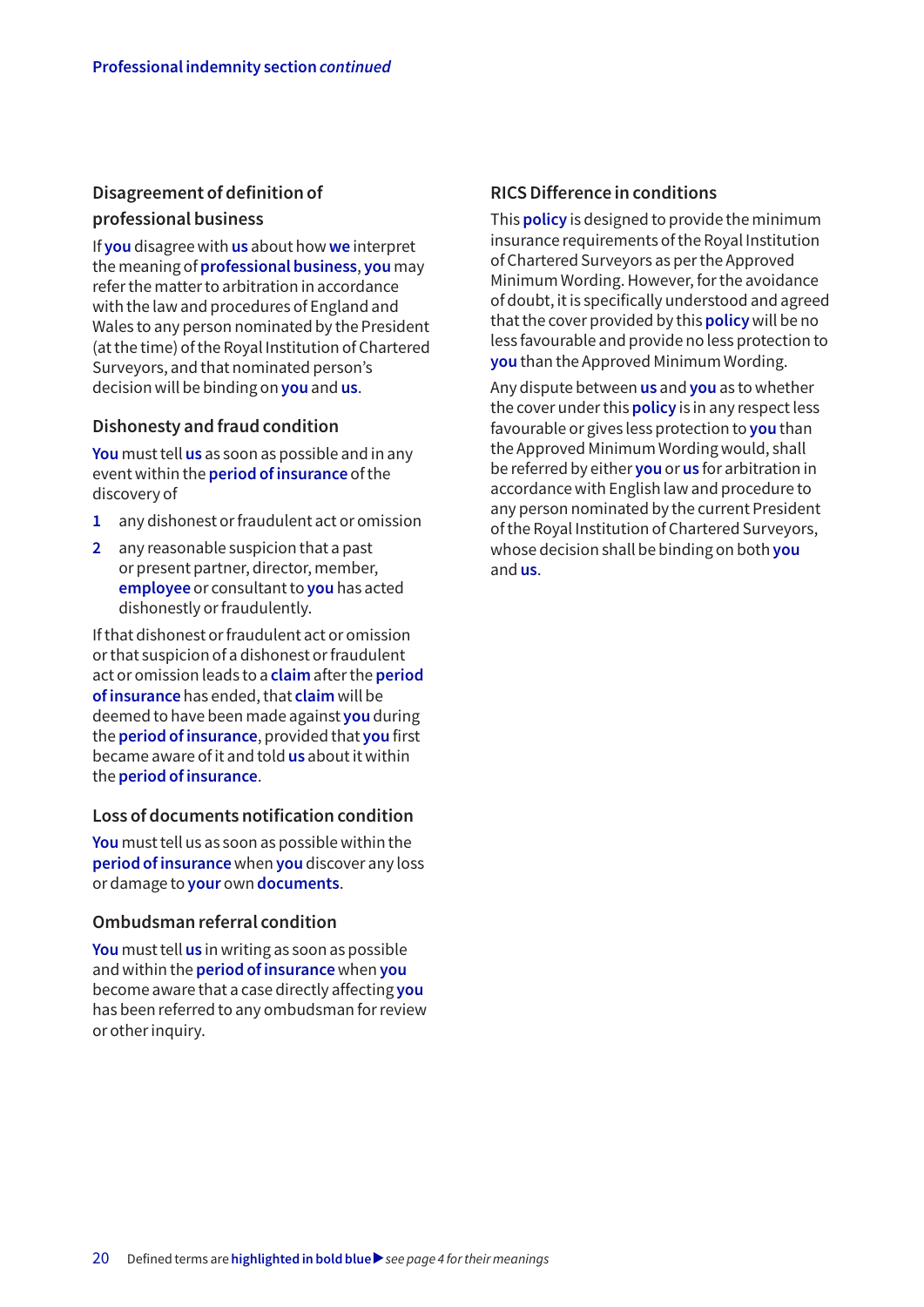# **Disagreement of definition of professional business**

If **you** disagree with **us** about how **we** interpret the meaning of **professional business**, **you** may refer the matter to arbitration in accordance with the law and procedures of England and Wales to any person nominated by the President (at the time) of the Royal Institution of Chartered Surveyors, and that nominated person's decision will be binding on **you** and **us**.

#### **Dishonesty and fraud condition**

**You** must tell **us** as soon as possible and in any event within the **period of insurance** of the discovery of

- **1** any dishonest or fraudulent act or omission
- **2** any reasonable suspicion that a past or present partner, director, member, **employee** or consultant to **you** has acted dishonestly or fraudulently.

If that dishonest or fraudulent act or omission or that suspicion of a dishonest or fraudulent act or omission leads to a **claim** after the **period of insurance** has ended, that **claim** will be deemed to have been made against **you** during the **period of insurance**, provided that **you** first became aware of it and told **us** about it within the **period of insurance**.

#### **Loss of documents notification condition**

**You** must tell us as soon as possible within the **period of insurance** when **you** discover any loss or damage to **your** own **documents**.

#### **Ombudsman referral condition**

**You** must tell **us** in writing as soon as possible and within the **period of insurance** when **you** become aware that a case directly affecting **you** has been referred to any ombudsman for review or other inquiry.

#### **RICS Difference in conditions**

This **policy** is designed to provide the minimum insurance requirements of the Royal Institution of Chartered Surveyors as per the Approved Minimum Wording. However, for the avoidance of doubt, it is specifically understood and agreed that the cover provided by this **policy** will be no less favourable and provide no less protection to **you** than the Approved Minimum Wording.

Any dispute between **us** and **you** as to whether the cover under this **policy** is in any respect less favourable or gives less protection to **you** than the Approved Minimum Wording would, shall be referred by either **you** or **us** for arbitration in accordance with English law and procedure to any person nominated by the current President of the Royal Institution of Chartered Surveyors, whose decision shall be binding on both **you**  and **us**.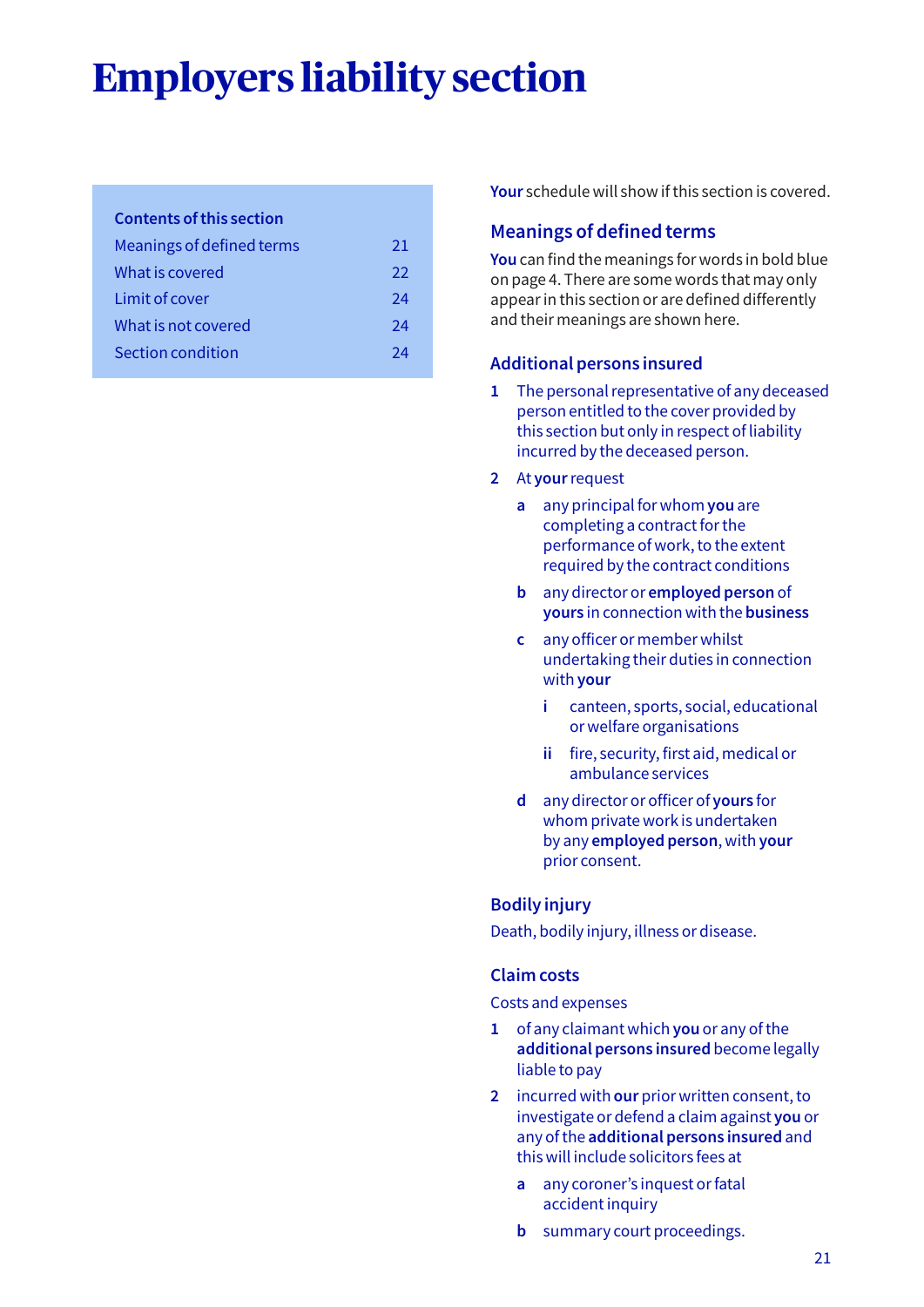# **Employers liability section**

#### **Contents of this section**

| 21 |
|----|
| 22 |
| 24 |
| 24 |
| 24 |
|    |

**Your** schedule will show if this section is covered.

# **Meanings of defined terms**

**You** can find the meanings for words in bold blue on page 4. There are some words that may only appear in this section or are defined differently and their meanings are shown here.

#### **Additional persons insured**

- **1** The personal representative of any deceased person entitled to the cover provided by this section but only in respect of liability incurred by the deceased person.
- **2** At **your** request
	- **a** any principal for whom **you** are completing a contract for the performance of work, to the extent required by the contract conditions
	- **b** any director or **employed person** of **yours** in connection with the **business**
	- **c** any officer or member whilst undertaking their duties in connection with **your**
		- **i** canteen, sports, social, educational or welfare organisations
		- **ii** fire, security, first aid, medical or ambulance services
	- **d** any director or officer of **yours** for whom private work is undertaken by any **employed person**, with **your** prior consent.

# **Bodily injury**

Death, bodily injury, illness or disease.

#### **Claim costs**

Costs and expenses

- **1** of any claimant which **you** or any of the **additional persons insured** become legally liable to pay
- **2** incurred with **our** prior written consent, to investigate or defend a claim against **you** or any of the **additional persons insured** and this will include solicitors fees at
	- **a** any coroner's inquest or fatal accident inquiry
	- **b** summary court proceedings.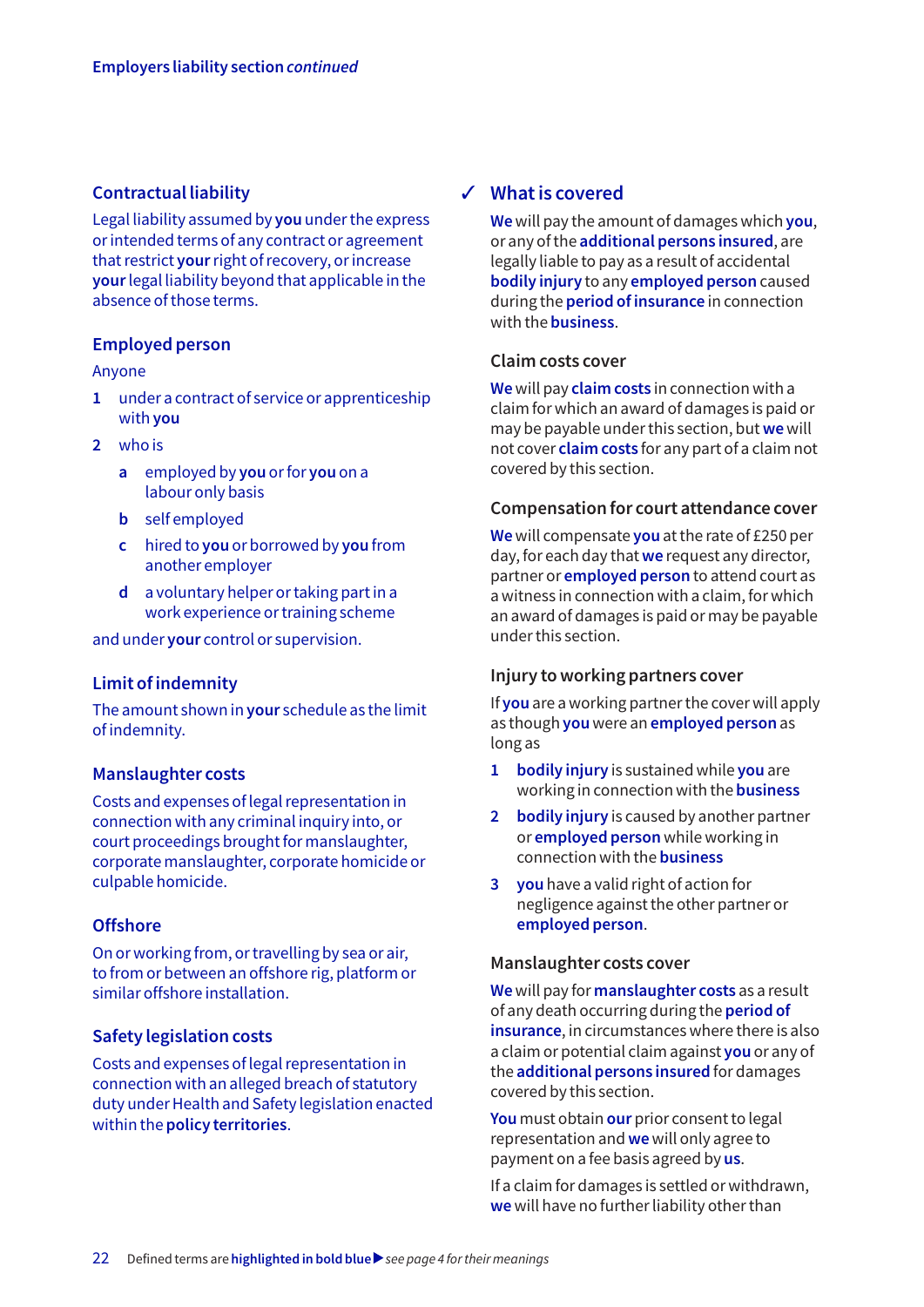#### **Contractual liability**

Legal liability assumed by **you** under the express or intended terms of any contract or agreement that restrict **your** right of recovery, or increase **your** legal liability beyond that applicable in the absence of those terms.

#### **Employed person**

#### Anyone

- **1** under a contract of service or apprenticeship with **you**
- **2** who is
	- **a** employed by **you** or for **you** on a labour only basis
	- **b** self employed
	- **c** hired to **you** or borrowed by **you** from another employer
	- **d** a voluntary helper or taking part in a work experience or training scheme

and under **your** control or supervision.

#### **Limit of indemnity**

The amount shown in **your** schedule as the limit of indemnity.

#### **Manslaughter costs**

Costs and expenses of legal representation in connection with any criminal inquiry into, or court proceedings brought for manslaughter, corporate manslaughter, corporate homicide or culpable homicide.

#### **Offshore**

On or working from, or travelling by sea or air, to from or between an offshore rig, platform or similar offshore installation.

#### **Safety legislation costs**

Costs and expenses of legal representation in connection with an alleged breach of statutory duty under Health and Safety legislation enacted within the **policy territories**.

# **What is covered** 3

**We** will pay the amount of damages which **you**, or any of the **additional persons insured**, are legally liable to pay as a result of accidental **bodily injury** to any **employed person** caused during the **period of insurance** in connection with the **business**.

#### **Claim costs cover**

**We** will pay **claim costs** in connection with a claim for which an award of damages is paid or may be payable under this section, but **we** will not cover **claim costs** for any part of a claim not covered by this section.

#### **Compensation for court attendance cover**

**We** will compensate **you** at the rate of £250 per day, for each day that **we** request any director, partner or **employed person** to attend court as a witness in connection with a claim, for which an award of damages is paid or may be payable under this section.

#### **Injury to working partners cover**

If **you** are a working partner the cover will apply as though **you** were an **employed person** as long as

- **1 bodily injury** is sustained while **you** are working in connection with the **business**
- **2 bodily injury** is caused by another partner or **employed person** while working in connection with the **business**
- **3 you** have a valid right of action for negligence against the other partner or **employed person**.

#### **Manslaughter costs cover**

**We** will pay for **manslaughter costs** as a result of any death occurring during the **period of insurance**, in circumstances where there is also a claim or potential claim against **you** or any of the **additional persons insured** for damages covered by this section.

**You** must obtain **our** prior consent to legal representation and **we** will only agree to payment on a fee basis agreed by **us**.

If a claim for damages is settled or withdrawn, **we** will have no further liability other than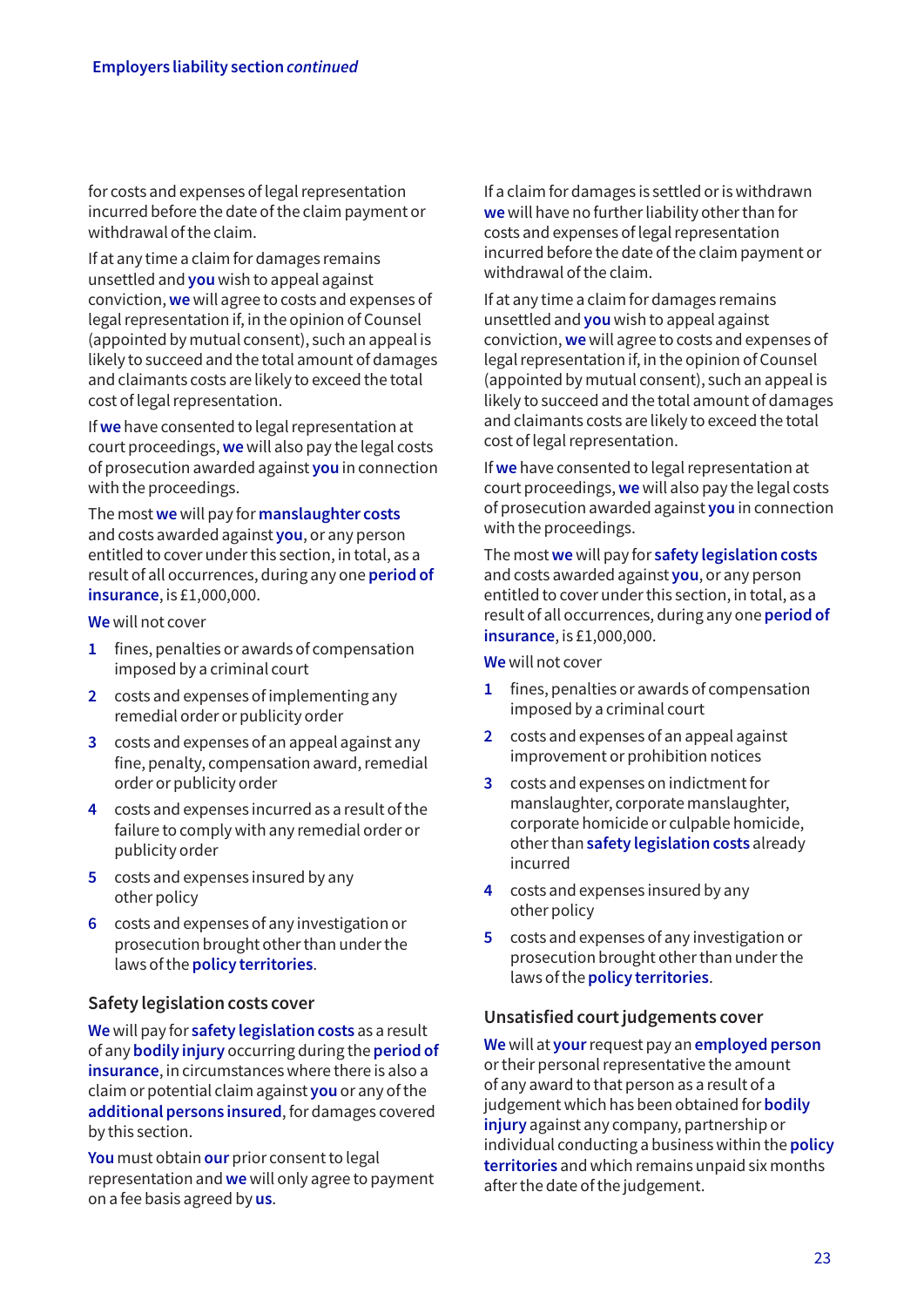for costs and expenses of legal representation incurred before the date of the claim payment or withdrawal of the claim.

If at any time a claim for damages remains unsettled and **you** wish to appeal against conviction, **we** will agree to costs and expenses of legal representation if, in the opinion of Counsel (appointed by mutual consent), such an appeal is likely to succeed and the total amount of damages and claimants costs are likely to exceed the total cost of legal representation.

If **we** have consented to legal representation at court proceedings, **we** will also pay the legal costs of prosecution awarded against **you** in connection with the proceedings.

The most **we** will pay for **manslaughter costs** and costs awarded against **you**, or any person entitled to cover under this section, in total, as a result of all occurrences, during any one **period of insurance**, is £1,000,000.

**We** will not cover

- **1** fines, penalties or awards of compensation imposed by a criminal court
- **2** costs and expenses of implementing any remedial order or publicity order
- **3** costs and expenses of an appeal against any fine, penalty, compensation award, remedial order or publicity order
- **4** costs and expenses incurred as a result of the failure to comply with any remedial order or publicity order
- **5** costs and expenses insured by any other policy
- **6** costs and expenses of any investigation or prosecution brought other than under the laws of the **policy territories**.

#### **Safety legislation costs cover**

**We** will pay for **safety legislation costs** as a result of any **bodily injury** occurring during the **period of insurance**, in circumstances where there is also a claim or potential claim against **you** or any of the **additional persons insured**, for damages covered by this section.

**You** must obtain **our** prior consent to legal representation and **we** will only agree to payment on a fee basis agreed by **us**.

If a claim for damages is settled or is withdrawn **we** will have no further liability other than for costs and expenses of legal representation incurred before the date of the claim payment or withdrawal of the claim.

If at any time a claim for damages remains unsettled and **you** wish to appeal against conviction, **we** will agree to costs and expenses of legal representation if, in the opinion of Counsel (appointed by mutual consent), such an appeal is likely to succeed and the total amount of damages and claimants costs are likely to exceed the total cost of legal representation.

If **we** have consented to legal representation at court proceedings, **we** will also pay the legal costs of prosecution awarded against **you** in connection with the proceedings.

The most **we** will pay for **safety legislation costs** and costs awarded against **you**, or any person entitled to cover under this section, in total, as a result of all occurrences, during any one **period of insurance**, is £1,000,000.

**We** will not cover

- **1** fines, penalties or awards of compensation imposed by a criminal court
- **2** costs and expenses of an appeal against improvement or prohibition notices
- **3** costs and expenses on indictment for manslaughter, corporate manslaughter, corporate homicide or culpable homicide, other than **safety legislation costs** already incurred
- **4** costs and expenses insured by any other policy
- **5** costs and expenses of any investigation or prosecution brought other than under the laws of the **policy territories**.

# **Unsatisfied court judgements cover**

**We** will at **your** request pay an **employed person** or their personal representative the amount of any award to that person as a result of a judgement which has been obtained for **bodily injury** against any company, partnership or individual conducting a business within the **policy territories** and which remains unpaid six months after the date of the judgement.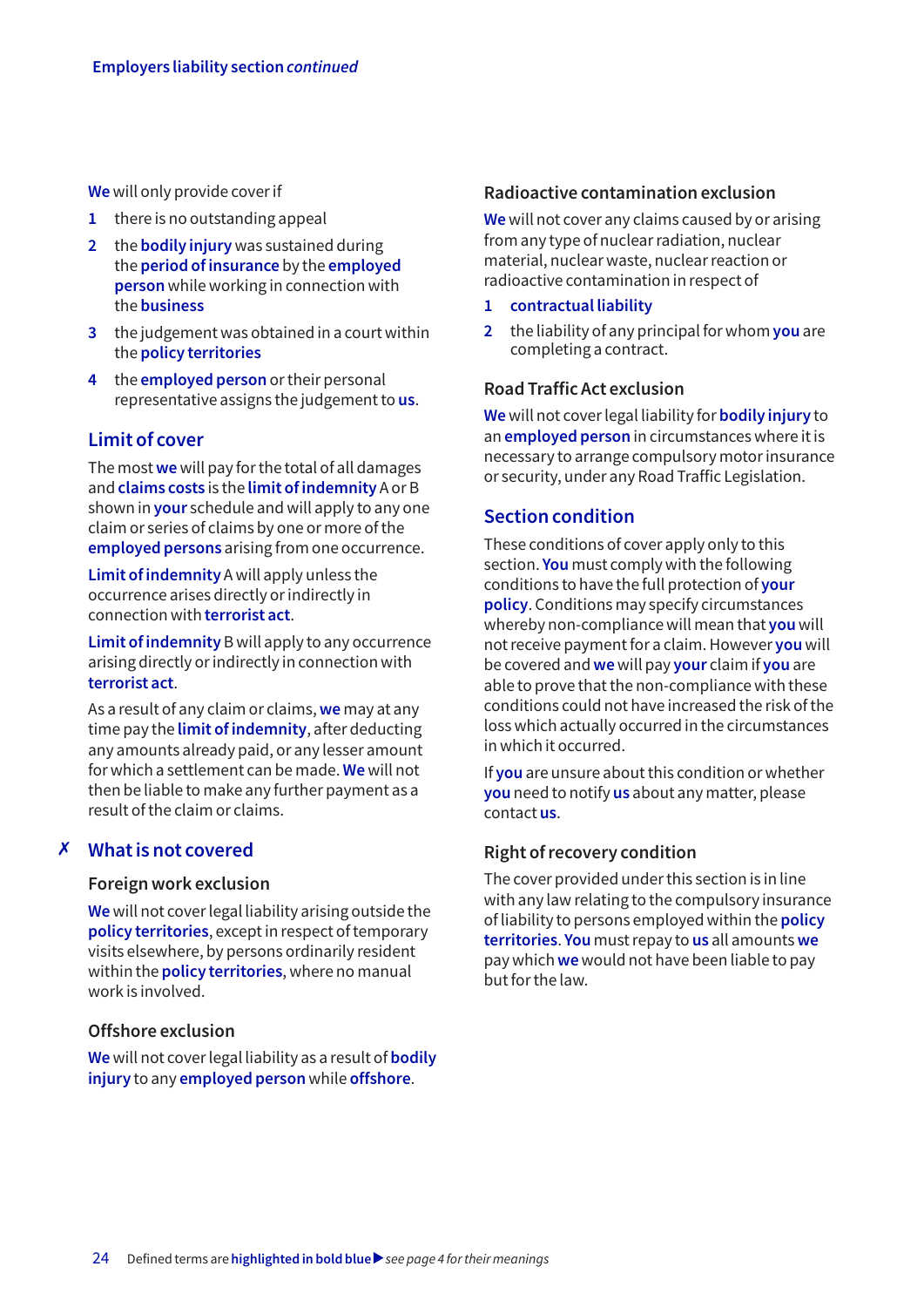**We** will only provide cover if

- **1** there is no outstanding appeal
- **2** the **bodily injury** was sustained during the **period of insurance** by the **employed person** while working in connection with the **business**
- **3** the judgement was obtained in a court within the **policy territories**
- **4** the **employed person** or their personal representative assigns the judgement to **us**.

# **Limit of cover**

The most **we** will pay for the total of all damages and **claims costs** is the **limit of indemnity** A or B shown in **your** schedule and will apply to any one claim or series of claims by one or more of the **employed persons** arising from one occurrence.

**Limit of indemnity** A will apply unless the occurrence arises directly or indirectly in connection with **terrorist act**.

**Limit of indemnity** B will apply to any occurrence arising directly or indirectly in connection with **terrorist act**.

As a result of any claim or claims, **we** may at any time pay the **limit of indemnity**, after deducting any amounts already paid, or any lesser amount for which a settlement can be made. **We** will not then be liable to make any further payment as a result of the claim or claims.

# **What is not covered** 7

#### **Foreign work exclusion**

**We** will not cover legal liability arising outside the **policy territories**, except in respect of temporary visits elsewhere, by persons ordinarily resident within the **policy territories**, where no manual work is involved.

#### **Offshore exclusion**

**We** will not cover legal liability as a result of **bodily injury** to any **employed person** while **offshore**.

#### **Radioactive contamination exclusion**

**We** will not cover any claims caused by or arising from any type of nuclear radiation, nuclear material, nuclear waste, nuclear reaction or radioactive contamination in respect of

#### **1 contractual liability**

**2** the liability of any principal for whom **you** are completing a contract.

#### **Road Traffic Act exclusion**

**We** will not cover legal liability for **bodily injury** to an **employed person** in circumstances where it is necessary to arrange compulsory motor insurance or security, under any Road Traffic Legislation.

# **Section condition**

These conditions of cover apply only to this section. **You** must comply with the following conditions to have the full protection of **your policy**. Conditions may specify circumstances whereby non-compliance will mean that **you** will not receive payment for a claim. However **you** will be covered and **we** will pay **your** claim if **you** are able to prove that the non-compliance with these conditions could not have increased the risk of the loss which actually occurred in the circumstances in which it occurred.

If **you** are unsure about this condition or whether **you** need to notify **us** about any matter, please contact **us**.

#### **Right of recovery condition**

The cover provided under this section is in line with any law relating to the compulsory insurance of liability to persons employed within the **policy territories**. **You** must repay to **us** all amounts **we** pay which **we** would not have been liable to pay but for the law.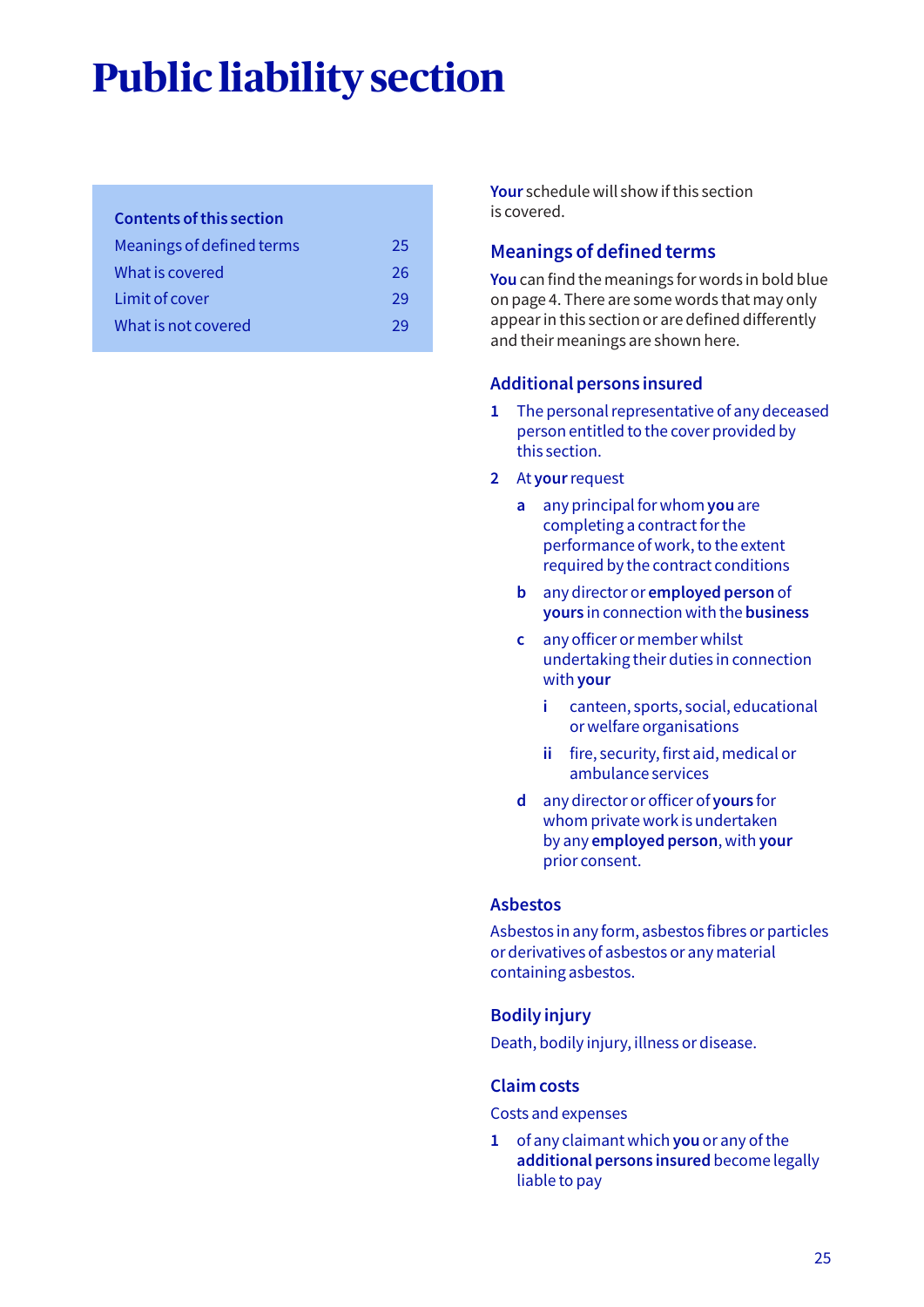# **Public liability section**

#### **Contents of this section**

| Meanings of defined terms | 25 |
|---------------------------|----|
| What is covered           | 26 |
| Limit of cover            | 29 |
| What is not covered       | ာရ |

**Your** schedule will show if this section is covered.

# **Meanings of defined terms**

**You** can find the meanings for words in bold blue on page 4. There are some words that may only appear in this section or are defined differently and their meanings are shown here.

# **Additional persons insured**

- **1** The personal representative of any deceased person entitled to the cover provided by this section.
- **2** At **your** request
	- **a** any principal for whom **you** are completing a contract for the performance of work, to the extent required by the contract conditions
	- **b** any director or **employed person** of **yours** in connection with the **business**
	- **c** any officer or member whilst undertaking their duties in connection with **your**
		- **i** canteen, sports, social, educational or welfare organisations
		- **ii** fire, security, first aid, medical or ambulance services
	- **d** any director or officer of **yours** for whom private work is undertaken by any **employed person**, with **your** prior consent.

# **Asbestos**

Asbestos in any form, asbestos fibres or particles or derivatives of asbestos or any material containing asbestos.

# **Bodily injury**

Death, bodily injury, illness or disease.

# **Claim costs**

Costs and expenses

**1** of any claimant which **you** or any of the **additional persons insured** become legally liable to pay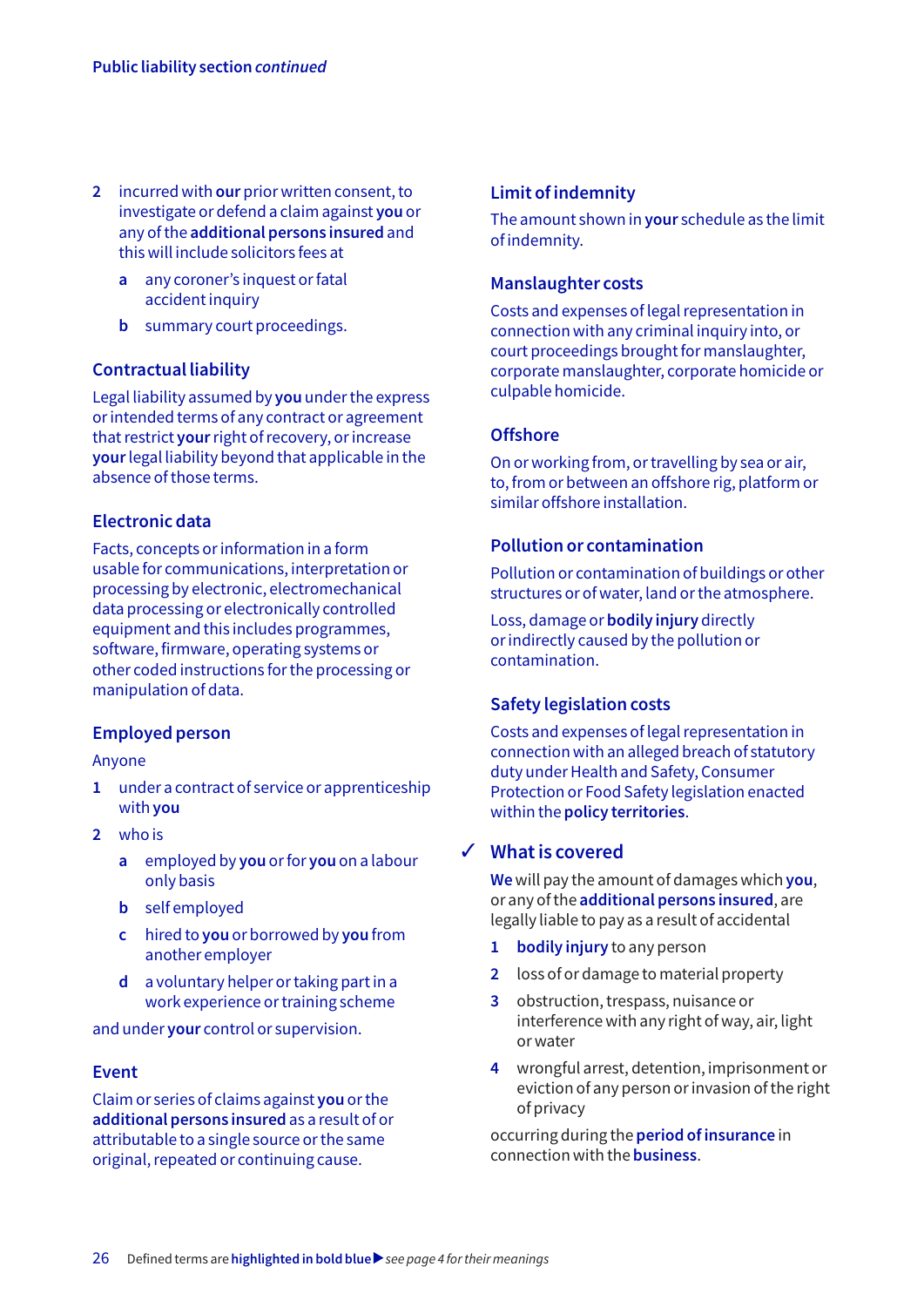- **2** incurred with **our** prior written consent, to investigate or defend a claim against **you** or any of the **additional persons insured** and this will include solicitors fees at
	- **a** any coroner's inquest or fatal accident inquiry
	- **b** summary court proceedings.

#### **Contractual liability**

Legal liability assumed by **you** under the express or intended terms of any contract or agreement that restrict **your** right of recovery, or increase **your** legal liability beyond that applicable in the absence of those terms.

#### **Electronic data**

Facts, concepts or information in a form usable for communications, interpretation or processing by electronic, electromechanical data processing or electronically controlled equipment and this includes programmes, software, firmware, operating systems or other coded instructions for the processing or manipulation of data.

#### **Employed person**

Anyone

- **1** under a contract of service or apprenticeship with **you**
- **2** who is
	- **a** employed by **you** or for **you** on a labour only basis
	- **b** self employed
	- **c** hired to **you** or borrowed by **you** from another employer
	- **d** a voluntary helper or taking part in a work experience or training scheme

and under **your** control or supervision.

#### **Event**

Claim or series of claims against **you** or the **additional persons insured** as a result of or attributable to a single source or the same original, repeated or continuing cause.

# **Limit of indemnity**

The amount shown in **your** schedule as the limit of indemnity.

#### **Manslaughter costs**

Costs and expenses of legal representation in connection with any criminal inquiry into, or court proceedings brought for manslaughter, corporate manslaughter, corporate homicide or culpable homicide.

#### **Offshore**

On or working from, or travelling by sea or air, to, from or between an offshore rig, platform or similar offshore installation.

#### **Pollution or contamination**

Pollution or contamination of buildings or other structures or of water, land or the atmosphere.

Loss, damage or **bodily injury** directly or indirectly caused by the pollution or contamination.

# **Safety legislation costs**

Costs and expenses of legal representation in connection with an alleged breach of statutory duty under Health and Safety, Consumer Protection or Food Safety legislation enacted within the **policy territories**.

# **What is covered** 3

**We** will pay the amount of damages which **you**, or any of the **additional persons insured**, are legally liable to pay as a result of accidental

- **1 bodily injury** to any person
- **2** loss of or damage to material property
- **3** obstruction, trespass, nuisance or interference with any right of way, air, light or water
- **4** wrongful arrest, detention, imprisonment or eviction of any person or invasion of the right of privacy

occurring during the **period of insurance** in connection with the **business**.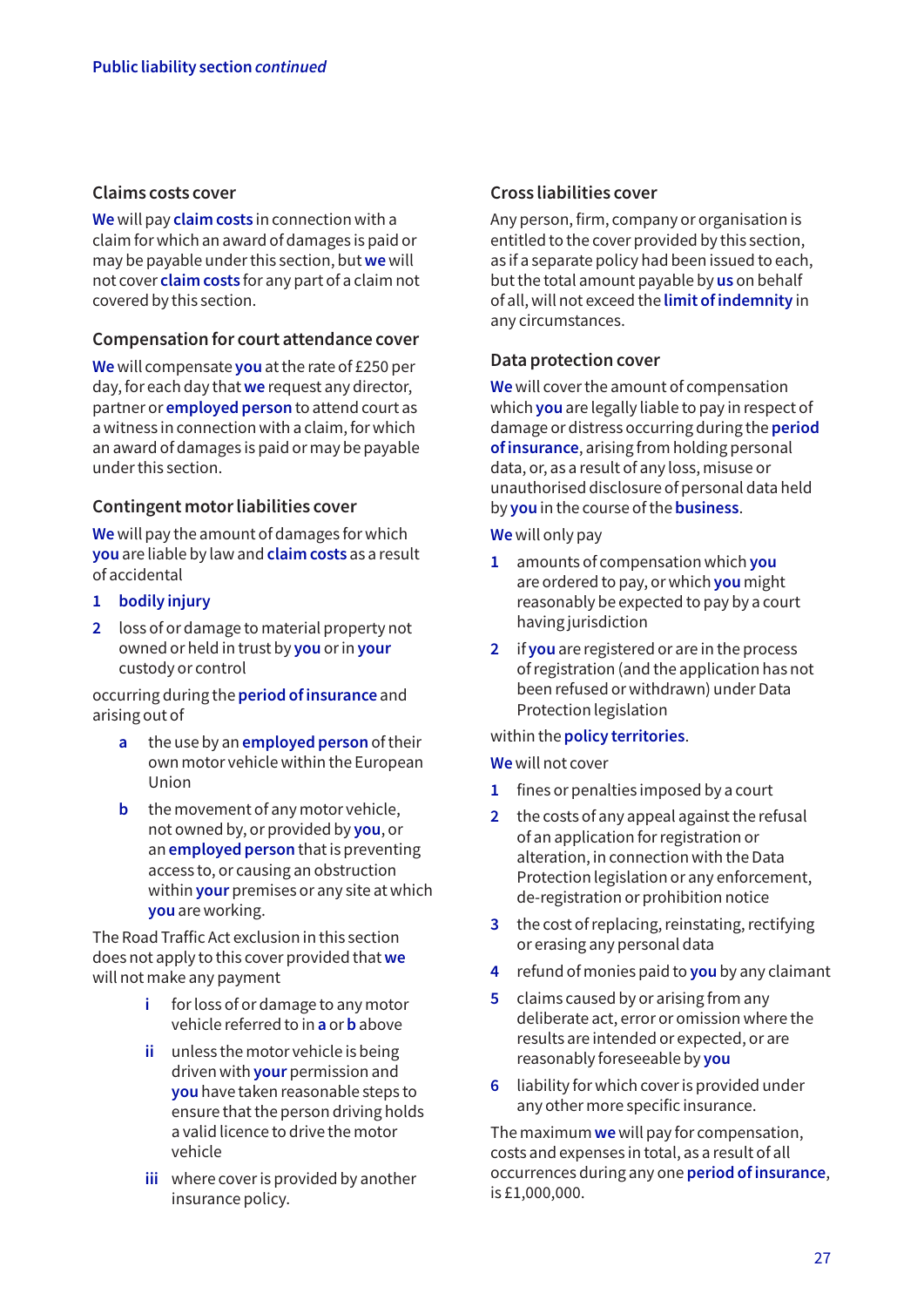#### **Claims costs cover**

**We** will pay **claim costs** in connection with a claim for which an award of damages is paid or may be payable under this section, but **we** will not cover **claim costs** for any part of a claim not covered by this section.

# **Compensation for court attendance cover**

**We** will compensate **you** at the rate of £250 per day, for each day that **we** request any director, partner or **employed person** to attend court as a witness in connection with a claim, for which an award of damages is paid or may be payable under this section.

# **Contingent motor liabilities cover**

**We** will pay the amount of damages for which **you** are liable by law and **claim costs** as a result of accidental

- **1 bodily injury**
- **2** loss of or damage to material property not owned or held in trust by **you** or in **your** custody or control

occurring during the **period of insurance** and arising out of

- **a** the use by an **employed person** of their own motor vehicle within the European Union
- **b** the movement of any motor vehicle, not owned by, or provided by **you**, or an **employed person** that is preventing access to, or causing an obstruction within **your** premises or any site at which **you** are working.

The Road Traffic Act exclusion in this section does not apply to this cover provided that **we** will not make any payment

- **i** for loss of or damage to any motor vehicle referred to in **a** or **b** above
- **ii** unless the motor vehicle is being driven with **your** permission and **you** have taken reasonable steps to ensure that the person driving holds a valid licence to drive the motor vehicle
- **iii** where cover is provided by another insurance policy.

#### **Cross liabilities cover**

Any person, firm, company or organisation is entitled to the cover provided by this section, as if a separate policy had been issued to each, but the total amount payable by **us** on behalf of all, will not exceed the **limit of indemnity** in any circumstances.

#### **Data protection cover**

**We** will cover the amount of compensation which **you** are legally liable to pay in respect of damage or distress occurring during the **period of insurance**, arising from holding personal data, or, as a result of any loss, misuse or unauthorised disclosure of personal data held by **you** in the course of the **business**.

#### **We** will only pay

- **1** amounts of compensation which **you** are ordered to pay, or which **you** might reasonably be expected to pay by a court having jurisdiction
- **2** if **you** are registered or are in the process of registration (and the application has not been refused or withdrawn) under Data Protection legislation

#### within the **policy territories**.

#### **We** will not cover

- **1** fines or penalties imposed by a court
- **2** the costs of any appeal against the refusal of an application for registration or alteration, in connection with the Data Protection legislation or any enforcement, de-registration or prohibition notice
- **3** the cost of replacing, reinstating, rectifying or erasing any personal data
- **4** refund of monies paid to **you** by any claimant
- **5** claims caused by or arising from any deliberate act, error or omission where the results are intended or expected, or are reasonably foreseeable by **you**
- **6** liability for which cover is provided under any other more specific insurance.

The maximum **we** will pay for compensation, costs and expenses in total, as a result of all occurrences during any one **period of insurance**, is £1,000,000.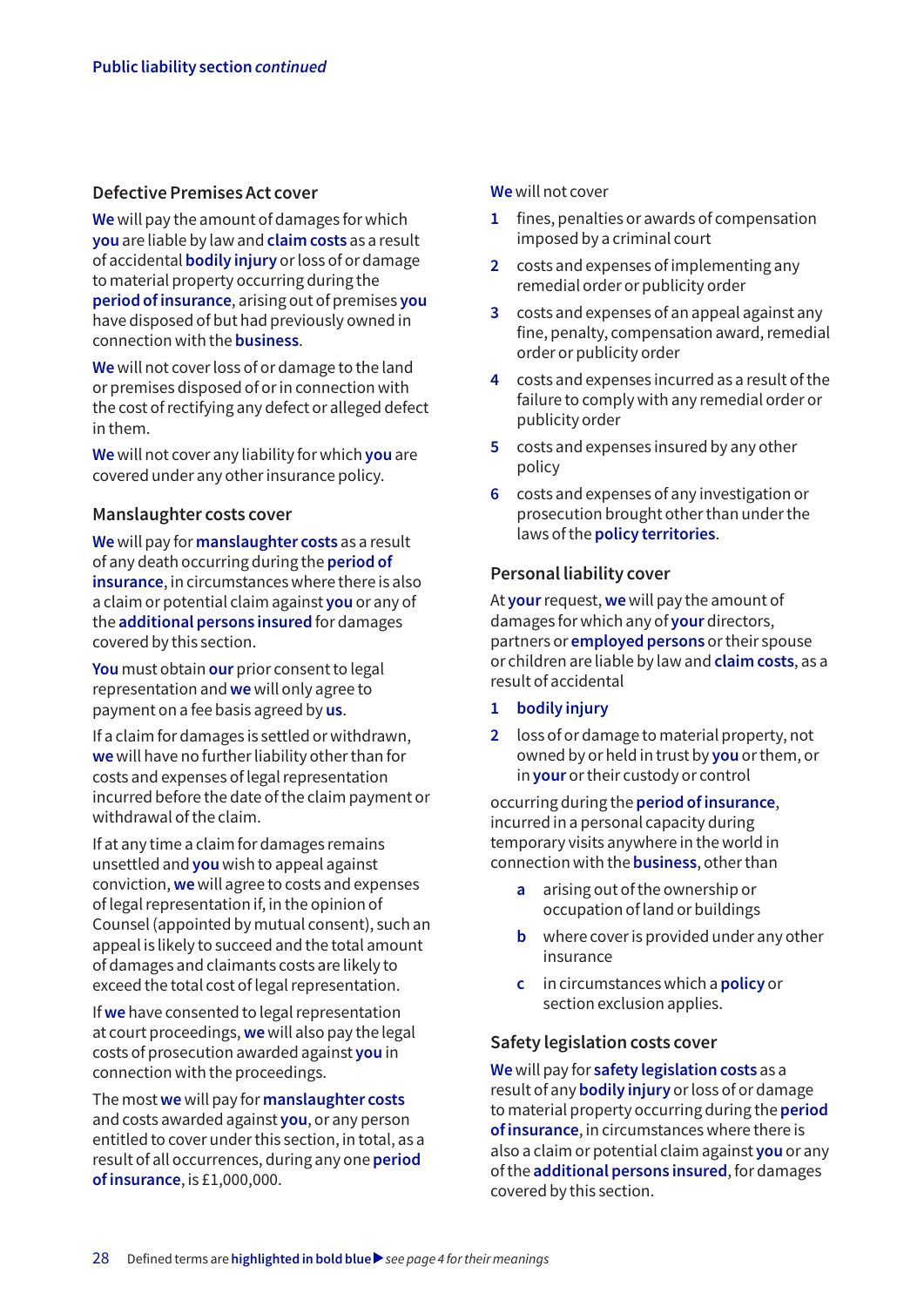#### **Defective Premises Act cover**

**We** will pay the amount of damages for which **you** are liable by law and **claim costs** as a result of accidental **bodily injury** or loss of or damage to material property occurring during the **period of insurance**, arising out of premises **you** have disposed of but had previously owned in connection with the **business**.

**We** will not cover loss of or damage to the land or premises disposed of or in connection with the cost of rectifying any defect or alleged defect in them.

**We** will not cover any liability for which **you** are covered under any other insurance policy.

#### **Manslaughter costs cover**

**We** will pay for **manslaughter costs** as a result of any death occurring during the **period of insurance**, in circumstances where there is also a claim or potential claim against **you** or any of the **additional persons insured** for damages covered by this section.

**You** must obtain **our** prior consent to legal representation and **we** will only agree to payment on a fee basis agreed by **us**.

If a claim for damages is settled or withdrawn, **we** will have no further liability other than for costs and expenses of legal representation incurred before the date of the claim payment or withdrawal of the claim.

If at any time a claim for damages remains unsettled and **you** wish to appeal against conviction, **we** will agree to costs and expenses of legal representation if, in the opinion of Counsel (appointed by mutual consent), such an appeal is likely to succeed and the total amount of damages and claimants costs are likely to exceed the total cost of legal representation.

If **we** have consented to legal representation at court proceedings, **we** will also pay the legal costs of prosecution awarded against **you** in connection with the proceedings.

The most **we** will pay for **manslaughter costs** and costs awarded against **you**, or any person entitled to cover under this section, in total, as a result of all occurrences, during any one **period of insurance**, is £1,000,000.

#### **We** will not cover

- **1** fines, penalties or awards of compensation imposed by a criminal court
- **2** costs and expenses of implementing any remedial order or publicity order
- **3** costs and expenses of an appeal against any fine, penalty, compensation award, remedial order or publicity order
- **4** costs and expenses incurred as a result of the failure to comply with any remedial order or publicity order
- **5** costs and expenses insured by any other policy
- **6** costs and expenses of any investigation or prosecution brought other than under the laws of the **policy territories**.

#### **Personal liability cover**

At **your** request, **we** will pay the amount of damages for which any of **your** directors, partners or **employed persons** or their spouse or children are liable by law and **claim costs**, as a result of accidental

- **1 bodily injury**
- **2** loss of or damage to material property, not owned by or held in trust by **you** or them, or in **your** or their custody or control

occurring during the **period of insurance**, incurred in a personal capacity during temporary visits anywhere in the world in connection with the **business**, other than

- **a** arising out of the ownership or occupation of land or buildings
- **b** where cover is provided under any other insurance
- **c** in circumstances which a **policy** or section exclusion applies.

#### **Safety legislation costs cover**

**We** will pay for **safety legislation costs** as a result of any **bodily injury** or loss of or damage to material property occurring during the **period of insurance**, in circumstances where there is also a claim or potential claim against **you** or any of the **additional persons insured**, for damages covered by this section.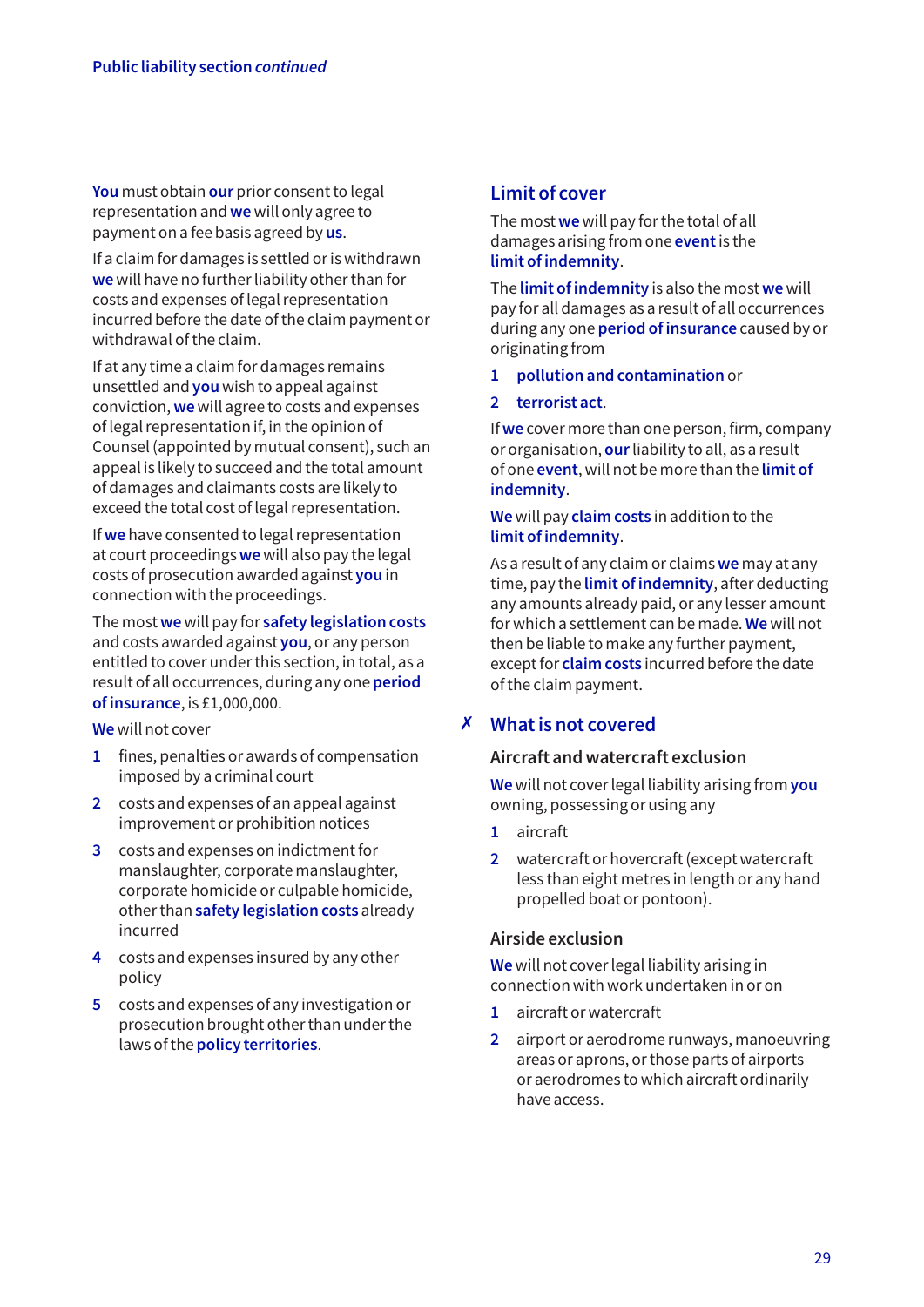**You** must obtain **our** prior consent to legal representation and **we** will only agree to payment on a fee basis agreed by **us**.

If a claim for damages is settled or is withdrawn **we** will have no further liability other than for costs and expenses of legal representation incurred before the date of the claim payment or withdrawal of the claim.

If at any time a claim for damages remains unsettled and **you** wish to appeal against conviction, **we** will agree to costs and expenses of legal representation if, in the opinion of Counsel (appointed by mutual consent), such an appeal is likely to succeed and the total amount of damages and claimants costs are likely to exceed the total cost of legal representation.

If **we** have consented to legal representation at court proceedings **we** will also pay the legal costs of prosecution awarded against **you** in connection with the proceedings.

The most **we** will pay for **safety legislation costs** and costs awarded against **you**, or any person entitled to cover under this section, in total, as a result of all occurrences, during any one **period of insurance**, is £1,000,000.

**We** will not cover

- **1** fines, penalties or awards of compensation imposed by a criminal court
- **2** costs and expenses of an appeal against improvement or prohibition notices
- **3** costs and expenses on indictment for manslaughter, corporate manslaughter, corporate homicide or culpable homicide, other than **safety legislation costs** already incurred
- **4** costs and expenses insured by any other policy
- **5** costs and expenses of any investigation or prosecution brought other than under the laws of the **policy territories**.

# **Limit of cover**

The most **we** will pay for the total of all damages arising from one **event** is the **limit of indemnity**.

The **limit of indemnity** is also the most **we** will pay for all damages as a result of all occurrences during any one **period ofinsurance** caused by or originating from

- **1 pollution and contamination** or
- **2 terrorist act**.

If **we** cover more than one person, firm, company or organisation, **our** liability to all, as a result of one **event**, will not be more than the **limit of indemnity**.

#### **We** will pay **claim costs** in addition to the **limit of indemnity**.

As a result of any claim or claims **we** may at any time, pay the **limit of indemnity**, after deducting any amounts already paid, or any lesser amount for which a settlement can be made. **We** will not then be liable to make any further payment, except for **claim costs** incurred before the date of the claim payment.

# **What is not covered** 7

#### **Aircraft and watercraft exclusion**

**We** will not cover legal liability arising from **you** owning, possessing or using any

- **1** aircraft
- **2** watercraft or hovercraft (except watercraft less than eight metres in length or any hand propelled boat or pontoon).

#### **Airside exclusion**

**We** will not cover legal liability arising in connection with work undertaken in or on

- **1** aircraft or watercraft
- **2** airport or aerodrome runways, manoeuvring areas or aprons, or those parts of airports or aerodromes to which aircraft ordinarily have access.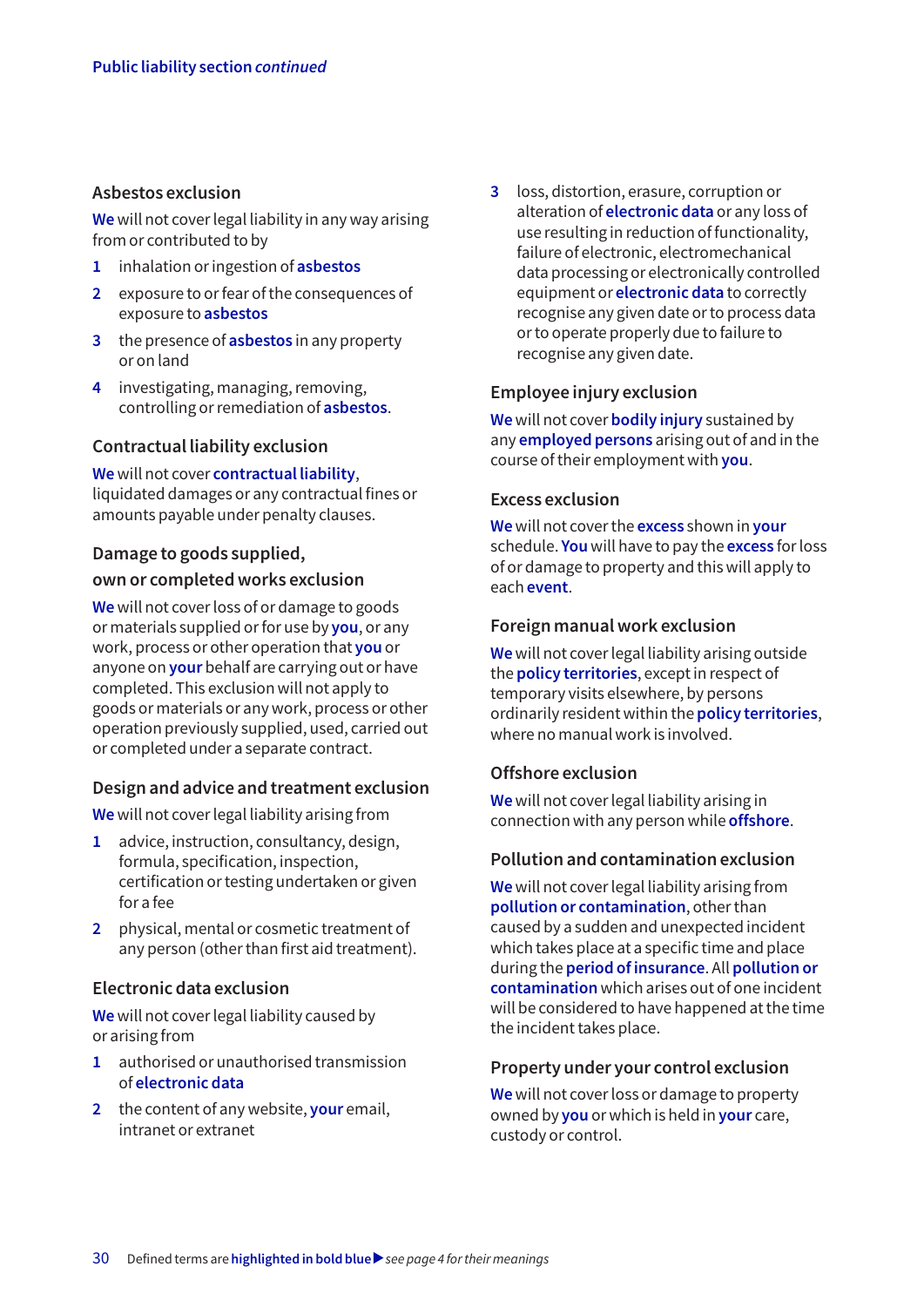#### **Asbestos exclusion**

**We** will not cover legal liability in any way arising from or contributed to by

- **1** inhalation or ingestion of **asbestos**
- **2** exposure to or fear of the consequences of exposure to **asbestos**
- **3** the presence of **asbestos** in any property or on land
- **4** investigating, managing, removing, controlling or remediation of **asbestos**.

#### **Contractual liability exclusion**

**We** will not cover **contractual liability**, liquidated damages or any contractual fines or amounts payable under penalty clauses.

#### **Damage to goods supplied,**

#### **own or completed works exclusion**

**We** will not cover loss of or damage to goods or materials supplied or for use by **you**, or any work, process or other operation that **you** or anyone on **your** behalf are carrying out or have completed. This exclusion will not apply to goods or materials or any work, process or other operation previously supplied, used, carried out or completed under a separate contract.

#### **Design and advice and treatment exclusion**

**We** will not cover legal liability arising from

- **1** advice, instruction, consultancy, design, formula, specification, inspection, certification or testing undertaken or given for a fee
- **2** physical, mental or cosmetic treatment of any person (other than first aid treatment).

#### **Electronic data exclusion**

**We** will not cover legal liability caused by or arising from

- **1** authorised or unauthorised transmission of **electronic data**
- **2** the content of any website, **your** email, intranet or extranet

**3** loss, distortion, erasure, corruption or alteration of **electronic data** or any loss of use resulting in reduction of functionality, failure of electronic, electromechanical data processing or electronically controlled equipment or **electronic data** to correctly recognise any given date or to process data or to operate properly due to failure to recognise any given date.

#### **Employee injury exclusion**

**We** will not cover **bodily injury** sustained by any **employed persons** arising out of and in the course of their employment with **you**.

#### **Excess exclusion**

**We** will not cover the **excess** shown in **your** schedule. **You** will have to pay the **excess** for loss of or damage to property and this will apply to each **event**.

#### **Foreign manual work exclusion**

**We** will not cover legal liability arising outside the **policy territories**, except in respect of temporary visits elsewhere, by persons ordinarily resident within the **policy territories**, where no manual work is involved.

# **Offshore exclusion**

**We** will not cover legal liability arising in connection with any person while **offshore**.

#### **Pollution and contamination exclusion**

**We** will not cover legal liability arising from **pollution or contamination**, other than caused by a sudden and unexpected incident which takes place at a specific time and place during the **period of insurance**. All **pollution or contamination** which arises out of one incident will be considered to have happened at the time the incident takes place.

#### **Property under your control exclusion**

**We** will not cover loss or damage to property owned by **you** or which is held in **your** care, custody or control.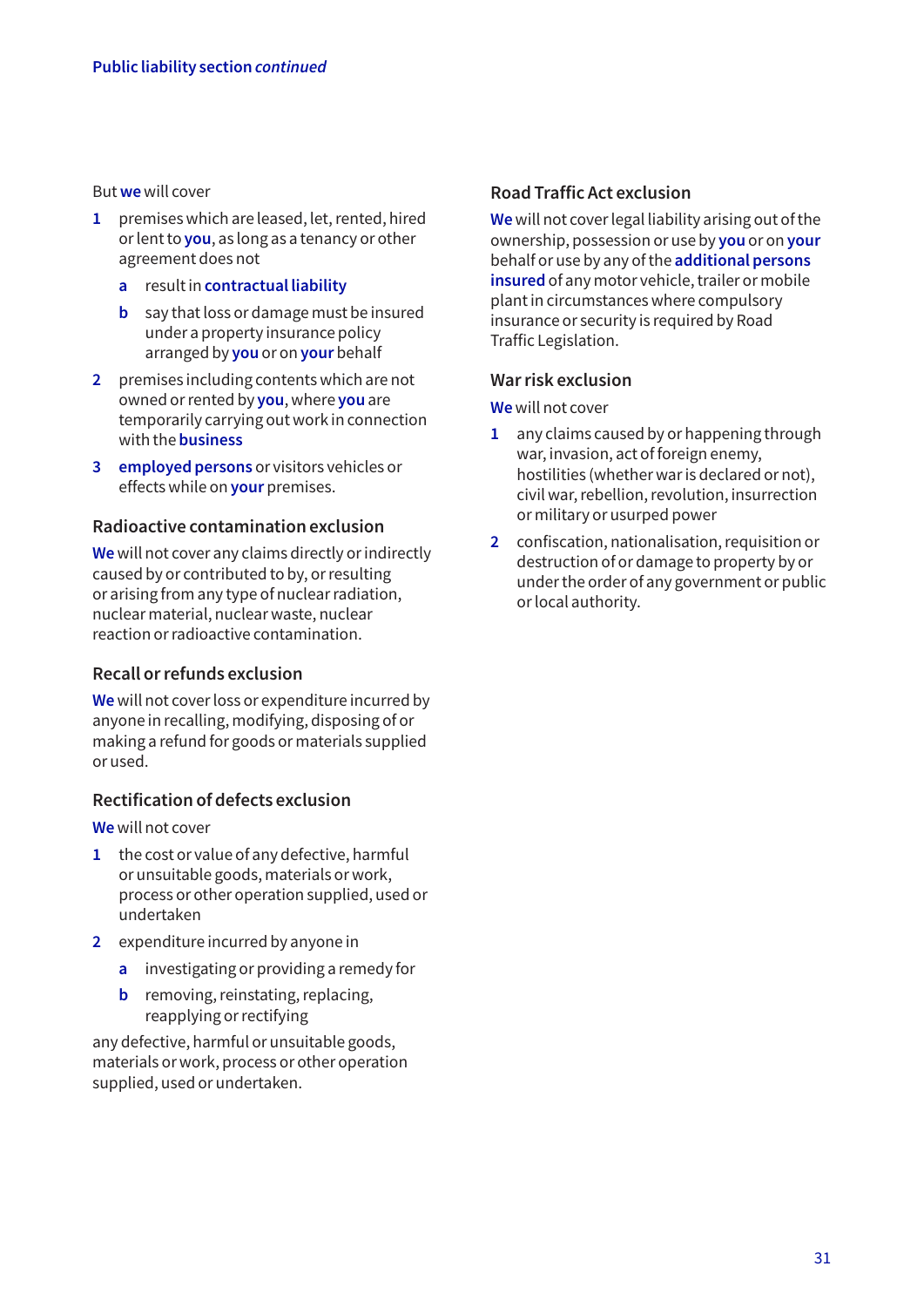#### But **we** will cover

- **1** premises which are leased, let, rented, hired or lent to **you**, as long as a tenancy or other agreement does not
	- **a** result in **contractual liability**
	- **b** say that loss or damage must be insured under a property insurance policy arranged by **you** or on **your** behalf
- **2** premises including contents which are not owned or rented by **you**, where **you** are temporarily carrying out work in connection with the **business**
- **3 employed persons** or visitors vehicles or effects while on **your** premises.

#### **Radioactive contamination exclusion**

**We** will not cover any claims directly or indirectly caused by or contributed to by, or resulting or arising from any type of nuclear radiation, nuclear material, nuclear waste, nuclear reaction or radioactive contamination.

#### **Recall or refunds exclusion**

**We** will not cover loss or expenditure incurred by anyone in recalling, modifying, disposing of or making a refund for goods or materials supplied or used.

#### **Rectification of defects exclusion**

**We** will not cover

- **1** the cost or value of any defective, harmful or unsuitable goods, materials or work, process or other operation supplied, used or undertaken
- **2** expenditure incurred by anyone in
	- **a** investigating or providing a remedy for
	- **b** removing, reinstating, replacing, reapplying or rectifying

any defective, harmful or unsuitable goods, materials or work, process or other operation supplied, used or undertaken.

#### **Road Traffic Act exclusion**

**We** will not cover legal liability arising out of the ownership, possession or use by **you** or on **your** behalf or use by any of the **additional persons insured** of any motor vehicle, trailer or mobile plant in circumstances where compulsory insurance or security is required by Road Traffic Legislation.

#### **War risk exclusion**

**We** will not cover

- **1** any claims caused by or happening through war, invasion, act of foreign enemy, hostilities (whether war is declared or not), civil war, rebellion, revolution, insurrection or military or usurped power
- **2** confiscation, nationalisation, requisition or destruction of or damage to property by or under the order of any government or public or local authority.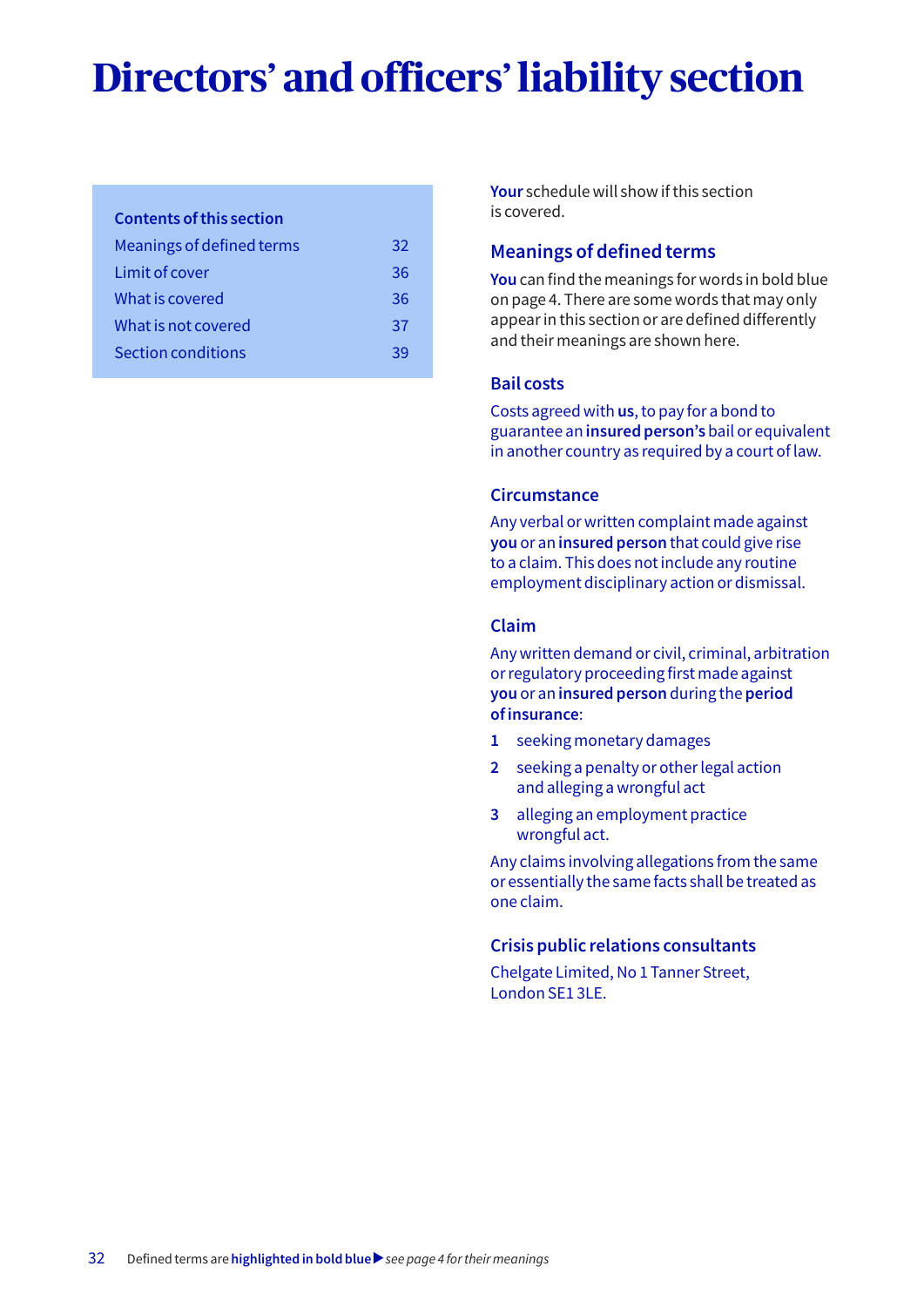# **Directors' and officers' liability section**

#### **Contents of this section**

| Meanings of defined terms | 32 |
|---------------------------|----|
| Limit of cover            | 36 |
| What is covered           | 36 |
| What is not covered       | 37 |
| Section conditions        | 39 |

**Your** schedule will show if this section is covered.

# **Meanings of defined terms**

**You** can find the meanings for words in bold blue on page 4. There are some words that may only appear in this section or are defined differently and their meanings are shown here.

#### **Bail costs**

Costs agreed with **us**, to pay for a bond to guarantee an **insured person's** bail or equivalent in another country as required by a court of law.

#### **Circumstance**

Any verbal or written complaint made against **you** or an **insured person** that could give rise to a claim. This does not include any routine employment disciplinary action or dismissal.

#### **Claim**

Any written demand or civil, criminal, arbitration or regulatory proceeding first made against **you** or an **insured person** during the **period of insurance**:

- **1** seeking monetary damages
- **2** seeking a penalty or other legal action and alleging a wrongful act
- **3** alleging an employment practice wrongful act.

Any claims involving allegations from the same or essentially the same facts shall be treated as one claim.

# **Crisis public relations consultants**

Chelgate Limited, No 1 Tanner Street, London SE1 3LE.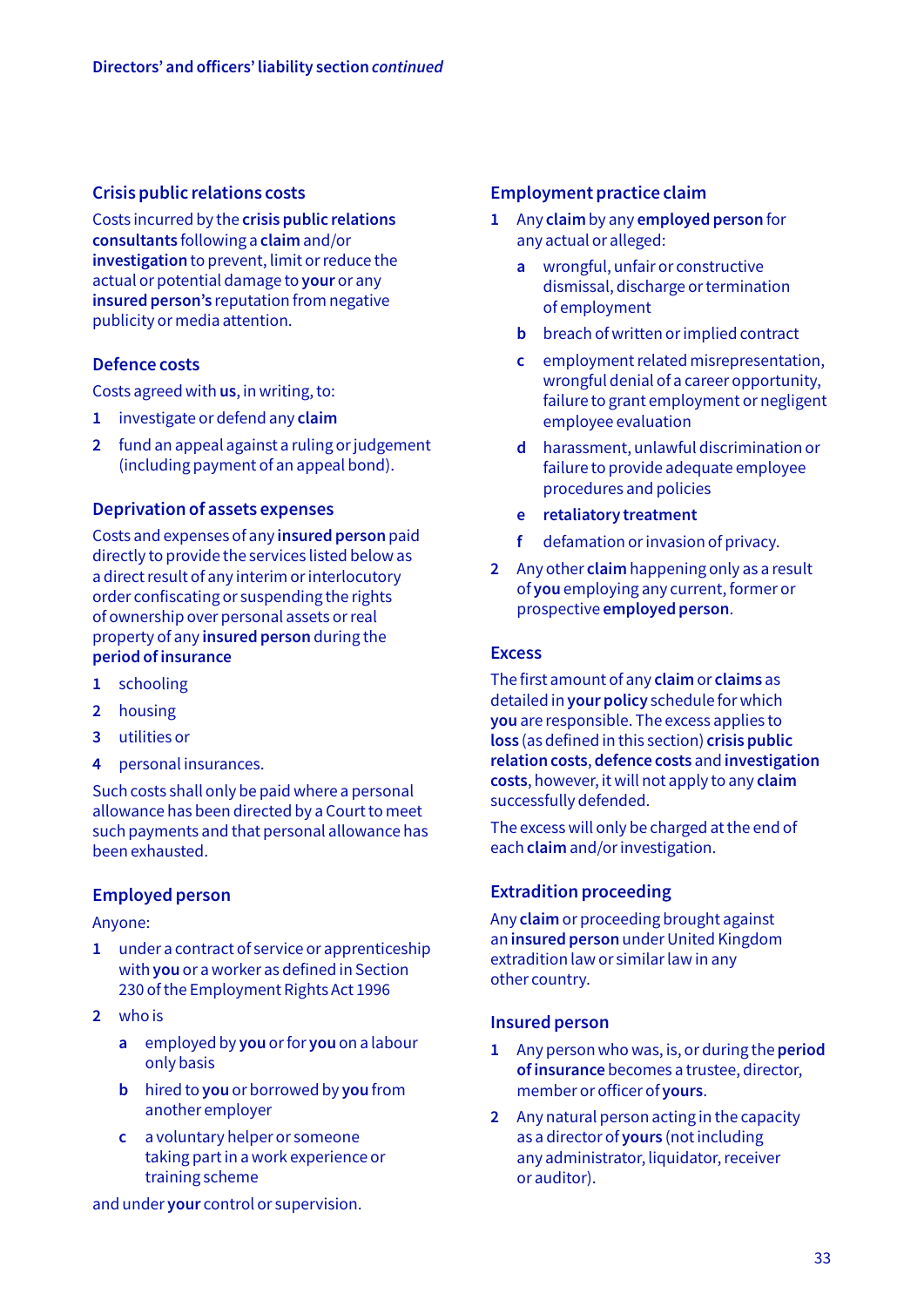#### **Crisis public relations costs**

Costs incurred by the **crisis public relations consultants** following a **claim** and/or **investigation** to prevent, limit or reduce the actual or potential damage to **your** or any **insured person's** reputation from negative publicity or media attention.

# **Defence costs**

Costs agreed with **us**, in writing, to:

- **1** investigate or defend any **claim**
- **2** fund an appeal against a ruling or judgement (including payment of an appeal bond).

#### **Deprivation of assets expenses**

Costs and expenses of any **insured person** paid directly to provide the services listed below as a direct result of any interim or interlocutory order confiscating or suspending the rights of ownership over personal assets or real property of any **insured person** during the **period of insurance**

- **1** schooling
- **2** housing
- **3** utilities or
- **4** personal insurances.

Such costs shall only be paid where a personal allowance has been directed by a Court to meet such payments and that personal allowance has been exhausted.

#### **Employed person**

#### Anyone:

- **1** under a contract of service or apprenticeship with **you** or a worker as defined in Section 230 of the Employment Rights Act 1996
- **2** who is
	- **a** employed by **you** or for **you** on a labour only basis
	- **b** hired to **you** or borrowed by **you** from another employer
	- **c** a voluntary helper or someone taking part in a work experience or training scheme

and under **your** control or supervision.

#### **Employment practice claim**

- **1** Any **claim** by any **employed person** for any actual or alleged:
	- **a** wrongful, unfair or constructive dismissal, discharge or termination of employment
	- **b** breach of written or implied contract
	- **c** employment related misrepresentation, wrongful denial of a career opportunity, failure to grant employment or negligent employee evaluation
	- **d** harassment, unlawful discrimination or failure to provide adequate employee procedures and policies
	- **e retaliatory treatment**
	- **f** defamation or invasion of privacy.
- **2** Any other **claim** happening only as a result of **you** employing any current, former or prospective **employed person**.

#### **Excess**

The first amount of any **claim** or **claims** as detailed in **your policy** schedule for which **you** are responsible. The excess applies to **loss** (as defined in this section) **crisis public relation costs**, **defence costs** and **investigation costs**, however, it will not apply to any **claim** successfully defended.

The excess will only be charged at the end of each **claim** and/or investigation.

# **Extradition proceeding**

Any **claim** or proceeding brought against an **insured person** under United Kingdom extradition law or similar law in any other country.

#### **Insured person**

- **1** Any person who was, is, or during the **period of insurance** becomes a trustee, director, member or officer of **yours**.
- **2** Any natural person acting in the capacity as a director of **yours** (not including any administrator, liquidator, receiver or auditor).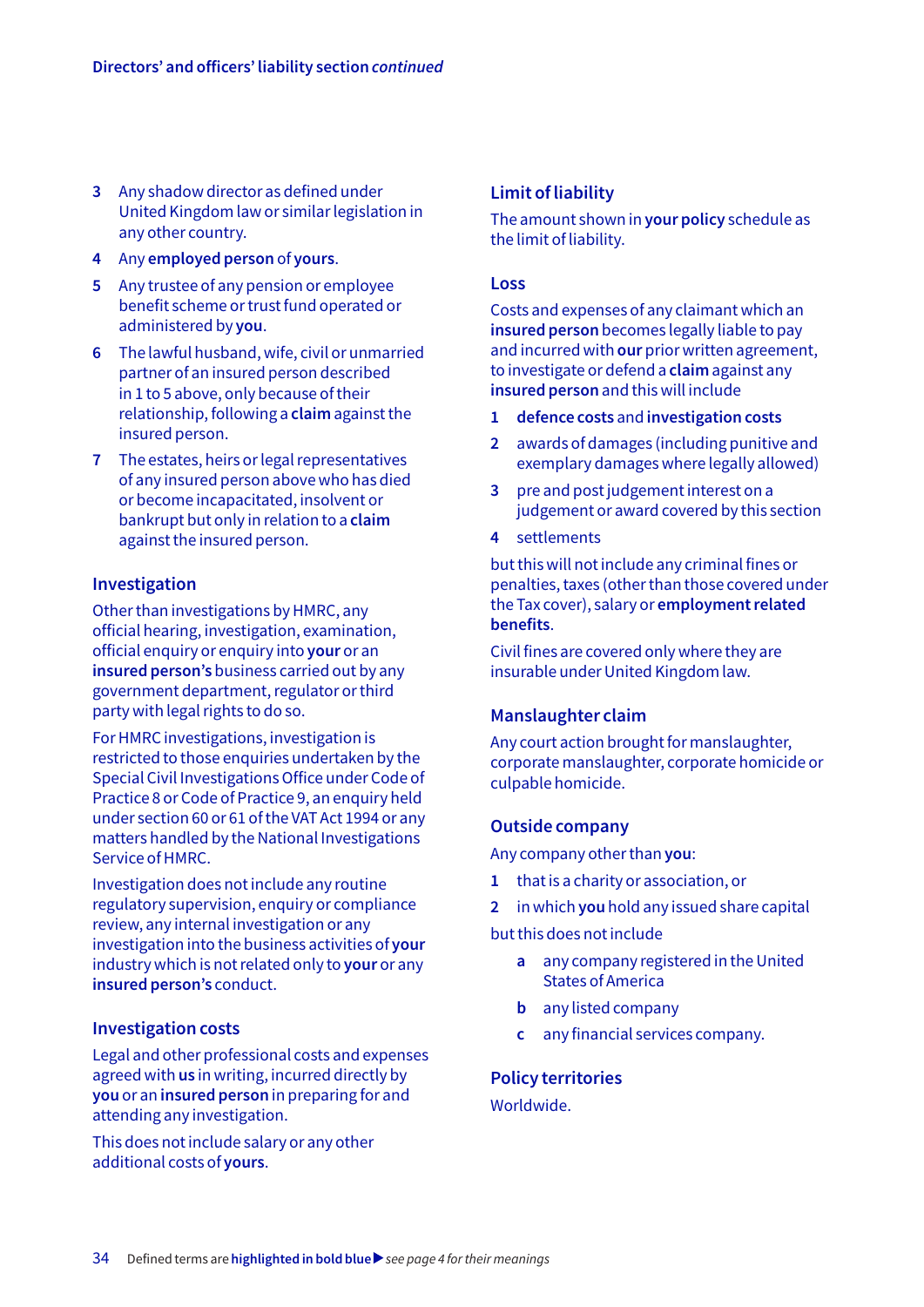- **3** Any shadow director as defined under United Kingdom law or similar legislation in any other country.
- **4** Any **employed person** of **yours**.
- **5** Any trustee of any pension or employee benefit scheme or trust fund operated or administered by **you**.
- **6** The lawful husband, wife, civil or unmarried partner of an insured person described in 1 to 5 above, only because of their relationship, following a **claim** against the insured person.
- **7** The estates, heirs or legal representatives of any insured person above who has died or become incapacitated, insolvent or bankrupt but only in relation to a **claim** against the insured person.

#### **Investigation**

Other than investigations by HMRC, any official hearing, investigation, examination, official enquiry or enquiry into **your** or an **insured person's** business carried out by any government department, regulator or third party with legal rights to do so.

For HMRC investigations, investigation is restricted to those enquiries undertaken by the Special Civil Investigations Office under Code of Practice 8 or Code of Practice 9, an enquiry held under section 60 or 61 of the VAT Act 1994 or any matters handled by the National Investigations Service of HMRC.

Investigation does not include any routine regulatory supervision, enquiry or compliance review, any internal investigation or any investigation into the business activities of **your** industry which is not related only to **your** or any **insured person's** conduct.

#### **Investigation costs**

Legal and other professional costs and expenses agreed with **us** in writing, incurred directly by **you** or an **insured person** in preparing for and attending any investigation.

This does not include salary or any other additional costs of **yours**.

# **Limit of liability**

The amount shown in **your policy** schedule as the limit of liability.

#### **Loss**

Costs and expenses of any claimant which an **insured person** becomes legally liable to pay and incurred with **our** prior written agreement, to investigate or defend a **claim** against any **insured person** and this will include

- **1 defence costs** and **investigation costs**
- **2** awards of damages (including punitive and exemplary damages where legally allowed)
- **3** pre and post judgement interest on a judgement or award covered by this section
- **4** settlements

but this will not include any criminal fines or penalties, taxes (other than those covered under the Tax cover), salary or **employment related benefits**.

Civil fines are covered only where they are insurable under United Kingdom law.

# **Manslaughter claim**

Any court action brought for manslaughter, corporate manslaughter, corporate homicide or culpable homicide.

# **Outside company**

Any company other than **you**:

- **1** that is a charity or association, or
- **2** in which **you** hold any issued share capital

but this does not include

- **a** any company registered in the United States of America
- **b** any listed company
- **c** any financial services company.

**Policy territories**

Worldwide.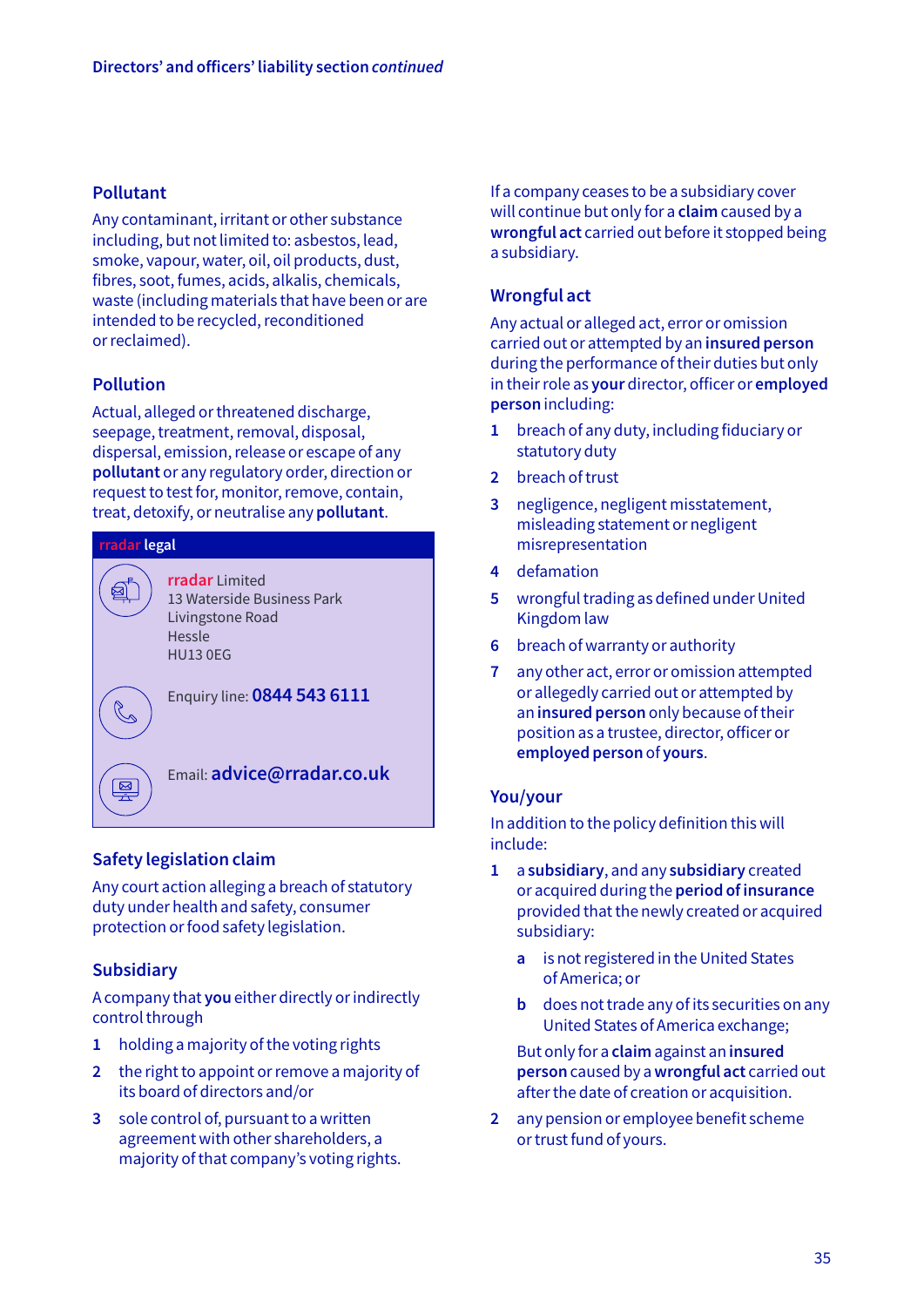#### **Pollutant**

Any contaminant, irritant or other substance including, but not limited to: asbestos, lead, smoke, vapour, water, oil, oil products, dust, fibres, soot, fumes, acids, alkalis, chemicals, waste (including materials that have been or are intended to be recycled, reconditioned or reclaimed).

#### **Pollution**

Actual, alleged or threatened discharge, seepage, treatment, removal, disposal, dispersal, emission, release or escape of any **pollutant** or any regulatory order, direction or request to test for, monitor, remove, contain, treat, detoxify, or neutralise any **pollutant**.

# **rradar legal**

配

 $\mathbb{C}$ 

 $\boxed{\boxtimes}$ 

**rradar** Limited 13 Waterside Business Park Livingstone Road Hessle HU13 0EG

Enquiry line: **0844 543 6111**

Email: **advice@rradar.co.uk**

#### **Safety legislation claim**

Any court action alleging a breach of statutory duty under health and safety, consumer protection or food safety legislation.

#### **Subsidiary**

A company that **you** either directly or indirectly control through

- **1** holding a majority of the voting rights
- **2** the right to appoint or remove a majority of its board of directors and/or
- **3** sole control of, pursuant to a written agreement with other shareholders, a majority of that company's voting rights.

If a company ceases to be a subsidiary cover will continue but only for a **claim** caused by a **wrongful act** carried out before it stopped being a subsidiary.

#### **Wrongful act**

Any actual or alleged act, error or omission carried out or attempted by an **insured person** during the performance of their duties but only in their role as **your** director, officer or **employed person** including:

- **1** breach of any duty, including fiduciary or statutory duty
- **2** breach of trust
- **3** negligence, negligent misstatement, misleading statement or negligent misrepresentation
- **4** defamation
- **5** wrongful trading as defined under United Kingdom law
- **6** breach of warranty or authority
- **7** any other act, error or omission attempted or allegedly carried out or attempted by an **insured person** only because of their position as a trustee, director, officer or **employed person** of **yours**.

#### **You/your**

In addition to the policy definition this will include:

- **1** a **subsidiary**, and any **subsidiary** created or acquired during the **period of insurance** provided that the newly created or acquired subsidiary:
	- **a** is not registered in the United States of America; or
	- **b** does not trade any of its securities on any United States of America exchange;

But only for a **claim** against an **insured person** caused by a **wrongful act** carried out after the date of creation or acquisition.

**2** any pension or employee benefit scheme or trust fund of yours.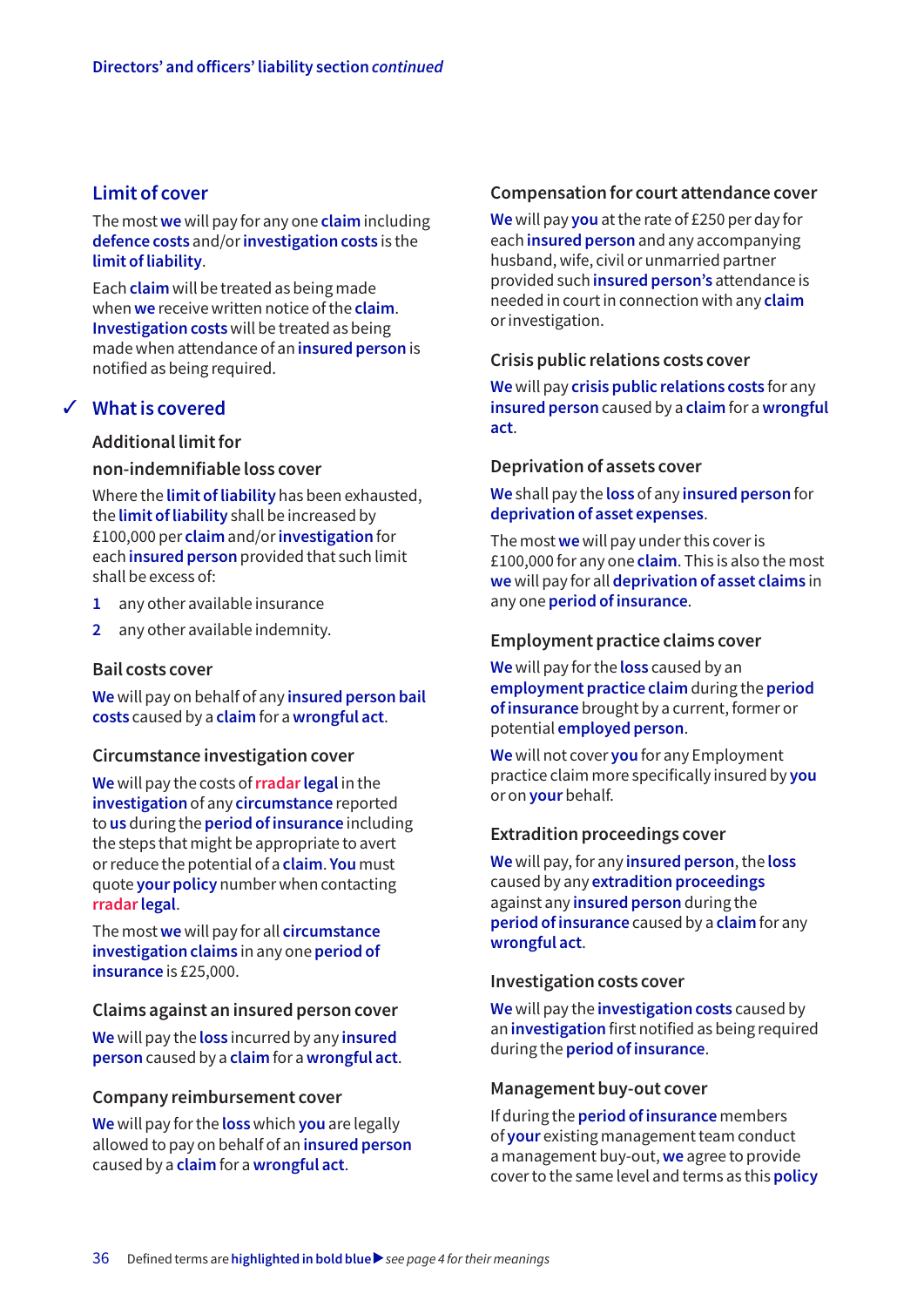# **Limit of cover**

The most **we** will pay for any one **claim** including **defence costs** and/or **investigation costs** is the **limit of liability**.

Each **claim** will be treated as being made when **we** receive written notice of the **claim**. **Investigation costs** will be treated as being made when attendance of an **insured person** is notified as being required.

# **What is covered** 3

#### **Additional limit for**

#### **non-indemnifiable loss cover**

Where the **limit of liability** has been exhausted, the **limit of liability** shall be increased by £100,000 per **claim** and/or **investigation** for each **insured person** provided that such limit shall be excess of:

- **1** any other available insurance
- **2** any other available indemnity.

#### **Bail costs cover**

**We** will pay on behalf of any **insured person bail costs** caused by a **claim** for a **wrongful act**.

#### **Circumstance investigation cover**

**We** will pay the costs of **rradar legal** in the **investigation** of any **circumstance** reported to **us** during the **period of insurance** including the steps that might be appropriate to avert or reduce the potential of a **claim**. **You** must quote **your policy** number when contacting **rradar legal**.

The most **we** will pay for all **circumstance investigation claims** in any one **period of insurance** is £25,000.

#### **Claims against an insured person cover**

**We** will pay the **loss** incurred by any **insured person** caused by a **claim** for a **wrongful act**.

#### **Company reimbursement cover**

**We** will pay for the **loss** which **you** are legally allowed to pay on behalf of an **insured person** caused by a **claim** for a **wrongful act**.

#### **Compensation for court attendance cover**

**We** will pay **you** at the rate of £250 per day for each **insured person** and any accompanying husband, wife, civil or unmarried partner provided such **insured person's** attendance is needed in court in connection with any **claim** orinvestigation.

#### **Crisis public relations costs cover**

**We** will pay **crisis public relations costs** for any **insured person** caused by a **claim** for a **wrongful act**.

#### **Deprivation of assets cover**

**We** shall pay the **loss** of any **insured person** for **deprivation of asset expenses**.

The most **we** will pay under this cover is £100,000 for any one **claim**. This is also the most **we** will pay for all **deprivation of asset claims** in any one **period of insurance**.

#### **Employment practice claims cover**

**We** will pay for the **loss** caused by an **employment practice claim** during the **period of insurance** brought by a current, former or potential **employed person**.

**We** will not cover **you** for any Employment practice claim more specifically insured by **you** or on **your** behalf.

#### **Extradition proceedings cover**

**We** will pay, for any **insured person**, the **loss** caused by any **extradition proceedings** against any **insured person** during the **period of insurance** caused by a **claim** for any **wrongful act**.

#### **Investigation costs cover**

**We** will pay the **investigation costs** caused by an **investigation** first notified as being required during the **period of insurance**.

#### **Management buy-out cover**

If during the **period of insurance** members of **your** existing management team conduct a management buy-out, **we** agree to provide cover to the same level and terms as this **policy**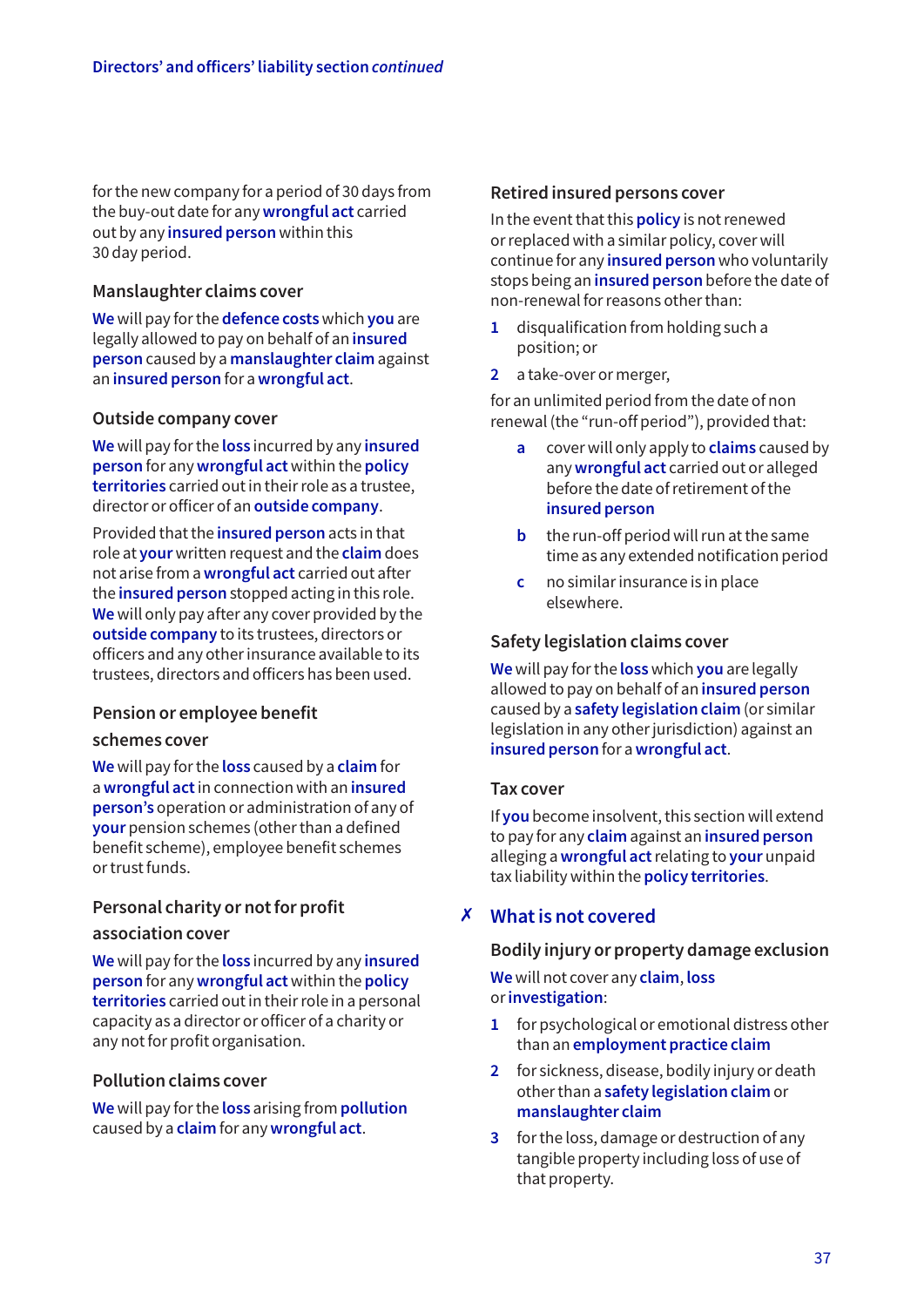for the new company for a period of 30 days from the buy-out date for any **wrongful act** carried out by any **insured person** within this 30 day period.

#### **Manslaughter claims cover**

**We** will pay for the **defence costs** which **you** are legally allowed to pay on behalf of an **insured person** caused by a **manslaughter claim** against an **insured person** for a **wrongful act**.

#### **Outside company cover**

**We** will pay for the **loss** incurred by any **insured person** for any **wrongful act** within the **policy territories** carried out in their role as a trustee, director or officer of an **outside company**.

Provided that the **insured person** acts in that role at **your** written request and the **claim** does not arise from a **wrongful act** carried out after the **insured person** stopped acting in this role. **We** will only pay after any cover provided by the **outside company** to its trustees, directors or officers and any other insurance available to its trustees, directors and officers has been used.

# **Pension or employee benefit**

#### **schemes cover**

**We** will pay for the **loss** caused by a **claim** for a **wrongful act** in connection with an **insured person's** operation or administration of any of **your** pension schemes (other than a defined benefit scheme), employee benefit schemes or trust funds.

# **Personal charity or not for profit association cover**

**We** will pay for the **loss** incurred by any **insured person** for any **wrongful act** within the **policy territories** carried out in their role in a personal capacity as a director or officer of a charity or any not for profit organisation.

#### **Pollution claims cover**

**We** will pay for the **loss** arising from **pollution** caused by a **claim** for any **wrongful act**.

# **Retired insured persons cover**

In the event that this **policy** is not renewed or replaced with a similar policy, cover will continue for any **insured person** who voluntarily stops being an **insured person** before the date of non-renewal for reasons other than:

- **1** disqualification from holding such a position; or
- **2** a take-over or merger,

for an unlimited period from the date of non renewal (the "run-off period"), provided that:

- **a** cover will only apply to **claims** caused by any **wrongful act** carried out or alleged before the date of retirement of the **insured person**
- **b** the run-off period will run at the same time as any extended notification period
- **c** no similar insurance is in place elsewhere.

# **Safety legislation claims cover**

**We** will pay for the **loss** which **you** are legally allowed to pay on behalf of an **insured person** caused by a **safety legislation claim** (or similar legislation in any other jurisdiction) against an **insured person** for a **wrongful act**.

# **Tax cover**

If **you** become insolvent, this section will extend to pay for any **claim** against an **insured person** alleging a **wrongful act** relating to **your** unpaid tax liability within the **policy territories**.

# **What is not covered** 7

# **Bodily injury or property damage exclusion**

**We** will not cover any **claim**, **loss** or**investigation**:

- **1** for psychological or emotional distress other than an **employment practice claim**
- **2** for sickness, disease, bodily injury or death other than a **safety legislation claim** or **manslaughter claim**
- **3** for the loss, damage or destruction of any tangible property including loss of use of that property.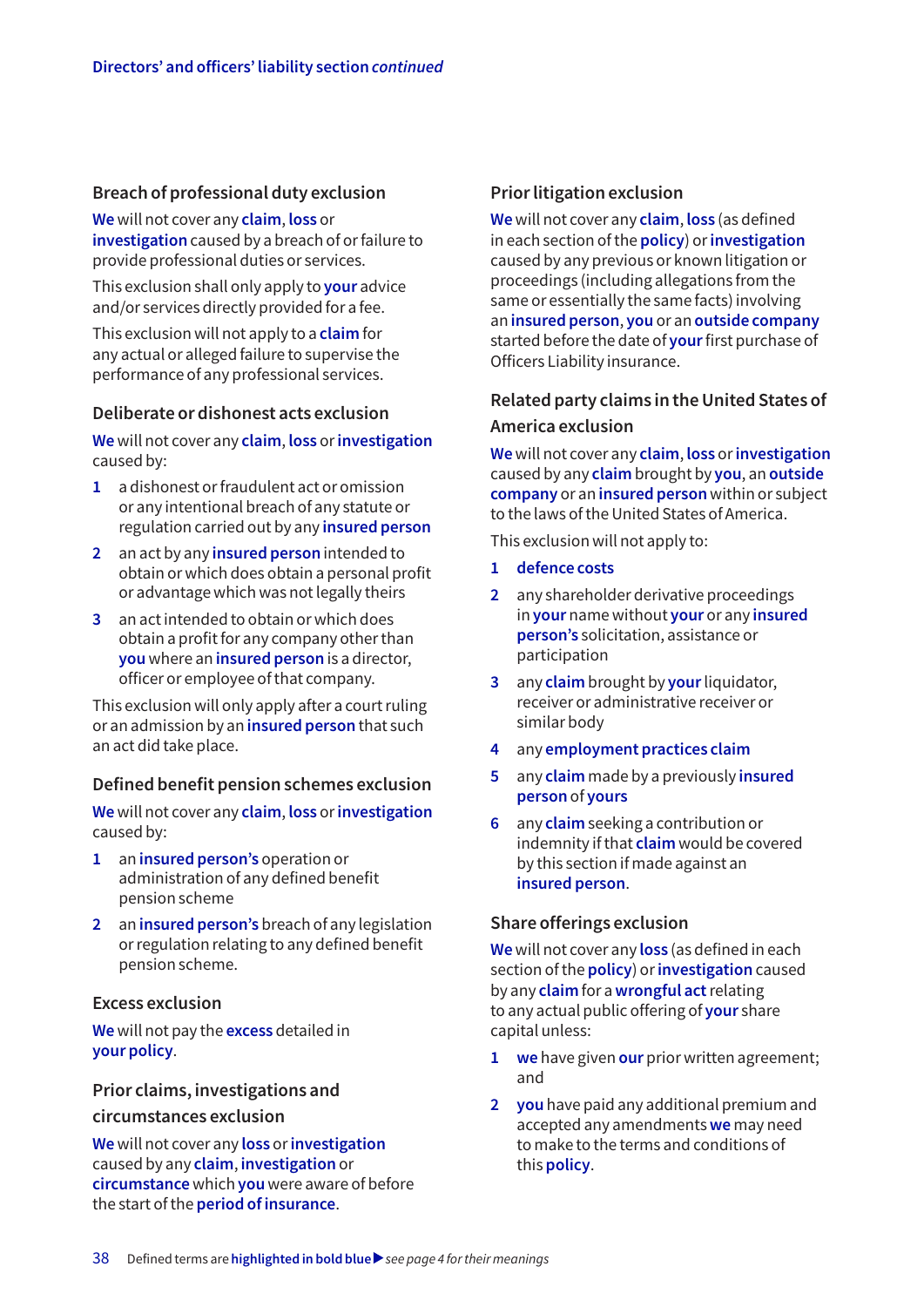#### **Breach of professional duty exclusion**

**We** will not cover any **claim**, **loss** or

**investigation** caused by a breach of or failure to provide professional duties or services.

This exclusion shall only apply to **your** advice and/or services directly provided for a fee.

This exclusion will not apply to a **claim** for any actual or alleged failure to supervise the performance of any professional services.

#### **Deliberate or dishonest acts exclusion**

**We** will not cover any **claim**, **loss** or **investigation** caused by:

- **1** a dishonest or fraudulent act or omission or any intentional breach of any statute or regulation carried out by any **insured person**
- **2** an act by any **insured person** intended to obtain or which does obtain a personal profit or advantage which was not legally theirs
- **3** an act intended to obtain or which does obtain a profit for any company other than **you** where an **insured person** is a director, officer or employee of that company.

This exclusion will only apply after a court ruling or an admission by an **insured person** that such an act did take place.

#### **Defined benefit pension schemes exclusion**

**We** will not cover any **claim**, **loss** or **investigation** caused by:

- **1** an **insured person's** operation or administration of any defined benefit pension scheme
- **2** an **insured person's** breach of any legislation or regulation relating to any defined benefit pension scheme.

#### **Excess exclusion**

**We** will not pay the **excess** detailed in **your policy**.

#### **Prior claims, investigations and**

#### **circumstances exclusion**

**We** will not cover any **loss** or **investigation** caused by any **claim**, **investigation** or **circumstance** which **you** were aware of before the start of the **period of insurance**.

#### **Prior litigation exclusion**

**We** will not cover any **claim**, **loss** (as defined in each section of the **policy**) or **investigation** caused by any previous or known litigation or proceedings (including allegations from the same or essentially the same facts) involving an **insured person**, **you** or an **outside company** started before the date of **your** first purchase of Officers Liability insurance.

# **Related party claims in the United States of America exclusion**

**We** will not cover any **claim**, **loss** or **investigation** caused by any **claim** brought by **you**, an **outside company** or an **insured person** within or subject to the laws of the United States of America.

This exclusion will not apply to:

- **1 defence costs**
- **2** any shareholder derivative proceedings in **your** name without **your** or any **insured person's** solicitation, assistance or participation
- **3** any **claim** brought by **your** liquidator, receiver or administrative receiver or similar body
- **4** any **employment practices claim**
- **5** any **claim** made by a previously **insured person** of **yours**
- **6** any **claim** seeking a contribution or indemnity if that **claim** would be covered by this section if made against an **insured person**.

# **Share offerings exclusion**

**We** will not cover any **loss** (as defined in each section of the **policy**) or **investigation** caused by any **claim** for a **wrongful act** relating to any actual public offering of **your** share capital unless:

- **1 we** have given **our** prior written agreement; and
- **2 you** have paid any additional premium and accepted any amendments **we** may need to make to the terms and conditions of this **policy**.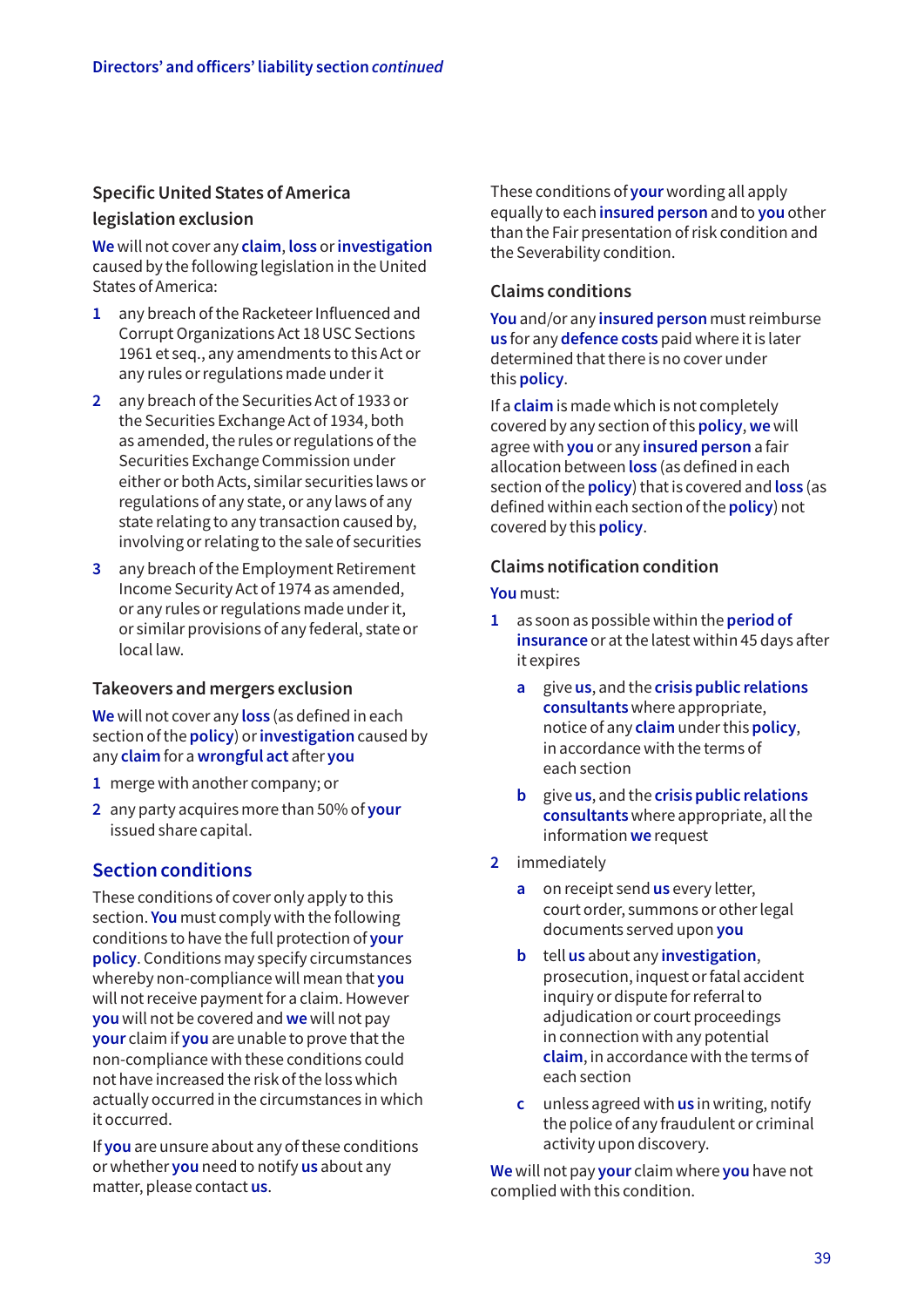# **Specific United States of America legislation exclusion**

**We** will not cover any **claim**, **loss** or **investigation** caused by the following legislation in the United States of America:

- **1** any breach of the Racketeer Influenced and Corrupt Organizations Act 18 USC Sections 1961 et seq., any amendments to this Act or any rules or regulations made under it
- **2** any breach of the Securities Act of 1933 or the Securities Exchange Act of 1934, both as amended, the rules or regulations of the Securities Exchange Commission under either or both Acts, similar securities laws or regulations of any state, or any laws of any state relating to any transaction caused by, involving or relating to the sale of securities
- **3** any breach of the Employment Retirement Income Security Act of 1974 as amended, or any rules or regulations made under it, or similar provisions of any federal, state or local law.

# **Takeovers and mergers exclusion**

**We** will not cover any **loss** (as defined in each section of the **policy**) or **investigation** caused by any **claim** for a **wrongful act** after **you**

- **1** merge with another company; or
- **2** any party acquires more than 50% of **your** issued share capital.

# **Section conditions**

These conditions of cover only apply to this section. **You** must comply with the following conditions to have the full protection of **your policy**. Conditions may specify circumstances whereby non-compliance will mean that **you** will not receive payment for a claim. However **you** will not be covered and **we** will not pay **your** claim if **you** are unable to prove that the non-compliance with these conditions could not have increased the risk of the loss which actually occurred in the circumstances in which it occurred.

If **you** are unsure about any of these conditions or whether **you** need to notify **us** about any matter, please contact **us**.

These conditions of **your** wording all apply equally to each **insured person** and to **you** other than the Fair presentation of risk condition and the Severability condition.

# **Claims conditions**

**You** and/or any **insured person** must reimburse **us** for any **defence costs** paid where it is later determined that there is no cover under this **policy**.

If a **claim** is made which is not completely covered by any section of this **policy**, **we** will agree with **you** or any **insured person** a fair allocation between **loss** (as defined in each section of the **policy**) that is covered and **loss** (as defined within each section of the **policy**) not covered by this **policy**.

# **Claims notification condition**

**You** must:

- **1** as soon as possible within the **period of insurance** or at the latest within 45 days after it expires
	- **a** give **us**, and the **crisis public relations consultants** where appropriate, notice of any **claim** under this **policy**, in accordance with the terms of each section
	- **b** give **us**, and the **crisis public relations consultants** where appropriate, all the information **we** request
- **2** immediately
	- **a** on receipt send **us** every letter, court order, summons or other legal documents served upon **you**
	- **b** tell **us** about any **investigation**, prosecution, inquest or fatal accident inquiry or dispute for referral to adjudication or court proceedings in connection with any potential **claim**, in accordance with the terms of each section
	- **c** unless agreed with **us** in writing, notify the police of any fraudulent or criminal activity upon discovery.

**We** will not pay **your** claim where **you** have not complied with this condition.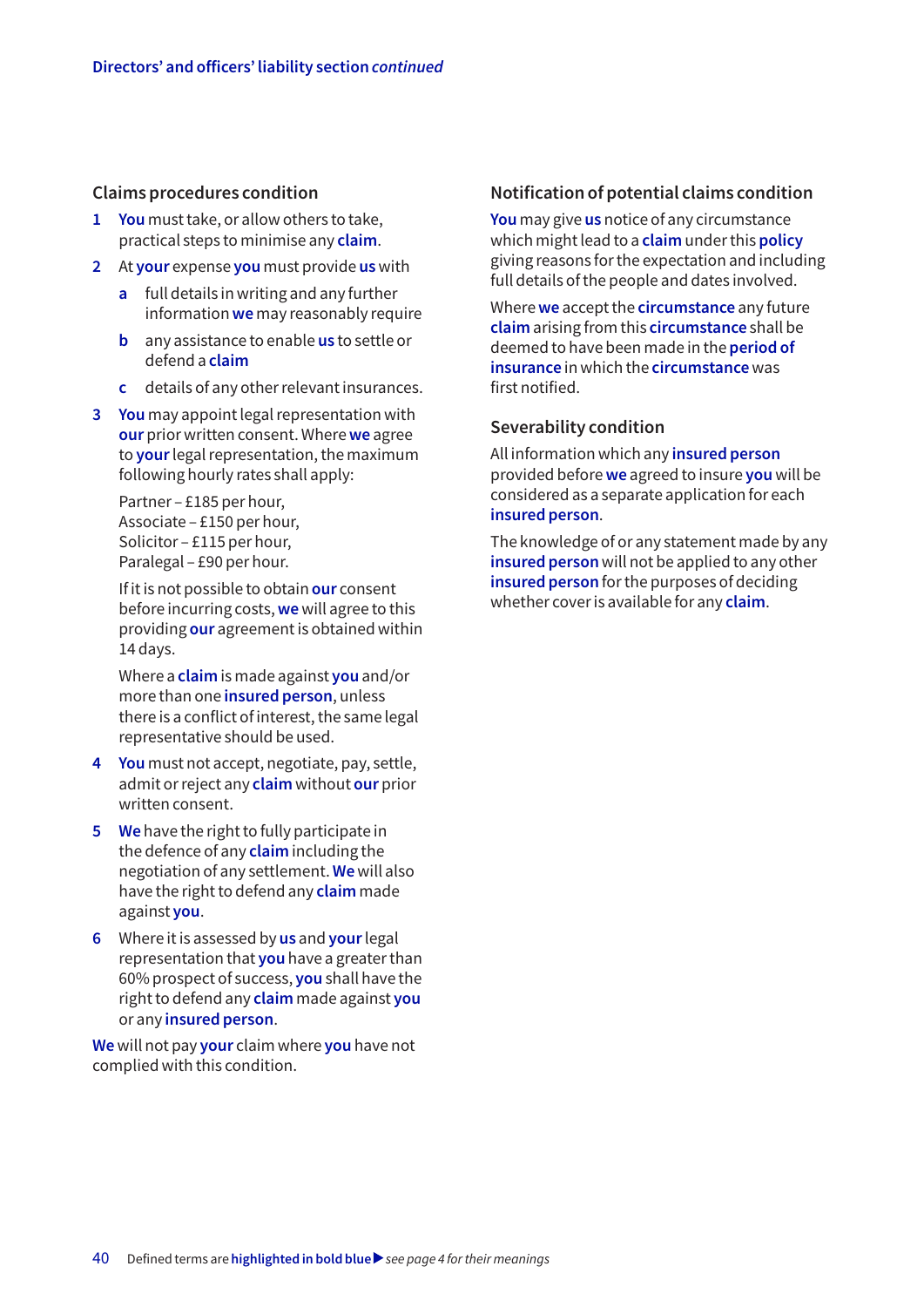#### **Claims procedures condition**

- **1 You** must take, or allow others to take, practical steps to minimise any **claim**.
- **2** At **your** expense **you** must provide **us** with
	- **a** full details in writing and any further information **we** may reasonably require
	- **b** any assistance to enable **us** to settle or defend a **claim**
	- **c** details of any other relevant insurances.
- **3 You** may appoint legal representation with **our** prior written consent. Where **we** agree to **your** legal representation, the maximum following hourly rates shall apply:

Partner – £185 per hour, Associate – £150 per hour, Solicitor – £115 per hour, Paralegal – £90 per hour.

If it is not possible to obtain **our** consent before incurring costs, **we** will agree to this providing **our** agreement is obtained within 14 days.

Where a **claim** is made against **you** and/or more than one **insured person**, unless there is a conflict of interest, the same legal representative should be used.

- **4 You** must not accept, negotiate, pay, settle, admit or reject any **claim** without **our** prior written consent.
- **5 We** have the right to fully participate in the defence of any **claim** including the negotiation of any settlement. **We** will also have the right to defend any **claim** made against **you**.
- **6** Where it is assessed by **us** and **your** legal representation that **you** have a greater than 60% prospect of success, **you** shall have the right to defend any **claim** made against **you** or any **insured person**.

**We** will not pay **your** claim where **you** have not complied with this condition.

#### **Notification of potential claims condition**

**You** may give **us** notice of any circumstance which might lead to a **claim** under this **policy** giving reasons for the expectation and including full details of the people and dates involved.

Where **we** accept the **circumstance** any future **claim** arising from this **circumstance** shall be deemed to have been made in the **period of insurance** in which the **circumstance** was first notified.

#### **Severability condition**

All information which any **insured person** provided before **we** agreed to insure **you** will be considered as a separate application for each **insured person**.

The knowledge of or any statement made by any **insured person** will not be applied to any other **insured person** for the purposes of deciding whether cover is available for any **claim**.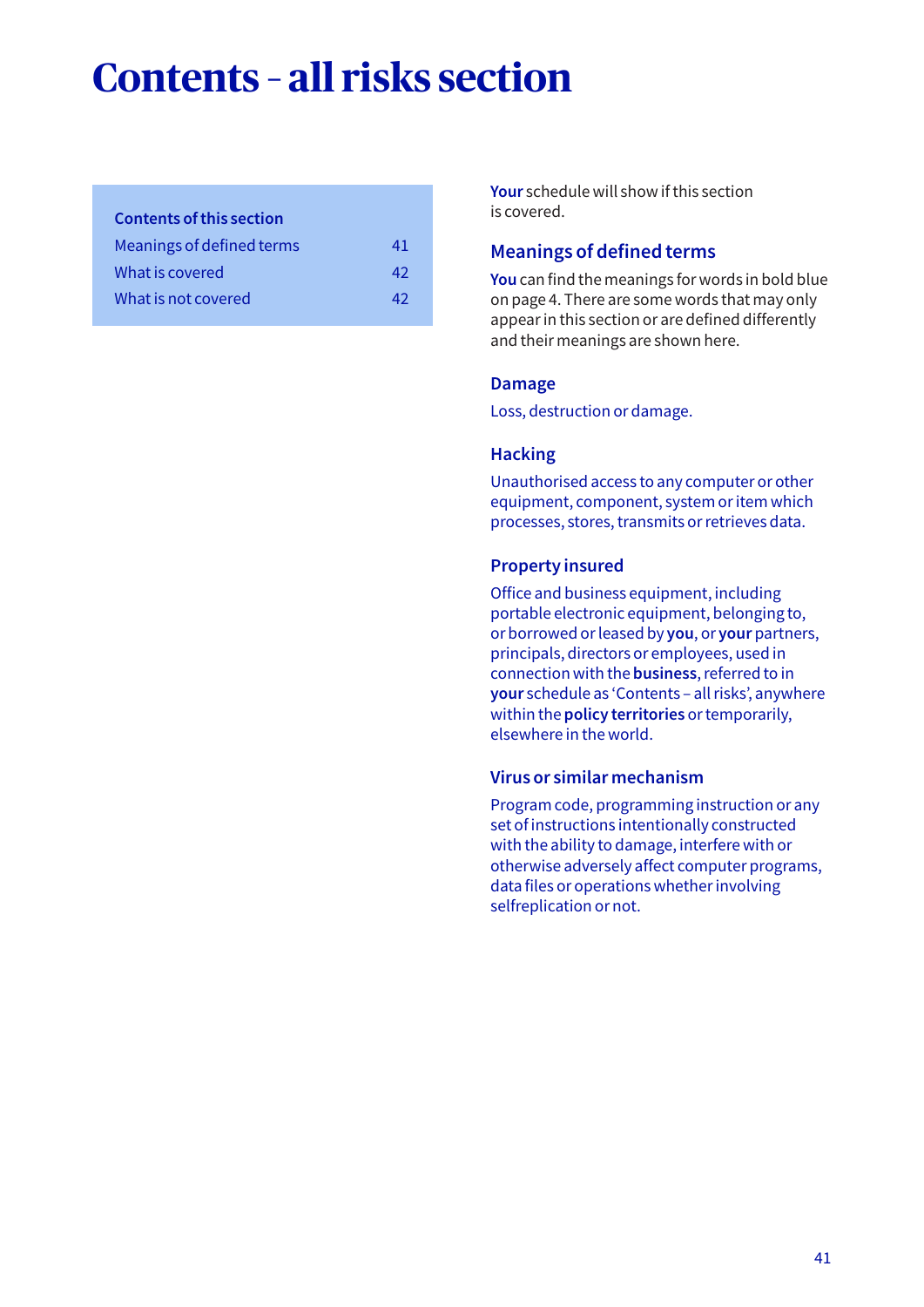# **Contents – all risks section**

# **Contents of this section**

| Meanings of defined terms | 41 |
|---------------------------|----|
| What is covered           | 42 |
| What is not covered       | 47 |

**Your** schedule will show if this section is covered.

# **Meanings of defined terms**

**You** can find the meanings for words in bold blue on page 4. There are some words that may only appear in this section or are defined differently and their meanings are shown here.

# **Damage**

Loss, destruction or damage.

# **Hacking**

Unauthorised access to any computer or other equipment, component, system or item which processes, stores, transmits or retrieves data.

# **Property insured**

Office and business equipment, including portable electronic equipment, belonging to, or borrowed or leased by **you**, or **your** partners, principals, directors or employees, used in connection with the **business**, referred to in **your** schedule as 'Contents – all risks', anywhere within the **policy territories** or temporarily, elsewhere in the world.

# **Virus or similar mechanism**

Program code, programming instruction or any set of instructions intentionally constructed with the ability to damage, interfere with or otherwise adversely affect computer programs, data files or operations whether involving selfreplication or not.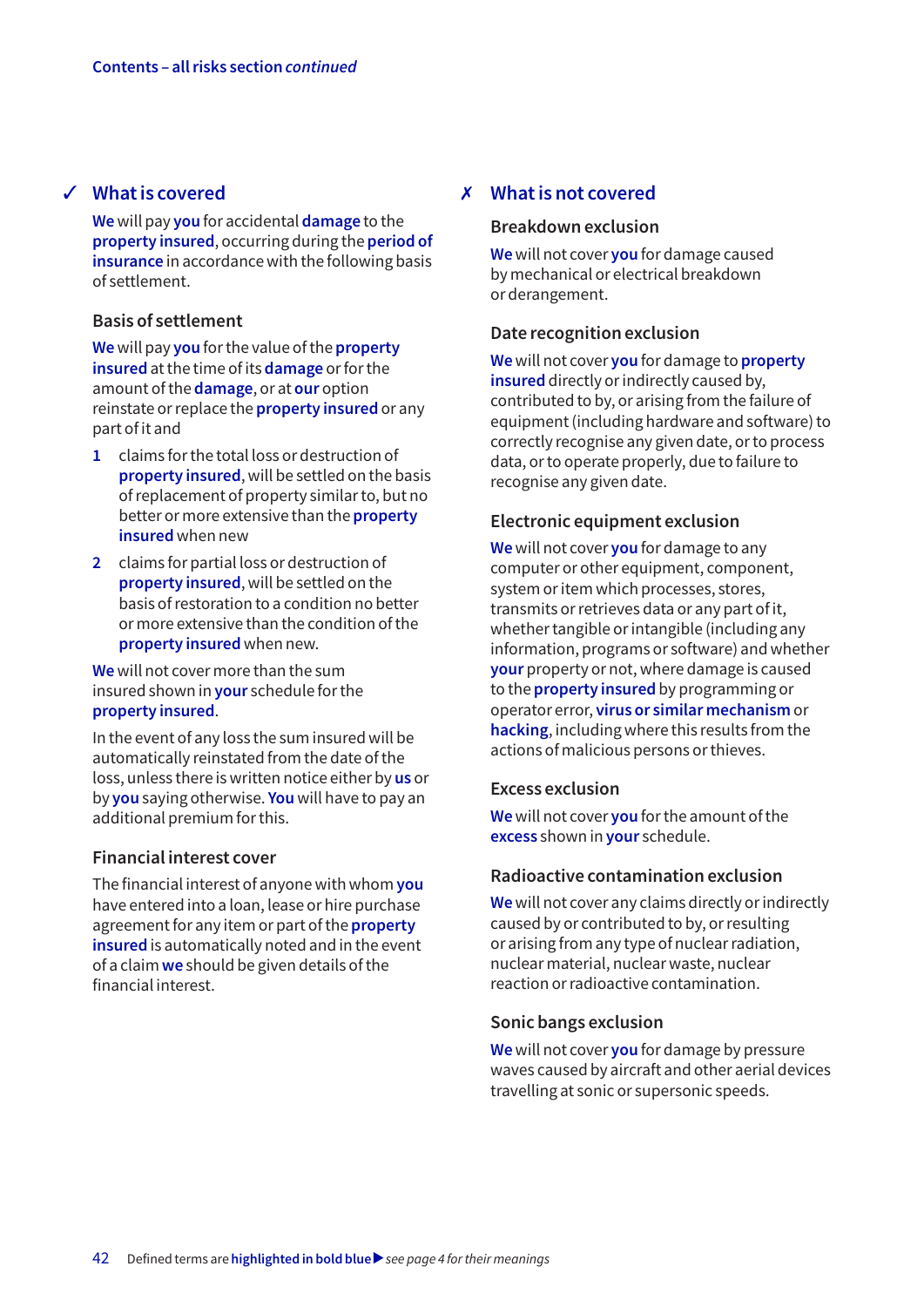#### **What is covered**

**We** will pay **you** for accidental **damage** to the **property insured**, occurring during the **period of insurance** in accordance with the following basis of settlement.

#### **Basis of settlement**

**We** will pay **you** for the value of the **property insured** at the time of its **damage** or for the amount of the **damage**, or at **our** option reinstate or replace the **property insured** or any part of it and

- **1** claims for the total loss or destruction of **property insured**, will be settled on the basis of replacement of property similar to, but no better or more extensive than the **property insured** when new
- **2** claims for partial loss or destruction of **property insured**, will be settled on the basis of restoration to a condition no better or more extensive than the condition of the **property insured** when new.

**We** will not cover more than the sum insured shown in **your** schedule for the **property insured**.

In the event of any loss the sum insured will be automatically reinstated from the date of the loss, unless there is written notice either by **us** or by **you** saying otherwise. **You** will have to pay an additional premium for this.

#### **Financial interest cover**

The financial interest of anyone with whom **you** have entered into a loan, lease or hire purchase agreement for any item or part of the **property insured** is automatically noted and in the event of a claim **we** should be given details of the financial interest.

# **∠** What is covered  $\boldsymbol{\mathsf{z}}$  and  $\boldsymbol{\mathsf{z}}$  what is not covered

#### **Breakdown exclusion**

**We** will not cover **you** for damage caused by mechanical or electrical breakdown or derangement.

#### **Date recognition exclusion**

**We** will not cover **you** for damage to **property insured** directly or indirectly caused by, contributed to by, or arising from the failure of equipment (including hardware and software) to correctly recognise any given date, or to process data, or to operate properly, due to failure to recognise any given date.

#### **Electronic equipment exclusion**

**We** will not cover **you** for damage to any computer or other equipment, component, system or item which processes, stores, transmits or retrieves data or any part of it, whether tangible or intangible (including any information, programs or software) and whether **your** property or not, where damage is caused to the **property insured** by programming or operator error, **virus or similar mechanism** or **hacking**, including where this results from the actions of malicious persons or thieves.

#### **Excess exclusion**

**We** will not cover **you** for the amount of the **excess** shown in **your** schedule.

#### **Radioactive contamination exclusion**

**We** will not cover any claims directly or indirectly caused by or contributed to by, or resulting or arising from any type of nuclear radiation, nuclear material, nuclear waste, nuclear reaction or radioactive contamination.

#### **Sonic bangs exclusion**

**We** will not cover **you** for damage by pressure waves caused by aircraft and other aerial devices travelling at sonic or supersonic speeds.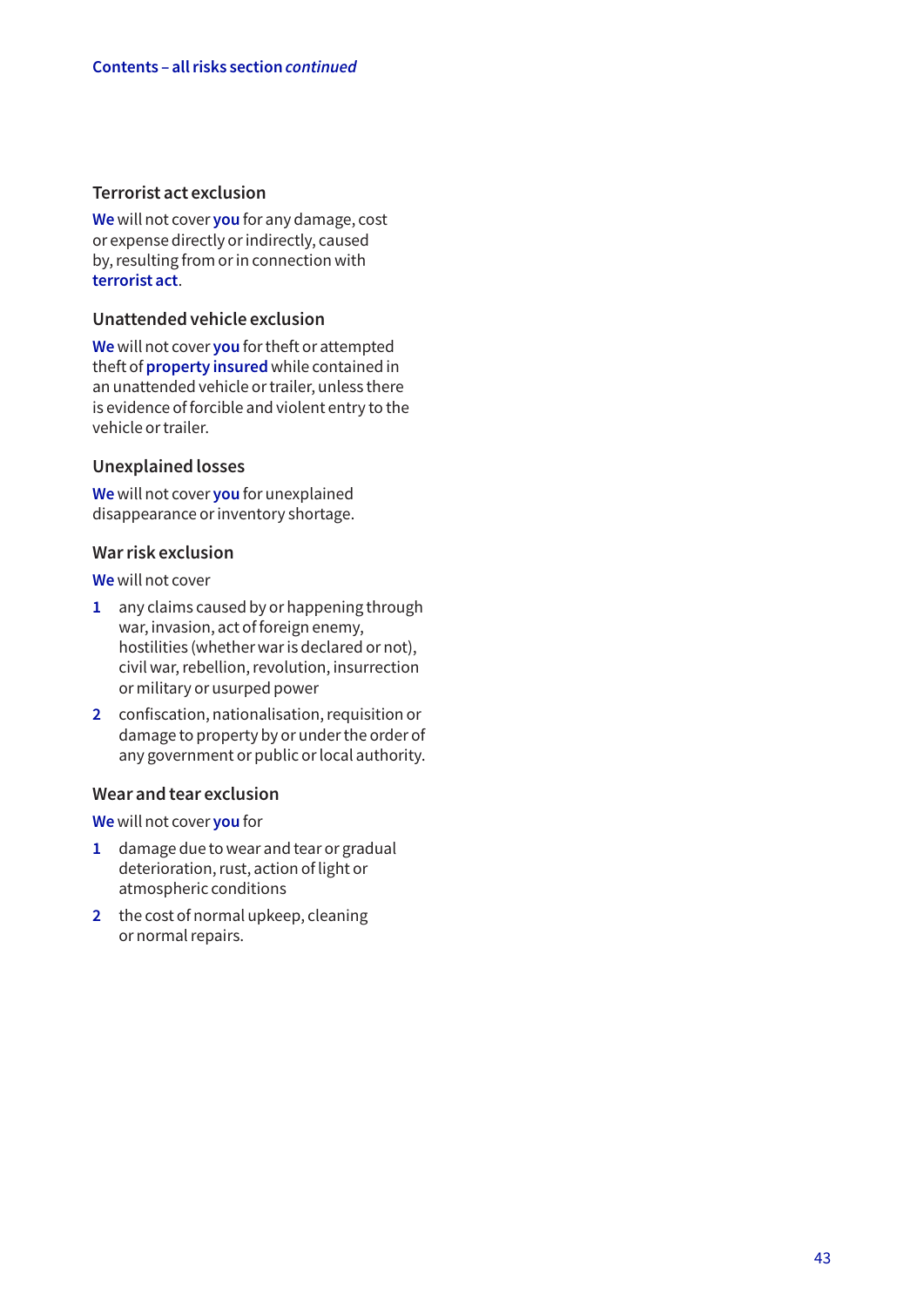#### **Terrorist act exclusion**

**We** will not cover **you** for any damage, cost or expense directly or indirectly, caused by, resulting from or in connection with **terrorist act**.

#### **Unattended vehicle exclusion**

**We** will not cover **you** for theft or attempted theft of **property insured** while contained in an unattended vehicle or trailer, unless there is evidence of forcible and violent entry to the vehicle or trailer.

#### **Unexplained losses**

**We** will not cover **you** for unexplained disappearance or inventory shortage.

#### **War risk exclusion**

**We** will not cover

- **1** any claims caused by or happening through war, invasion, act of foreign enemy, hostilities (whether war is declared or not), civil war, rebellion, revolution, insurrection or military or usurped power
- **2** confiscation, nationalisation, requisition or damage to property by or under the order of any government or public or local authority.

#### **Wear and tear exclusion**

**We** will not cover **you** for

- **1** damage due to wear and tear or gradual deterioration, rust, action of light or atmospheric conditions
- **2** the cost of normal upkeep, cleaning or normal repairs.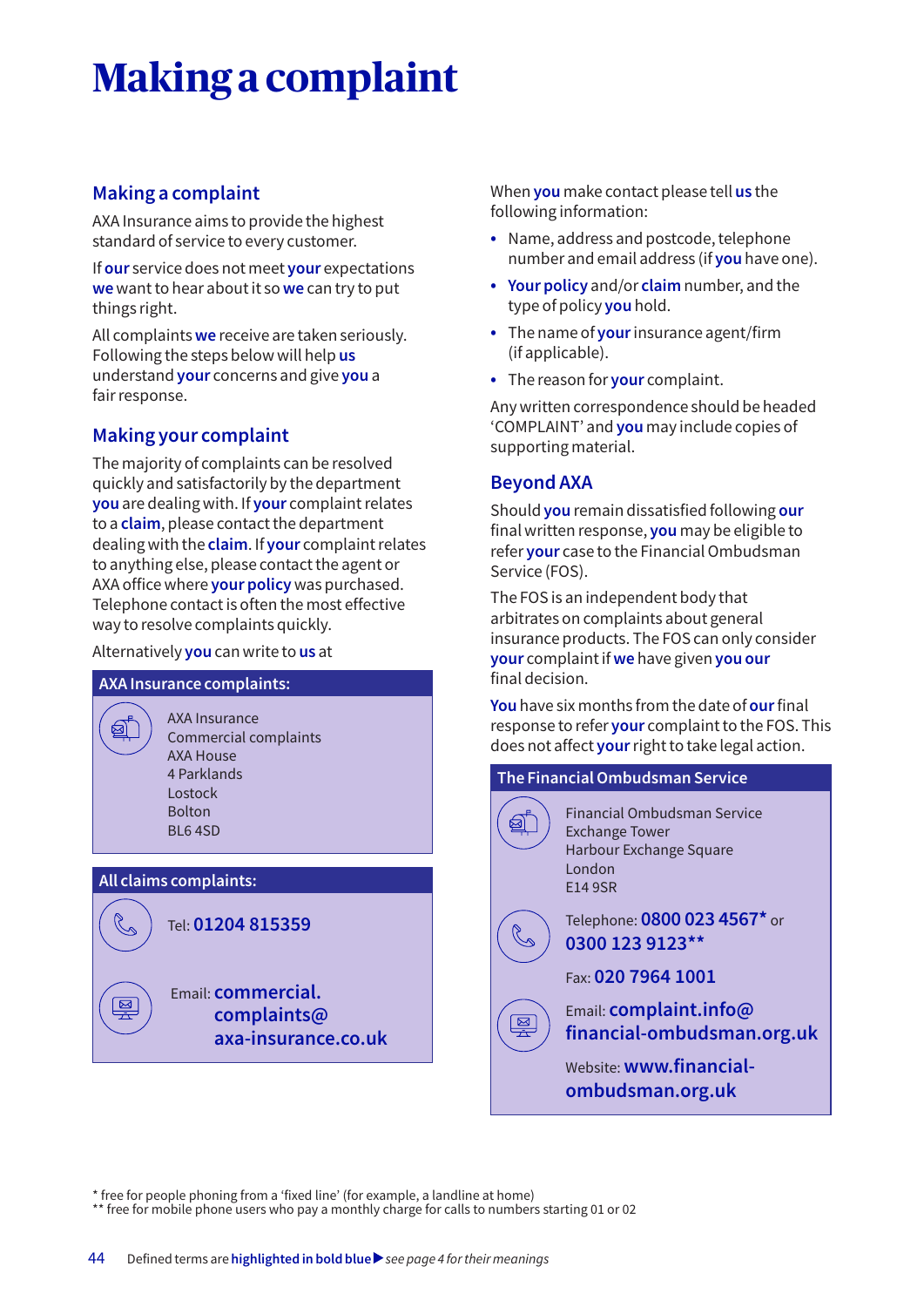# **Making a complaint**

# **Making a complaint**

AXA Insurance aims to provide the highest standard of service to every customer.

If **our** service does not meet **your** expectations **we** want to hear about it so **we** can try to put things right.

All complaints **we** receive are taken seriously. Following the steps below will help **us** understand **your** concerns and give **you** a fair response.

# **Making your complaint**

The majority of complaints can be resolved quickly and satisfactorily by the department **you** are dealing with. If **your** complaint relates to a **claim**, please contact the department dealing with the **claim**. If **your** complaint relates to anything else, please contact the agent or AXA office where **your policy** was purchased. Telephone contact is often the most effective way to resolve complaints quickly.

#### Alternatively **you** can write to **us** at

#### **AXA Insurance complaints:**

☎

 $\boxed{\boxtimes}$ 

AXA Insurance Commercial complaints AXA House 4 Parklands Lostock Bolton BL6 4SD

# **All claims complaints:**



Email: **commercial. complaints@ axa-insurance.co.uk** When **you** make contact please tell **us** the following information:

- Name, address and postcode, telephone number and email address (if **you** have one).
- **Your policy** and/or **claim** number, and the type of policy **you** hold.
- The name of **your** insurance agent/firm (if applicable).
- The reason for **your** complaint.

Any written correspondence should be headed 'COMPLAINT' and **you** may include copies of supporting material.

# **Beyond AXA**

Should **you** remain dissatisfied following **our** final written response, **you** may be eligible to refer **your** case to the Financial Ombudsman Service (FOS).

The FOS is an independent body that arbitrates on complaints about general insurance products. The FOS can only consider **your** complaint if **we** have given **you our** final decision.

**You** have six months from the date of **our** final response to refer **your** complaint to the FOS. This does not affect **your** right to take legal action.

# **The Financial Ombudsman Service**

包

Financial Ombudsman Service Exchange Tower Harbour Exchange Square London E14 9SR



 $\boxed{\boxtimes}$ 

Telephone: **0800 023 4567\*** or **0300 123 9123\*\***

Fax: **020 7964 1001**

Email: **complaint.info@ financial-ombudsman.org.uk**

Website: **www.financialombudsman.org.uk**

\* free for people phoning from a 'fixed line' (for example, a landline at home)

\*\* free for mobile phone users who pay a monthly charge for calls to numbers starting 01 or 02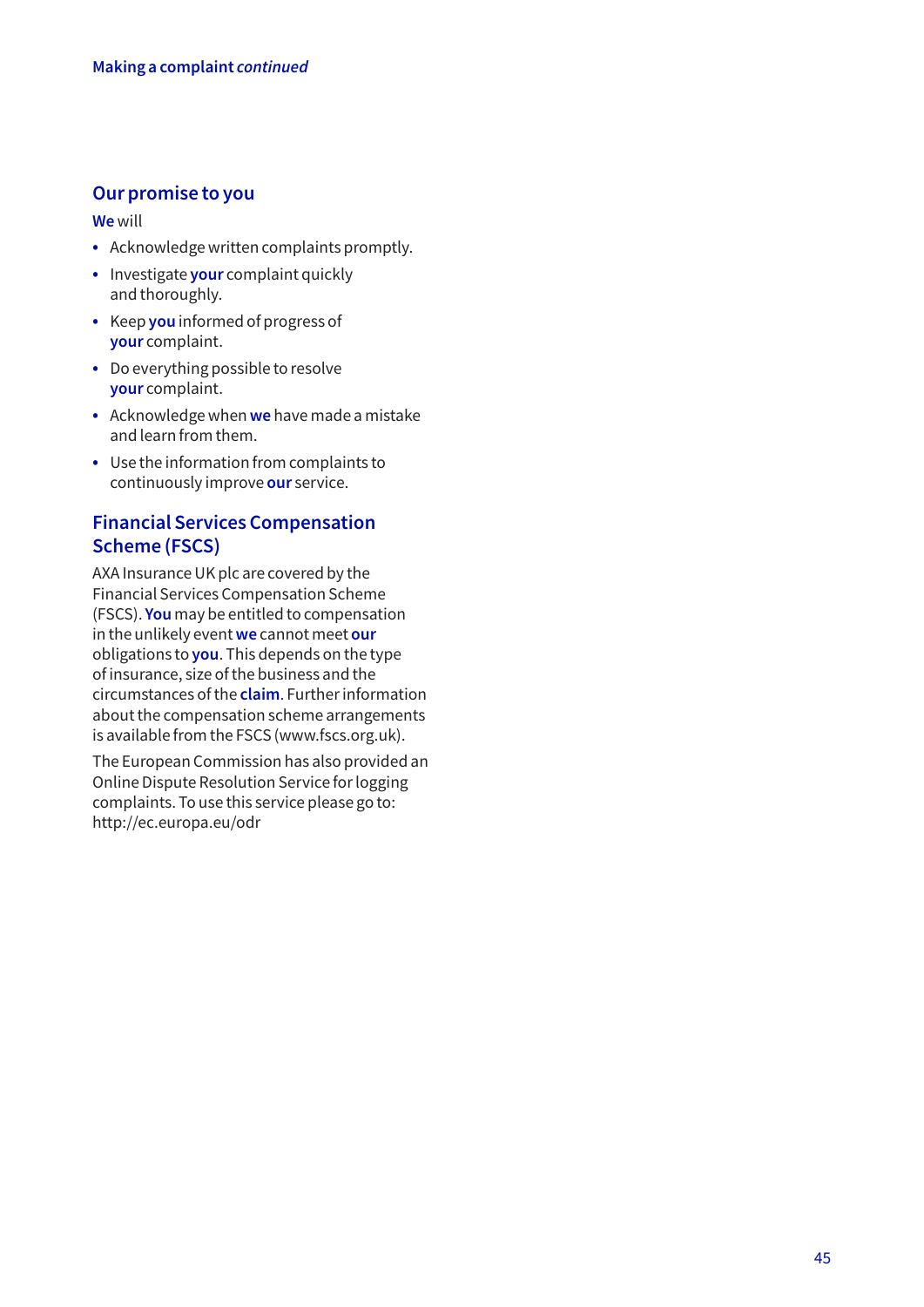# **Our promise to you**

**We** will

- Acknowledge written complaints promptly.
- Investigate **your** complaint quickly and thoroughly.
- Keep **you** informed of progress of **your** complaint.
- Do everything possible to resolve **your** complaint.
- Acknowledge when **we** have made a mistake and learn from them.
- Use the information from complaints to continuously improve **our** service.

# **Financial Services Compensation Scheme (FSCS)**

AXA Insurance UK plc are covered by the Financial Services Compensation Scheme (FSCS). **You** may be entitled to compensation in the unlikely event **we** cannot meet **our** obligations to **you**. This depends on the type of insurance, size of the business and the circumstances of the **claim**. Further information about the compensation scheme arrangements is available from the FSCS (www.fscs.org.uk).

The European Commission has also provided an Online Dispute Resolution Service for logging complaints. To use this service please go to: http://ec.europa.eu/odr